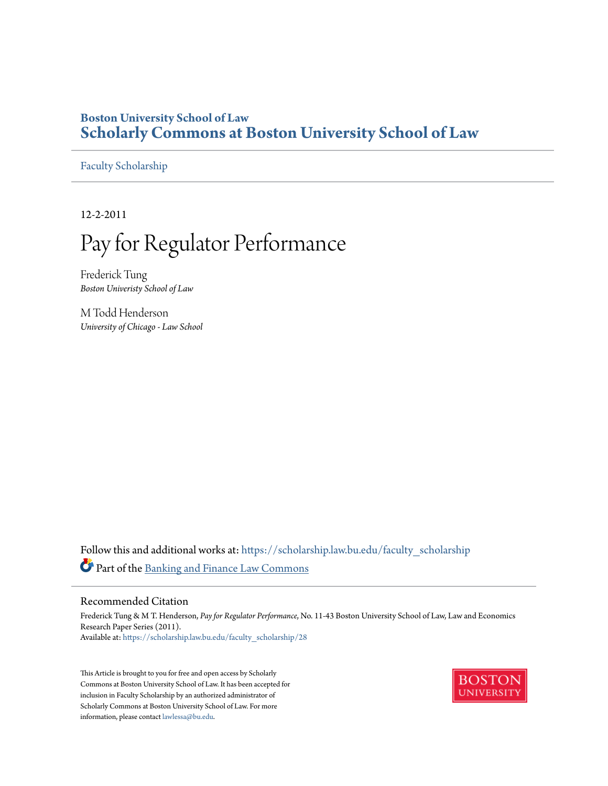### **Boston University School of Law [Scholarly Commons at Boston University School of Law](https://scholarship.law.bu.edu?utm_source=scholarship.law.bu.edu%2Ffaculty_scholarship%2F28&utm_medium=PDF&utm_campaign=PDFCoverPages)**

[Faculty Scholarship](https://scholarship.law.bu.edu/faculty_scholarship?utm_source=scholarship.law.bu.edu%2Ffaculty_scholarship%2F28&utm_medium=PDF&utm_campaign=PDFCoverPages)

12-2-2011

# Pay for Regulator Performance

Frederick Tung *Boston Univeristy School of Law*

M Todd Henderson *University of Chicago - Law School*

Follow this and additional works at: [https://scholarship.law.bu.edu/faculty\\_scholarship](https://scholarship.law.bu.edu/faculty_scholarship?utm_source=scholarship.law.bu.edu%2Ffaculty_scholarship%2F28&utm_medium=PDF&utm_campaign=PDFCoverPages) Part of the [Banking and Finance Law Commons](http://network.bepress.com/hgg/discipline/833?utm_source=scholarship.law.bu.edu%2Ffaculty_scholarship%2F28&utm_medium=PDF&utm_campaign=PDFCoverPages)

#### Recommended Citation

Frederick Tung & M T. Henderson, *Pay for Regulator Performance*, No. 11-43 Boston University School of Law, Law and Economics Research Paper Series (2011). Available at: [https://scholarship.law.bu.edu/faculty\\_scholarship/28](https://scholarship.law.bu.edu/faculty_scholarship/28?utm_source=scholarship.law.bu.edu%2Ffaculty_scholarship%2F28&utm_medium=PDF&utm_campaign=PDFCoverPages)

This Article is brought to you for free and open access by Scholarly Commons at Boston University School of Law. It has been accepted for inclusion in Faculty Scholarship by an authorized administrator of Scholarly Commons at Boston University School of Law. For more information, please contact [lawlessa@bu.edu.](mailto:lawlessa@bu.edu)

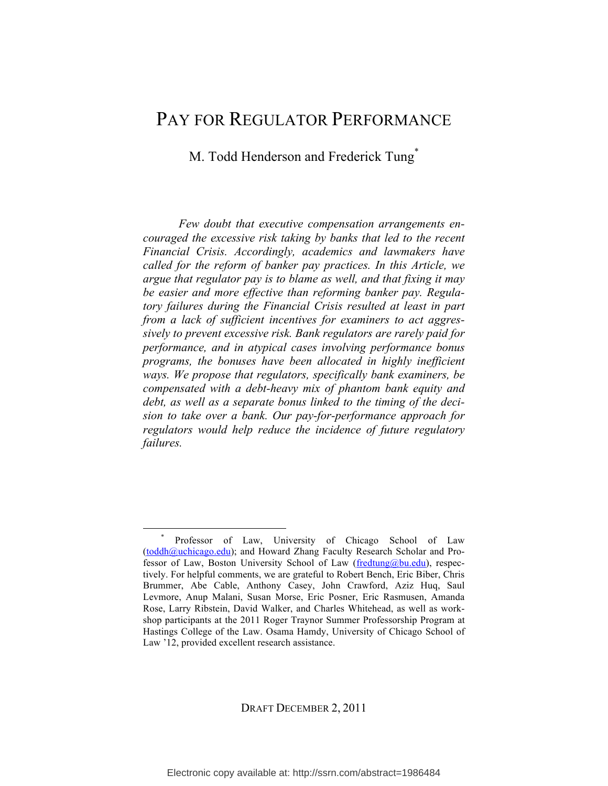## PAY FOR REGULATOR PERFORMANCE

M. Todd Henderson and Frederick Tung<sup>\*</sup>

*Few doubt that executive compensation arrangements encouraged the excessive risk taking by banks that led to the recent Financial Crisis. Accordingly, academics and lawmakers have called for the reform of banker pay practices. In this Article, we argue that regulator pay is to blame as well, and that fixing it may be easier and more effective than reforming banker pay. Regulatory failures during the Financial Crisis resulted at least in part from a lack of sufficient incentives for examiners to act aggressively to prevent excessive risk. Bank regulators are rarely paid for performance, and in atypical cases involving performance bonus programs, the bonuses have been allocated in highly inefficient ways. We propose that regulators, specifically bank examiners, be compensated with a debt-heavy mix of phantom bank equity and debt, as well as a separate bonus linked to the timing of the decision to take over a bank. Our pay-for-performance approach for regulators would help reduce the incidence of future regulatory failures.*

#### DRAFT DECEMBER 2, 2011

 <sup>\*</sup> Professor of Law, University of Chicago School of Law (toddh@uchicago.edu); and Howard Zhang Faculty Research Scholar and Professor of Law, Boston University School of Law (fredtung@bu.edu), respectively. For helpful comments, we are grateful to Robert Bench, Eric Biber, Chris Brummer, Abe Cable, Anthony Casey, John Crawford, Aziz Huq, Saul Levmore, Anup Malani, Susan Morse, Eric Posner, Eric Rasmusen, Amanda Rose, Larry Ribstein, David Walker, and Charles Whitehead, as well as workshop participants at the 2011 Roger Traynor Summer Professorship Program at Hastings College of the Law. Osama Hamdy, University of Chicago School of Law '12, provided excellent research assistance.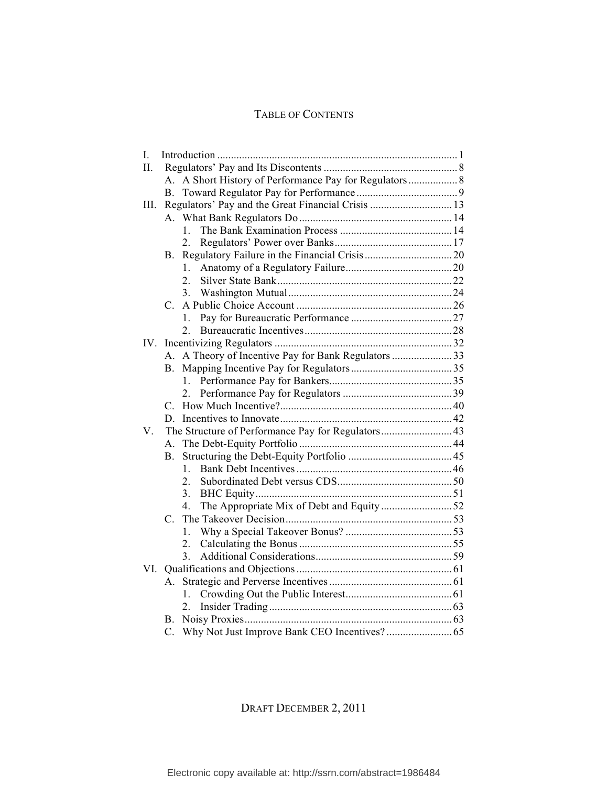#### TABLE OF CONTENTS

| I.   |                                                             |  |  |  |  |  |  |
|------|-------------------------------------------------------------|--|--|--|--|--|--|
| Π.   |                                                             |  |  |  |  |  |  |
|      | A. A Short History of Performance Pay for Regulators 8      |  |  |  |  |  |  |
|      | B.                                                          |  |  |  |  |  |  |
| III. |                                                             |  |  |  |  |  |  |
|      |                                                             |  |  |  |  |  |  |
|      | 1.                                                          |  |  |  |  |  |  |
|      | $\mathfrak{2}_{\cdot}$                                      |  |  |  |  |  |  |
|      | B.                                                          |  |  |  |  |  |  |
|      | 1.                                                          |  |  |  |  |  |  |
|      | $\overline{2}$                                              |  |  |  |  |  |  |
|      | 3.                                                          |  |  |  |  |  |  |
|      | $C_{-}$                                                     |  |  |  |  |  |  |
|      | $\mathbf{1}$                                                |  |  |  |  |  |  |
|      | 2                                                           |  |  |  |  |  |  |
| IV.  |                                                             |  |  |  |  |  |  |
|      | A Theory of Incentive Pay for Bank Regulators 33<br>$A_{-}$ |  |  |  |  |  |  |
|      | B.                                                          |  |  |  |  |  |  |
|      | $1_{-}$                                                     |  |  |  |  |  |  |
|      | $\mathbf{2}$                                                |  |  |  |  |  |  |
|      |                                                             |  |  |  |  |  |  |
|      |                                                             |  |  |  |  |  |  |
| V.   | The Structure of Performance Pay for Regulators43           |  |  |  |  |  |  |
|      |                                                             |  |  |  |  |  |  |
|      | B.                                                          |  |  |  |  |  |  |
|      | $\mathbf{1}$                                                |  |  |  |  |  |  |
|      | $\overline{2}$ .                                            |  |  |  |  |  |  |
|      | 3.                                                          |  |  |  |  |  |  |
|      | $4_{\cdot}$                                                 |  |  |  |  |  |  |
|      | $C_{\cdot}$                                                 |  |  |  |  |  |  |
|      | 1.                                                          |  |  |  |  |  |  |
|      | $2_{-}$                                                     |  |  |  |  |  |  |
|      | 3 <sub>1</sub>                                              |  |  |  |  |  |  |
|      |                                                             |  |  |  |  |  |  |
|      | $A_{-}$                                                     |  |  |  |  |  |  |
|      | $1_{-}$                                                     |  |  |  |  |  |  |
|      | 2 <sub>1</sub>                                              |  |  |  |  |  |  |
|      | B.                                                          |  |  |  |  |  |  |
|      | $C_{-}$                                                     |  |  |  |  |  |  |

DRAFT DECEMBER 2, 2011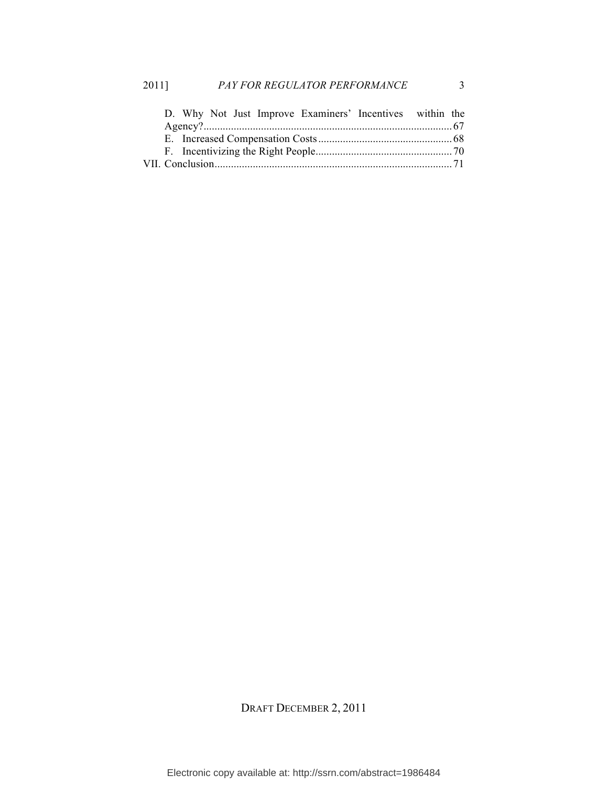|  |  |  |  |  | D. Why Not Just Improve Examiners' Incentives within the |  |  |  |
|--|--|--|--|--|----------------------------------------------------------|--|--|--|
|  |  |  |  |  |                                                          |  |  |  |
|  |  |  |  |  |                                                          |  |  |  |
|  |  |  |  |  |                                                          |  |  |  |
|  |  |  |  |  |                                                          |  |  |  |
|  |  |  |  |  |                                                          |  |  |  |

DRAFT DECEMBER 2, 2011

Electronic copy available at: http://ssrn.com/abstract=1986484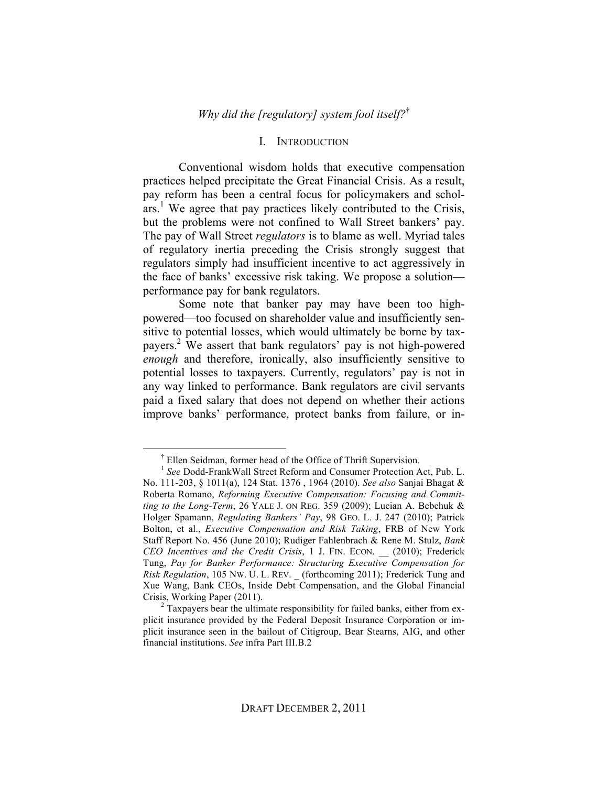#### *Why did the [regulatory] system fool itself?*†

#### I. INTRODUCTION

Conventional wisdom holds that executive compensation practices helped precipitate the Great Financial Crisis. As a result, pay reform has been a central focus for policymakers and schol- $\arcsin 1$  We agree that pay practices likely contributed to the Crisis, but the problems were not confined to Wall Street bankers' pay. The pay of Wall Street *regulators* is to blame as well. Myriad tales of regulatory inertia preceding the Crisis strongly suggest that regulators simply had insufficient incentive to act aggressively in the face of banks' excessive risk taking. We propose a solution performance pay for bank regulators.

Some note that banker pay may have been too highpowered—too focused on shareholder value and insufficiently sensitive to potential losses, which would ultimately be borne by taxpayers.<sup>2</sup> We assert that bank regulators' pay is not high-powered *enough* and therefore, ironically, also insufficiently sensitive to potential losses to taxpayers. Currently, regulators' pay is not in any way linked to performance. Bank regulators are civil servants paid a fixed salary that does not depend on whether their actions improve banks' performance, protect banks from failure, or in-

 <sup>†</sup> Ellen Seidman, former head of the Office of Thrift Supervision.

<sup>&</sup>lt;sup>1</sup> See Dodd-FrankWall Street Reform and Consumer Protection Act, Pub. L. No. 111-203, § 1011(a), 124 Stat. 1376 , 1964 (2010). *See also* Sanjai Bhagat & Roberta Romano, *Reforming Executive Compensation: Focusing and Committing to the Long-Term*, 26 YALE J. ON REG. 359 (2009); Lucian A. Bebchuk & Holger Spamann, *Regulating Bankers' Pay*, 98 GEO. L. J. 247 (2010); Patrick Bolton, et al., *Executive Compensation and Risk Taking*, FRB of New York Staff Report No. 456 (June 2010); Rudiger Fahlenbrach & Rene M. Stulz, *Bank CEO Incentives and the Credit Crisis*, 1 J. FIN. ECON. \_\_ (2010); Frederick Tung, *Pay for Banker Performance: Structuring Executive Compensation for Risk Regulation*, 105 NW. U. L. REV. \_ (forthcoming 2011); Frederick Tung and Xue Wang, Bank CEOs, Inside Debt Compensation, and the Global Financial Crisis, Working Paper (2011).

 $2$  Taxpayers bear the ultimate responsibility for failed banks, either from explicit insurance provided by the Federal Deposit Insurance Corporation or implicit insurance seen in the bailout of Citigroup, Bear Stearns, AIG, and other financial institutions. *See* infra Part III.B.2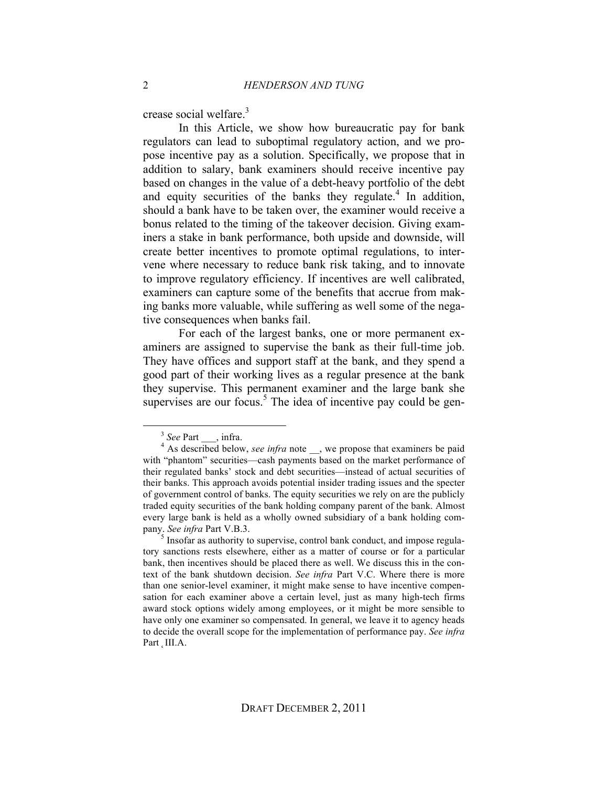crease social welfare. $3$ 

In this Article, we show how bureaucratic pay for bank regulators can lead to suboptimal regulatory action, and we propose incentive pay as a solution. Specifically, we propose that in addition to salary, bank examiners should receive incentive pay based on changes in the value of a debt-heavy portfolio of the debt and equity securities of the banks they regulate. <sup>4</sup> In addition, should a bank have to be taken over, the examiner would receive a bonus related to the timing of the takeover decision. Giving examiners a stake in bank performance, both upside and downside, will create better incentives to promote optimal regulations, to intervene where necessary to reduce bank risk taking, and to innovate to improve regulatory efficiency. If incentives are well calibrated, examiners can capture some of the benefits that accrue from making banks more valuable, while suffering as well some of the negative consequences when banks fail.

For each of the largest banks, one or more permanent examiners are assigned to supervise the bank as their full-time job. They have offices and support staff at the bank, and they spend a good part of their working lives as a regular presence at the bank they supervise. This permanent examiner and the large bank she supervises are our focus. $5$  The idea of incentive pay could be gen-

<sup>&</sup>lt;sup>3</sup> See Part \_\_\_, infra.

<sup>&</sup>lt;sup>4</sup> As described below, *see infra* note \_\_, we propose that examiners be paid with "phantom" securities—cash payments based on the market performance of their regulated banks' stock and debt securities—instead of actual securities of their banks. This approach avoids potential insider trading issues and the specter of government control of banks. The equity securities we rely on are the publicly traded equity securities of the bank holding company parent of the bank. Almost every large bank is held as a wholly owned subsidiary of a bank holding company. See infra Part V.B.3.

 $<sup>5</sup>$  Insofar as authority to supervise, control bank conduct, and impose regula-</sup> tory sanctions rests elsewhere, either as a matter of course or for a particular bank, then incentives should be placed there as well. We discuss this in the context of the bank shutdown decision. *See infra* Part V.C. Where there is more than one senior-level examiner, it might make sense to have incentive compensation for each examiner above a certain level, just as many high-tech firms award stock options widely among employees, or it might be more sensible to have only one examiner so compensated. In general, we leave it to agency heads to decide the overall scope for the implementation of performance pay. *See infra* Part *III.A.*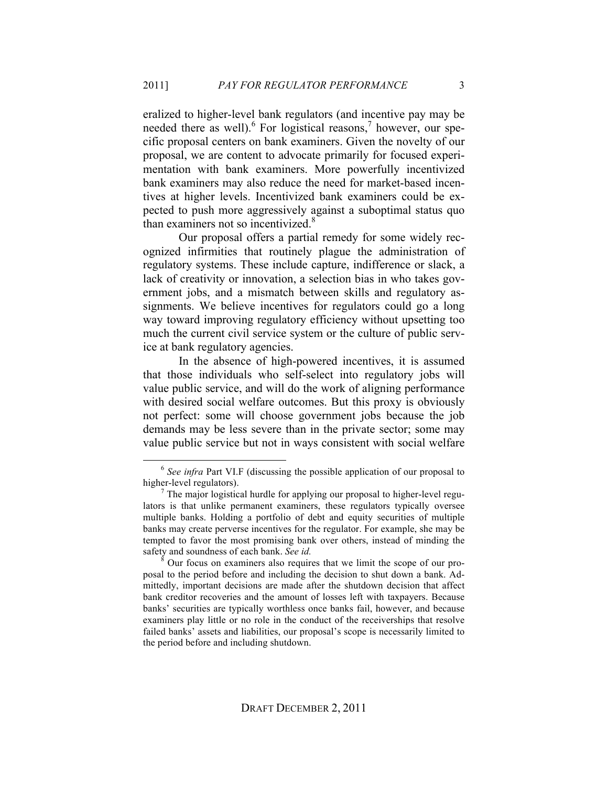eralized to higher-level bank regulators (and incentive pay may be needed there as well).<sup>6</sup> For logistical reasons,<sup>7</sup> however, our specific proposal centers on bank examiners. Given the novelty of our proposal, we are content to advocate primarily for focused experimentation with bank examiners. More powerfully incentivized bank examiners may also reduce the need for market-based incentives at higher levels. Incentivized bank examiners could be expected to push more aggressively against a suboptimal status quo than examiners not so incentivized.<sup>8</sup>

Our proposal offers a partial remedy for some widely recognized infirmities that routinely plague the administration of regulatory systems. These include capture, indifference or slack, a lack of creativity or innovation, a selection bias in who takes government jobs, and a mismatch between skills and regulatory assignments. We believe incentives for regulators could go a long way toward improving regulatory efficiency without upsetting too much the current civil service system or the culture of public service at bank regulatory agencies.

In the absence of high-powered incentives, it is assumed that those individuals who self-select into regulatory jobs will value public service, and will do the work of aligning performance with desired social welfare outcomes. But this proxy is obviously not perfect: some will choose government jobs because the job demands may be less severe than in the private sector; some may value public service but not in ways consistent with social welfare

 <sup>6</sup> *See infra* Part VI.F (discussing the possible application of our proposal to higher-level regulators).

 $\sigma$  The major logistical hurdle for applying our proposal to higher-level regulators is that unlike permanent examiners, these regulators typically oversee multiple banks. Holding a portfolio of debt and equity securities of multiple banks may create perverse incentives for the regulator. For example, she may be tempted to favor the most promising bank over others, instead of minding the safety and soundness of each bank. See id.

Our focus on examiners also requires that we limit the scope of our proposal to the period before and including the decision to shut down a bank. Admittedly, important decisions are made after the shutdown decision that affect bank creditor recoveries and the amount of losses left with taxpayers. Because banks' securities are typically worthless once banks fail, however, and because examiners play little or no role in the conduct of the receiverships that resolve failed banks' assets and liabilities, our proposal's scope is necessarily limited to the period before and including shutdown.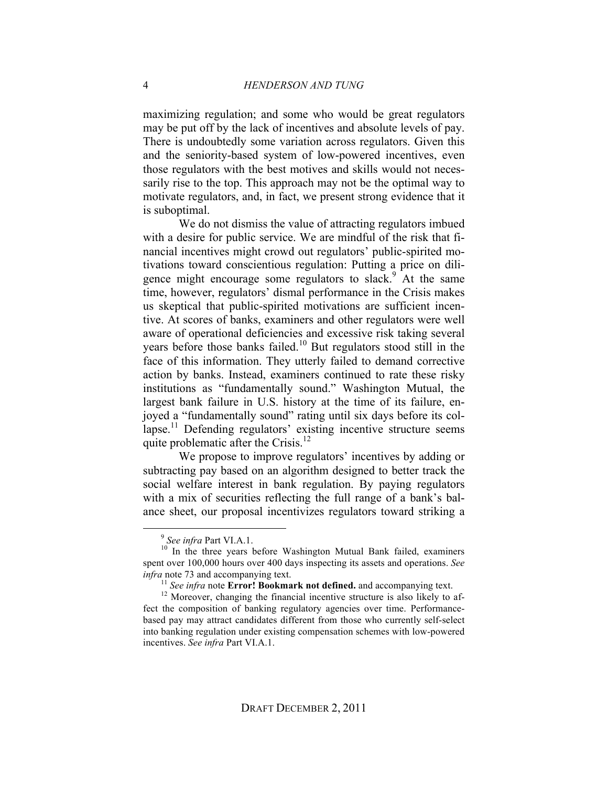maximizing regulation; and some who would be great regulators may be put off by the lack of incentives and absolute levels of pay. There is undoubtedly some variation across regulators. Given this and the seniority-based system of low-powered incentives, even those regulators with the best motives and skills would not necessarily rise to the top. This approach may not be the optimal way to motivate regulators, and, in fact, we present strong evidence that it is suboptimal.

We do not dismiss the value of attracting regulators imbued with a desire for public service. We are mindful of the risk that financial incentives might crowd out regulators' public-spirited motivations toward conscientious regulation: Putting a price on diligence might encourage some regulators to slack.<sup>9</sup> At the same time, however, regulators' dismal performance in the Crisis makes us skeptical that public-spirited motivations are sufficient incentive. At scores of banks, examiners and other regulators were well aware of operational deficiencies and excessive risk taking several years before those banks failed.<sup>10</sup> But regulators stood still in the face of this information. They utterly failed to demand corrective action by banks. Instead, examiners continued to rate these risky institutions as "fundamentally sound." Washington Mutual, the largest bank failure in U.S. history at the time of its failure, enjoyed a "fundamentally sound" rating until six days before its collapse.<sup>11</sup> Defending regulators' existing incentive structure seems quite problematic after the Crisis.<sup>12</sup>

We propose to improve regulators' incentives by adding or subtracting pay based on an algorithm designed to better track the social welfare interest in bank regulation. By paying regulators with a mix of securities reflecting the full range of a bank's balance sheet, our proposal incentivizes regulators toward striking a

<sup>&</sup>lt;sup>9</sup> See infra Part VI.A.1.<br><sup>10</sup> In the three years before Washington Mutual Bank failed, examiners spent over 100,000 hours over 400 days inspecting its assets and operations. *See* 

*infra* note 73 and accompanying text.<br><sup>11</sup> *See infra* note **Error! Bookmark not defined.** and accompanying text.<br><sup>12</sup> Moreover, changing the financial incentive structure is also likely to affect the composition of banking regulatory agencies over time. Performancebased pay may attract candidates different from those who currently self-select into banking regulation under existing compensation schemes with low-powered incentives. *See infra* Part VI.A.1.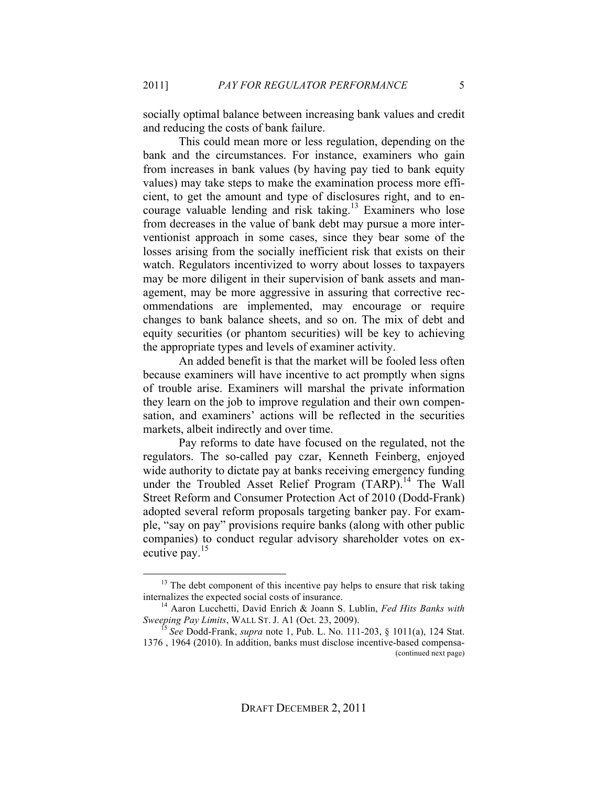socially optimal balance between increasing bank values and credit and reducing the costs of bank failure.

This could mean more or less regulation, depending on the bank and the circumstances. For instance, examiners who gain from increases in bank values (by having pay tied to bank equity values) may take steps to make the examination process more efficient, to get the amount and type of disclosures right, and to encourage valuable lending and risk taking.<sup>13</sup> Examiners who lose from decreases in the value of bank debt may pursue a more interventionist approach in some cases, since they bear some of the losses arising from the socially inefficient risk that exists on their watch. Regulators incentivized to worry about losses to taxpayers may be more diligent in their supervision of bank assets and management, may be more aggressive in assuring that corrective recommendations are implemented, may encourage or require changes to bank balance sheets, and so on. The mix of debt and equity securities (or phantom securities) will be key to achieving the appropriate types and levels of examiner activity.

An added benefit is that the market will be fooled less often because examiners will have incentive to act promptly when signs of trouble arise. Examiners will marshal the private information they learn on the job to improve regulation and their own compensation, and examiners' actions will be reflected in the securities markets, albeit indirectly and over time.

Pay reforms to date have focused on the regulated, not the regulators. The so-called pay czar, Kenneth Feinberg, enjoyed wide authority to dictate pay at banks receiving emergency funding under the Troubled Asset Relief Program  $(TARP)$ <sup>14</sup> The Wall Street Reform and Consumer Protection Act of 2010 (Dodd-Frank) adopted several reform proposals targeting banker pay. For example, "say on pay" provisions require banks (along with other public companies) to conduct regular advisory shareholder votes on executive pay.<sup>15</sup>

 $13$  The debt component of this incentive pay helps to ensure that risk taking internalizes the expected social costs of insurance. <sup>14</sup> Aaron Lucchetti, David Enrich & Joann S. Lublin, *Fed Hits Banks with* 

*Sweeping Pay Limits*, WALL ST. J. A1 (Oct. 23, 2009).<br><sup>15</sup> *See* Dodd-Frank, *supra* note 1, Pub. L. No. 111-203, § 1011(a), 124 Stat.

<sup>1376 , 1964 (2010).</sup> In addition, banks must disclose incentive-based compensa- (continued next page)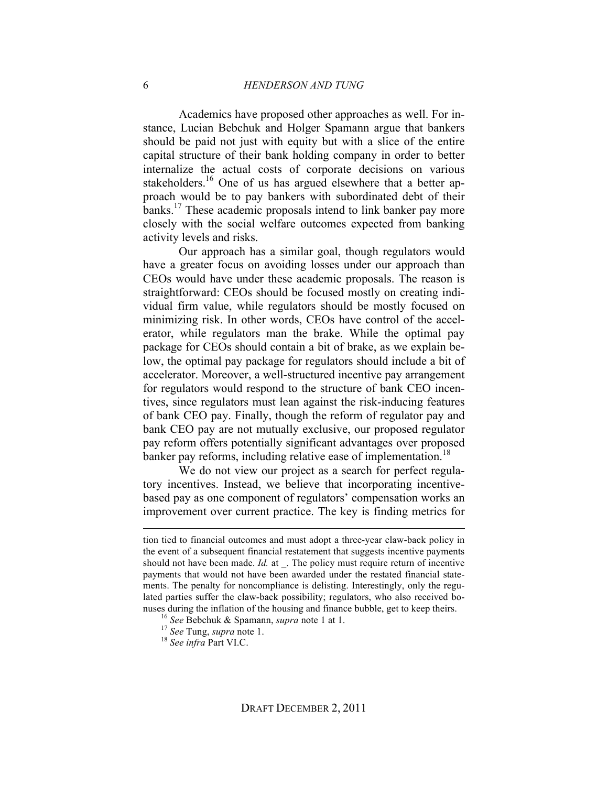Academics have proposed other approaches as well. For instance, Lucian Bebchuk and Holger Spamann argue that bankers should be paid not just with equity but with a slice of the entire capital structure of their bank holding company in order to better internalize the actual costs of corporate decisions on various stakeholders.<sup>16</sup> One of us has argued elsewhere that a better approach would be to pay bankers with subordinated debt of their banks.<sup>17</sup> These academic proposals intend to link banker pay more closely with the social welfare outcomes expected from banking activity levels and risks.

Our approach has a similar goal, though regulators would have a greater focus on avoiding losses under our approach than CEOs would have under these academic proposals. The reason is straightforward: CEOs should be focused mostly on creating individual firm value, while regulators should be mostly focused on minimizing risk. In other words, CEOs have control of the accelerator, while regulators man the brake. While the optimal pay package for CEOs should contain a bit of brake, as we explain below, the optimal pay package for regulators should include a bit of accelerator. Moreover, a well-structured incentive pay arrangement for regulators would respond to the structure of bank CEO incentives, since regulators must lean against the risk-inducing features of bank CEO pay. Finally, though the reform of regulator pay and bank CEO pay are not mutually exclusive, our proposed regulator pay reform offers potentially significant advantages over proposed banker pay reforms, including relative ease of implementation.<sup>18</sup>

We do not view our project as a search for perfect regulatory incentives. Instead, we believe that incorporating incentivebased pay as one component of regulators' compensation works an improvement over current practice. The key is finding metrics for

tion tied to financial outcomes and must adopt a three-year claw-back policy in the event of a subsequent financial restatement that suggests incentive payments should not have been made. *Id.* at . The policy must require return of incentive payments that would not have been awarded under the restated financial statements. The penalty for noncompliance is delisting. Interestingly, only the regulated parties suffer the claw-back possibility; regulators, who also received bonuses during the inflation of the housing and finance bubble, get to keep theirs.<br><sup>16</sup> *See* Bebchuk & Spamann, *supra* note 1 at 1.<br><sup>17</sup> *See* Tung, *supra* note 1.<br><sup>18</sup> *See infra* Part VI.C.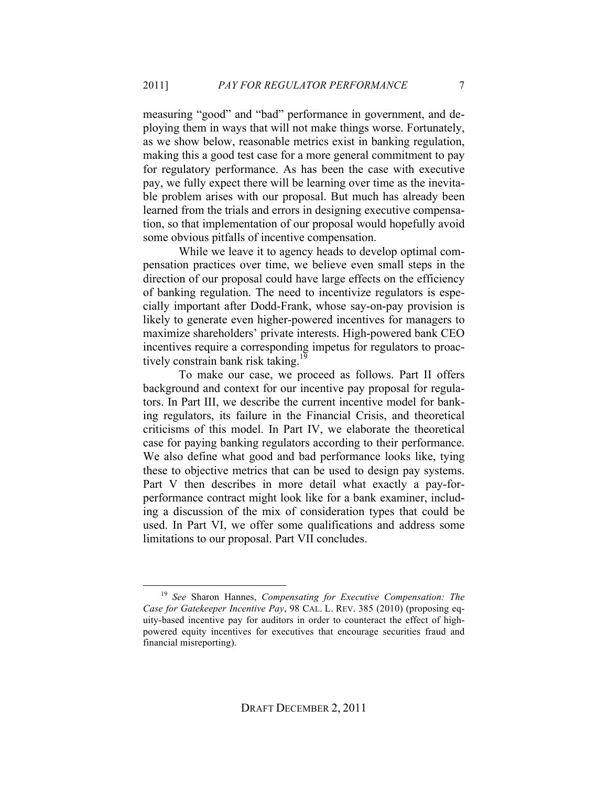measuring "good" and "bad" performance in government, and deploying them in ways that will not make things worse. Fortunately, as we show below, reasonable metrics exist in banking regulation, making this a good test case for a more general commitment to pay for regulatory performance. As has been the case with executive pay, we fully expect there will be learning over time as the inevitable problem arises with our proposal. But much has already been learned from the trials and errors in designing executive compensation, so that implementation of our proposal would hopefully avoid some obvious pitfalls of incentive compensation.

While we leave it to agency heads to develop optimal compensation practices over time, we believe even small steps in the direction of our proposal could have large effects on the efficiency of banking regulation. The need to incentivize regulators is especially important after Dodd-Frank, whose say-on-pay provision is likely to generate even higher-powered incentives for managers to maximize shareholders' private interests. High-powered bank CEO incentives require a corresponding impetus for regulators to proactively constrain bank risk taking.<sup>19</sup>

To make our case, we proceed as follows. Part II offers background and context for our incentive pay proposal for regulators. In Part III, we describe the current incentive model for banking regulators, its failure in the Financial Crisis, and theoretical criticisms of this model. In Part IV, we elaborate the theoretical case for paying banking regulators according to their performance. We also define what good and bad performance looks like, tying these to objective metrics that can be used to design pay systems. Part V then describes in more detail what exactly a pay-forperformance contract might look like for a bank examiner, including a discussion of the mix of consideration types that could be used. In Part VI, we offer some qualifications and address some limitations to our proposal. Part VII concludes.

 <sup>19</sup> *See* Sharon Hannes, *Compensating for Executive Compensation: The Case for Gatekeeper Incentive Pay*, 98 CAL. L. REV. 385 (2010) (proposing equity-based incentive pay for auditors in order to counteract the effect of highpowered equity incentives for executives that encourage securities fraud and financial misreporting).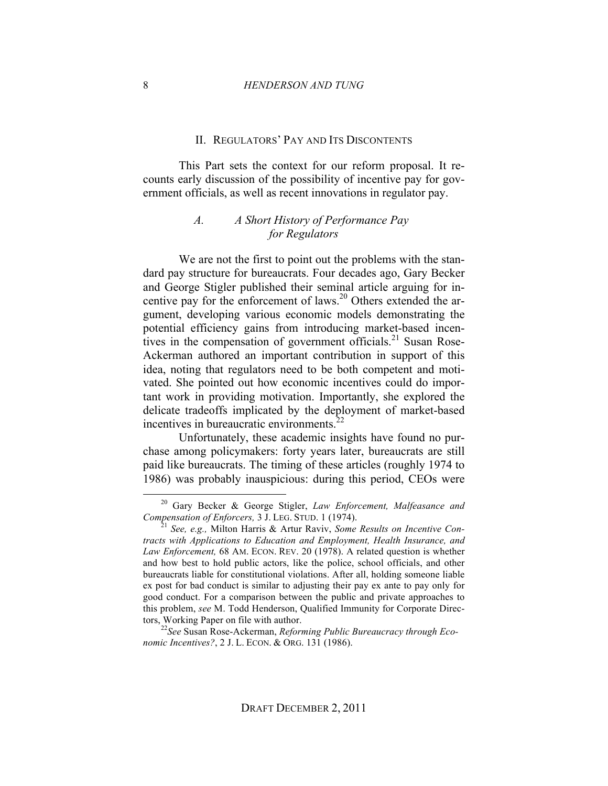#### II. REGULATORS' PAY AND ITS DISCONTENTS

This Part sets the context for our reform proposal. It recounts early discussion of the possibility of incentive pay for government officials, as well as recent innovations in regulator pay.

#### *A. A Short History of Performance Pay for Regulators*

We are not the first to point out the problems with the standard pay structure for bureaucrats. Four decades ago, Gary Becker and George Stigler published their seminal article arguing for incentive pay for the enforcement of laws. 20 Others extended the argument, developing various economic models demonstrating the potential efficiency gains from introducing market-based incentives in the compensation of government officials.<sup>21</sup> Susan Rose-Ackerman authored an important contribution in support of this idea, noting that regulators need to be both competent and motivated. She pointed out how economic incentives could do important work in providing motivation. Importantly, she explored the delicate tradeoffs implicated by the deployment of market-based incentives in bureaucratic environments. $^{22}$ 

Unfortunately, these academic insights have found no purchase among policymakers: forty years later, bureaucrats are still paid like bureaucrats. The timing of these articles (roughly 1974 to 1986) was probably inauspicious: during this period, CEOs were

*nomic Incentives?*, 2 J. L. ECON. & ORG. 131 (1986).

 <sup>20</sup> Gary Becker & George Stigler, *Law Enforcement, Malfeasance and Compensation of Enforcers,* 3 J. LEG. STUD. 1 (1974). <sup>21</sup> *See, e.g.,* Milton Harris & Artur Raviv, *Some Results on Incentive Con-*

*tracts with Applications to Education and Employment, Health Insurance, and Law Enforcement,* 68 AM. ECON. REV. 20 (1978). A related question is whether and how best to hold public actors, like the police, school officials, and other bureaucrats liable for constitutional violations. After all, holding someone liable ex post for bad conduct is similar to adjusting their pay ex ante to pay only for good conduct. For a comparison between the public and private approaches to this problem, *see* M. Todd Henderson, Qualified Immunity for Corporate Directors, Working Paper on file with author. <sup>22</sup>*See* Susan Rose-Ackerman, *Reforming Public Bureaucracy through Eco-*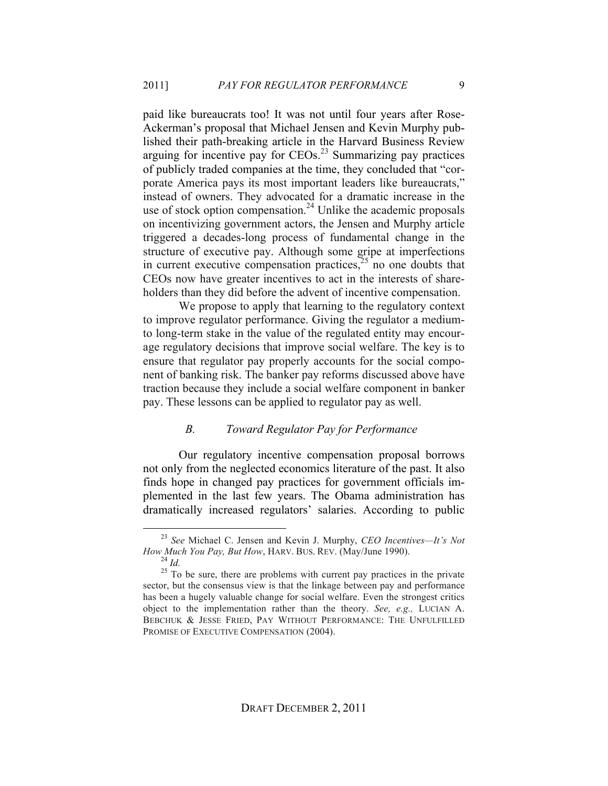paid like bureaucrats too! It was not until four years after Rose-Ackerman's proposal that Michael Jensen and Kevin Murphy published their path-breaking article in the Harvard Business Review arguing for incentive pay for  $CEOs.<sup>23</sup>$  Summarizing pay practices of publicly traded companies at the time, they concluded that "corporate America pays its most important leaders like bureaucrats," instead of owners. They advocated for a dramatic increase in the use of stock option compensation.<sup>24</sup> Unlike the academic proposals on incentivizing government actors, the Jensen and Murphy article triggered a decades-long process of fundamental change in the structure of executive pay. Although some gripe at imperfections in current executive compensation practices, $25$  no one doubts that CEOs now have greater incentives to act in the interests of shareholders than they did before the advent of incentive compensation.

We propose to apply that learning to the regulatory context to improve regulator performance. Giving the regulator a mediumto long-term stake in the value of the regulated entity may encourage regulatory decisions that improve social welfare. The key is to ensure that regulator pay properly accounts for the social component of banking risk. The banker pay reforms discussed above have traction because they include a social welfare component in banker pay. These lessons can be applied to regulator pay as well.

#### *B. Toward Regulator Pay for Performance*

Our regulatory incentive compensation proposal borrows not only from the neglected economics literature of the past. It also finds hope in changed pay practices for government officials implemented in the last few years. The Obama administration has dramatically increased regulators' salaries. According to public

<sup>&</sup>lt;sup>23</sup> *See* Michael C. Jensen and Kevin J. Murphy, *CEO Incentives—It's Not How Much You Pay, But How, HARV. BUS. REV. (May/June 1990).* 

<sup>&</sup>lt;sup>24</sup> *Id.* <sup>25</sup> To be sure, there are problems with current pay practices in the private sector, but the consensus view is that the linkage between pay and performance has been a hugely valuable change for social welfare. Even the strongest critics object to the implementation rather than the theory. *See, e.g.,* LUCIAN A. BEBCHUK & JESSE FRIED, PAY WITHOUT PERFORMANCE: THE UNFULFILLED PROMISE OF EXECUTIVE COMPENSATION (2004).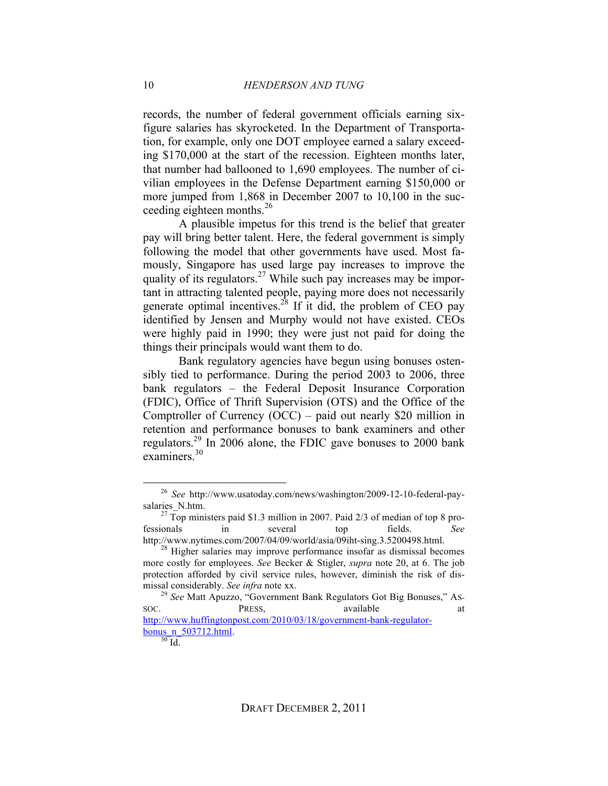records, the number of federal government officials earning sixfigure salaries has skyrocketed. In the Department of Transportation, for example, only one DOT employee earned a salary exceeding \$170,000 at the start of the recession. Eighteen months later, that number had ballooned to 1,690 employees. The number of civilian employees in the Defense Department earning \$150,000 or more jumped from 1,868 in December 2007 to 10,100 in the succeeding eighteen months.<sup>26</sup>

A plausible impetus for this trend is the belief that greater pay will bring better talent. Here, the federal government is simply following the model that other governments have used. Most famously, Singapore has used large pay increases to improve the quality of its regulators.<sup>27</sup> While such pay increases may be important in attracting talented people, paying more does not necessarily generate optimal incentives.28 If it did, the problem of CEO pay identified by Jensen and Murphy would not have existed. CEOs were highly paid in 1990; they were just not paid for doing the things their principals would want them to do.

Bank regulatory agencies have begun using bonuses ostensibly tied to performance. During the period 2003 to 2006, three bank regulators – the Federal Deposit Insurance Corporation (FDIC), Office of Thrift Supervision (OTS) and the Office of the Comptroller of Currency (OCC) – paid out nearly \$20 million in retention and performance bonuses to bank examiners and other regulators.29 In 2006 alone, the FDIC gave bonuses to 2000 bank examiners.<sup>30</sup>

 <sup>26</sup> *See* http://www.usatoday.com/news/washington/2009-12-10-federal-paysalaries\_N.htm. <sup>27</sup> Top ministers paid \$1.3 million in 2007. Paid  $2/3$  of median of top 8 pro-

fessionals in several top fields. *See*

 $28$  Higher salaries may improve performance insofar as dismissal becomes more costly for employees. *See* Becker & Stigler, *supra* note 20, at 6. The job protection afforded by civil service rules, however, diminish the risk of dismissal considerably. *See infra* note xx.<br><sup>29</sup> *See* Matt Apuzzo, "Government Bank Regulators Got Big Bonuses," As-

SOC. PRESS, available at http://www.huffingtonpost.com/2010/03/18/government-bank-regulatorbonus\_n\_503712.html.  $\frac{30 \text{ Jd}}{30 \text{ Jd}}$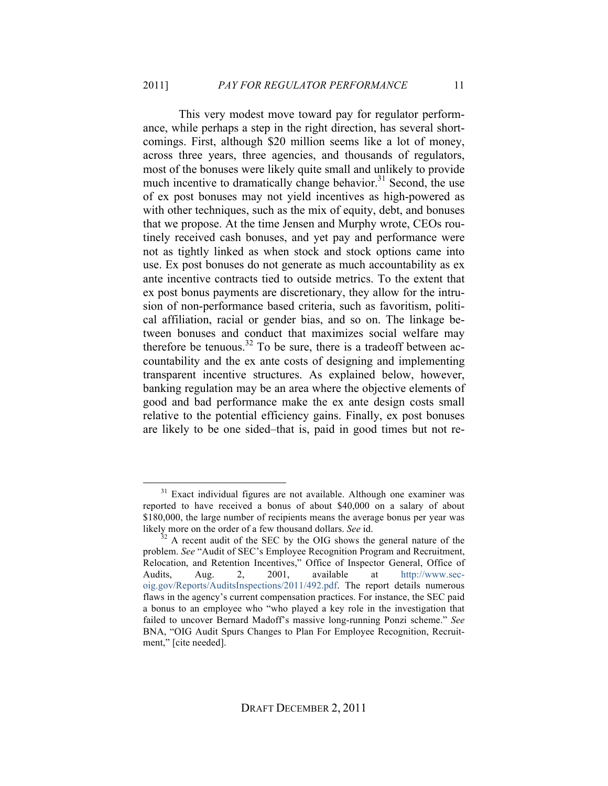This very modest move toward pay for regulator performance, while perhaps a step in the right direction, has several shortcomings. First, although \$20 million seems like a lot of money, across three years, three agencies, and thousands of regulators, most of the bonuses were likely quite small and unlikely to provide much incentive to dramatically change behavior.<sup>31</sup> Second, the use of ex post bonuses may not yield incentives as high-powered as with other techniques, such as the mix of equity, debt, and bonuses that we propose. At the time Jensen and Murphy wrote, CEOs routinely received cash bonuses, and yet pay and performance were not as tightly linked as when stock and stock options came into use. Ex post bonuses do not generate as much accountability as ex ante incentive contracts tied to outside metrics. To the extent that ex post bonus payments are discretionary, they allow for the intrusion of non-performance based criteria, such as favoritism, political affiliation, racial or gender bias, and so on. The linkage between bonuses and conduct that maximizes social welfare may therefore be tenuous.<sup>32</sup> To be sure, there is a tradeoff between accountability and the ex ante costs of designing and implementing transparent incentive structures. As explained below, however, banking regulation may be an area where the objective elements of good and bad performance make the ex ante design costs small relative to the potential efficiency gains. Finally, ex post bonuses are likely to be one sided–that is, paid in good times but not re-

<sup>&</sup>lt;sup>31</sup> Exact individual figures are not available. Although one examiner was reported to have received a bonus of about \$40,000 on a salary of about \$180,000, the large number of recipients means the average bonus per year was

likely more on the order of a few thousand dollars. *See* id. <sup>32</sup> A recent audit of the SEC by the OIG shows the general nature of the problem. *See* "Audit of SEC's Employee Recognition Program and Recruitment, Relocation, and Retention Incentives," Office of Inspector General, Office of Audits, Aug. 2, 2001, available at http://www.secoig.gov/Reports/AuditsInspections/2011/492.pdf. The report details numerous flaws in the agency's current compensation practices. For instance, the SEC paid a bonus to an employee who "who played a key role in the investigation that failed to uncover Bernard Madoff's massive long-running Ponzi scheme." *See* BNA, "OIG Audit Spurs Changes to Plan For Employee Recognition, Recruitment," [cite needed].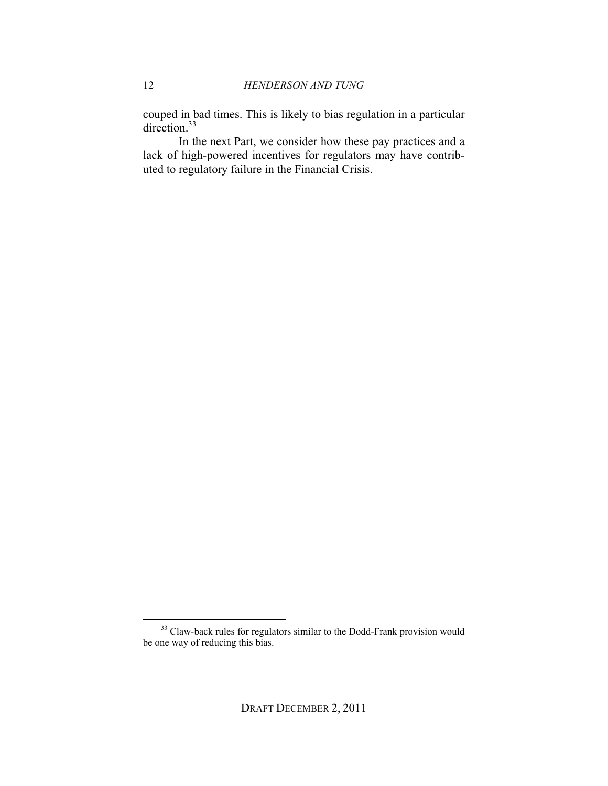couped in bad times. This is likely to bias regulation in a particular direction.<sup>33</sup>

In the next Part, we consider how these pay practices and a lack of high-powered incentives for regulators may have contributed to regulatory failure in the Financial Crisis.

<sup>&</sup>lt;sup>33</sup> Claw-back rules for regulators similar to the Dodd-Frank provision would be one way of reducing this bias.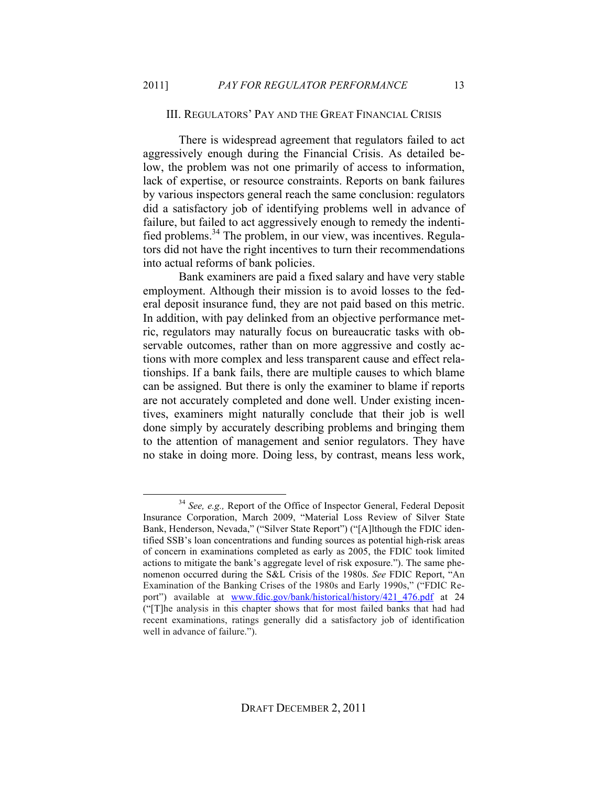#### III. REGULATORS' PAY AND THE GREAT FINANCIAL CRISIS

There is widespread agreement that regulators failed to act aggressively enough during the Financial Crisis. As detailed below, the problem was not one primarily of access to information, lack of expertise, or resource constraints. Reports on bank failures by various inspectors general reach the same conclusion: regulators did a satisfactory job of identifying problems well in advance of failure, but failed to act aggressively enough to remedy the indentified problems.34 The problem, in our view, was incentives. Regulators did not have the right incentives to turn their recommendations into actual reforms of bank policies.

Bank examiners are paid a fixed salary and have very stable employment. Although their mission is to avoid losses to the federal deposit insurance fund, they are not paid based on this metric. In addition, with pay delinked from an objective performance metric, regulators may naturally focus on bureaucratic tasks with observable outcomes, rather than on more aggressive and costly actions with more complex and less transparent cause and effect relationships. If a bank fails, there are multiple causes to which blame can be assigned. But there is only the examiner to blame if reports are not accurately completed and done well. Under existing incentives, examiners might naturally conclude that their job is well done simply by accurately describing problems and bringing them to the attention of management and senior regulators. They have no stake in doing more. Doing less, by contrast, means less work,

 <sup>34</sup> *See, e.g.,* Report of the Office of Inspector General, Federal Deposit Insurance Corporation, March 2009, "Material Loss Review of Silver State Bank, Henderson, Nevada," ("Silver State Report") ("[A]lthough the FDIC identified SSB's loan concentrations and funding sources as potential high-risk areas of concern in examinations completed as early as 2005, the FDIC took limited actions to mitigate the bank's aggregate level of risk exposure."). The same phenomenon occurred during the S&L Crisis of the 1980s. *See* FDIC Report, "An Examination of the Banking Crises of the 1980s and Early 1990s," ("FDIC Report") available at www.fdic.gov/bank/historical/history/421\_476.pdf at 24 ("[T]he analysis in this chapter shows that for most failed banks that had had recent examinations, ratings generally did a satisfactory job of identification well in advance of failure.").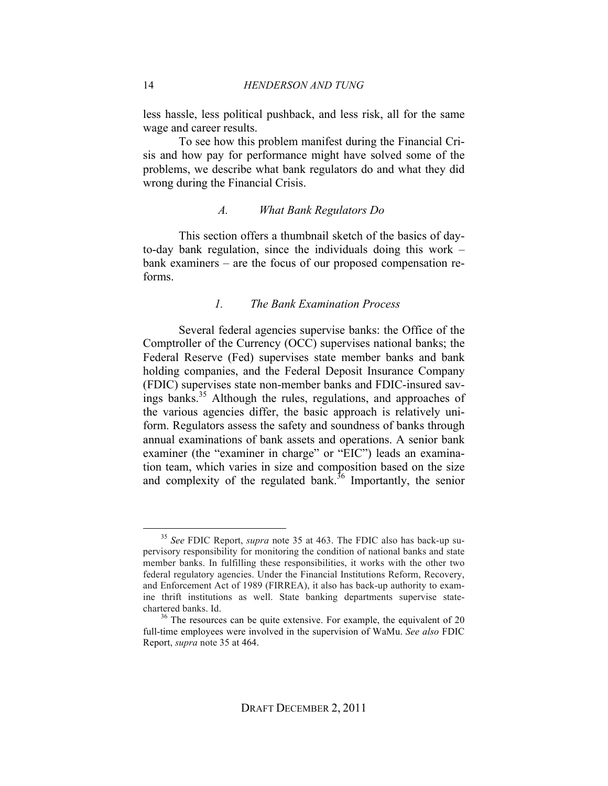less hassle, less political pushback, and less risk, all for the same wage and career results.

To see how this problem manifest during the Financial Crisis and how pay for performance might have solved some of the problems, we describe what bank regulators do and what they did wrong during the Financial Crisis.

#### *A. What Bank Regulators Do*

This section offers a thumbnail sketch of the basics of dayto-day bank regulation, since the individuals doing this work – bank examiners – are the focus of our proposed compensation reforms.

#### *1. The Bank Examination Process*

Several federal agencies supervise banks: the Office of the Comptroller of the Currency (OCC) supervises national banks; the Federal Reserve (Fed) supervises state member banks and bank holding companies, and the Federal Deposit Insurance Company (FDIC) supervises state non-member banks and FDIC-insured savings banks.<sup>35</sup> Although the rules, regulations, and approaches of the various agencies differ, the basic approach is relatively uniform. Regulators assess the safety and soundness of banks through annual examinations of bank assets and operations. A senior bank examiner (the "examiner in charge" or "EIC") leads an examination team, which varies in size and composition based on the size and complexity of the regulated bank.<sup>36</sup> Importantly, the senior

 <sup>35</sup> *See* FDIC Report, *supra* note 35 at 463. The FDIC also has back-up supervisory responsibility for monitoring the condition of national banks and state member banks. In fulfilling these responsibilities, it works with the other two federal regulatory agencies. Under the Financial Institutions Reform, Recovery, and Enforcement Act of 1989 (FIRREA), it also has back-up authority to examine thrift institutions as well. State banking departments supervise statechartered banks. Id.  $36$  The resources can be quite extensive. For example, the equivalent of 20

full-time employees were involved in the supervision of WaMu. *See also* FDIC Report, *supra* note 35 at 464.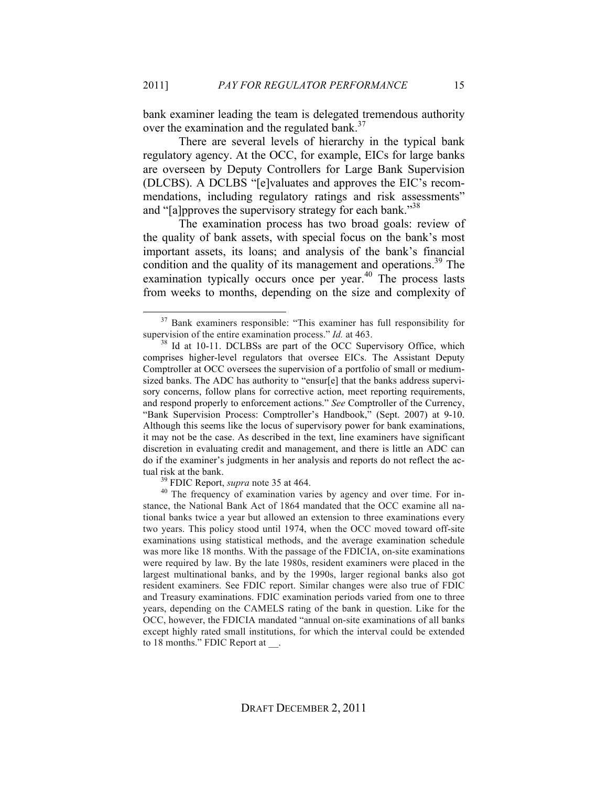bank examiner leading the team is delegated tremendous authority over the examination and the regulated bank.<sup>37</sup>

There are several levels of hierarchy in the typical bank regulatory agency. At the OCC, for example, EICs for large banks are overseen by Deputy Controllers for Large Bank Supervision (DLCBS). A DCLBS "[e]valuates and approves the EIC's recommendations, including regulatory ratings and risk assessments" and "[a]pproves the supervisory strategy for each bank."<sup>38</sup>

The examination process has two broad goals: review of the quality of bank assets, with special focus on the bank's most important assets, its loans; and analysis of the bank's financial condition and the quality of its management and operations.<sup>39</sup> The examination typically occurs once per year.<sup>40</sup> The process lasts from weeks to months, depending on the size and complexity of

<sup>&</sup>lt;sup>37</sup> Bank examiners responsible: "This examiner has full responsibility for supervision of the entire examination process." *Id.* at 463.<br><sup>38</sup> Id at 10-11. DCLBSs are part of the OCC Supervisory Office, which

comprises higher-level regulators that oversee EICs. The Assistant Deputy Comptroller at OCC oversees the supervision of a portfolio of small or mediumsized banks. The ADC has authority to "ensur[e] that the banks address supervisory concerns, follow plans for corrective action, meet reporting requirements, and respond properly to enforcement actions." *See* Comptroller of the Currency, "Bank Supervision Process: Comptroller's Handbook," (Sept. 2007) at 9-10. Although this seems like the locus of supervisory power for bank examinations, it may not be the case. As described in the text, line examiners have significant discretion in evaluating credit and management, and there is little an ADC can do if the examiner's judgments in her analysis and reports do not reflect the ac-

tual risk at the bank.<br><sup>39</sup> FDIC Report, *supra* note 35 at 464.<br><sup>40</sup> The frequency of examination varies by agency and over time. For instance, the National Bank Act of 1864 mandated that the OCC examine all national banks twice a year but allowed an extension to three examinations every two years. This policy stood until 1974, when the OCC moved toward off-site examinations using statistical methods, and the average examination schedule was more like 18 months. With the passage of the FDICIA, on-site examinations were required by law. By the late 1980s, resident examiners were placed in the largest multinational banks, and by the 1990s, larger regional banks also got resident examiners. See FDIC report. Similar changes were also true of FDIC and Treasury examinations. FDIC examination periods varied from one to three years, depending on the CAMELS rating of the bank in question. Like for the OCC, however, the FDICIA mandated "annual on-site examinations of all banks except highly rated small institutions, for which the interval could be extended to 18 months." FDIC Report at \_\_\_.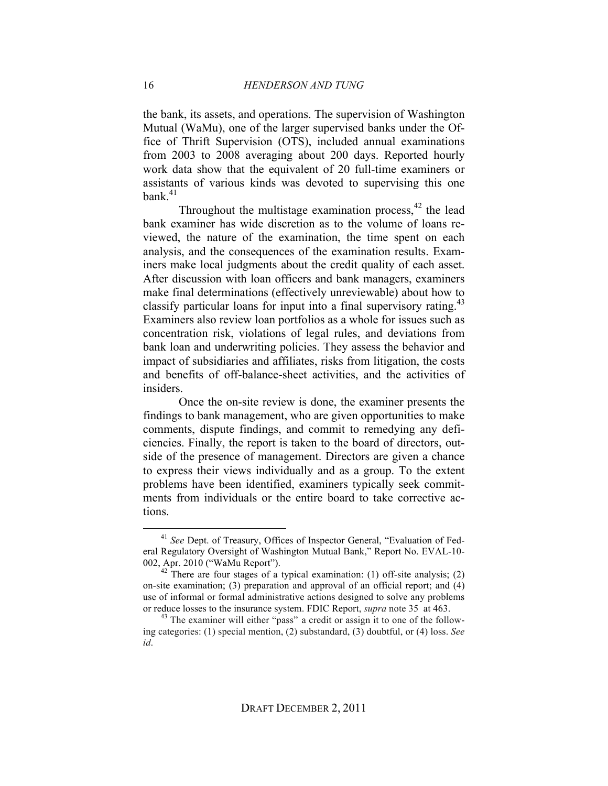the bank, its assets, and operations. The supervision of Washington Mutual (WaMu), one of the larger supervised banks under the Office of Thrift Supervision (OTS), included annual examinations from 2003 to 2008 averaging about 200 days. Reported hourly work data show that the equivalent of 20 full-time examiners or assistants of various kinds was devoted to supervising this one  $h$ ank $1$ 

Throughout the multistage examination process,  $42$  the lead bank examiner has wide discretion as to the volume of loans reviewed, the nature of the examination, the time spent on each analysis, and the consequences of the examination results. Examiners make local judgments about the credit quality of each asset. After discussion with loan officers and bank managers, examiners make final determinations (effectively unreviewable) about how to classify particular loans for input into a final supervisory rating.<sup>43</sup> Examiners also review loan portfolios as a whole for issues such as concentration risk, violations of legal rules, and deviations from bank loan and underwriting policies. They assess the behavior and impact of subsidiaries and affiliates, risks from litigation, the costs and benefits of off-balance-sheet activities, and the activities of insiders.

Once the on-site review is done, the examiner presents the findings to bank management, who are given opportunities to make comments, dispute findings, and commit to remedying any deficiencies. Finally, the report is taken to the board of directors, outside of the presence of management. Directors are given a chance to express their views individually and as a group. To the extent problems have been identified, examiners typically seek commitments from individuals or the entire board to take corrective actions.

 <sup>41</sup> *See* Dept. of Treasury, Offices of Inspector General, "Evaluation of Federal Regulatory Oversight of Washington Mutual Bank," Report No. EVAL-10-002, Apr. 2010 ("WaMu Report").

<sup>&</sup>lt;sup>42</sup> There are four stages of a typical examination: (1) off-site analysis; (2) on-site examination; (3) preparation and approval of an official report; and (4) use of informal or formal administrative actions designed to solve any problems or reduce losses to the insurance system. FDIC Report, *supra* note 35 at 463.<br><sup>43</sup> The examiner will either "pass" a credit or assign it to one of the follow-

ing categories: (1) special mention, (2) substandard, (3) doubtful, or (4) loss. *See id*.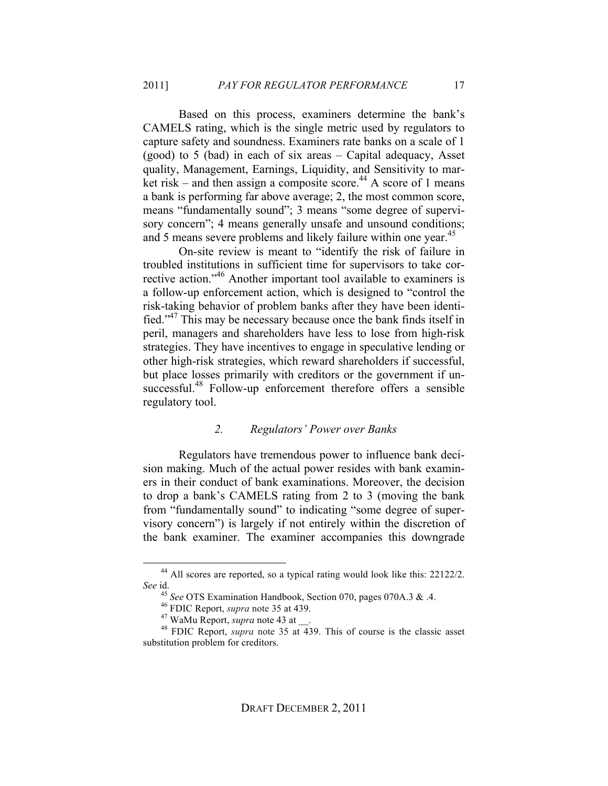Based on this process, examiners determine the bank's CAMELS rating, which is the single metric used by regulators to capture safety and soundness. Examiners rate banks on a scale of 1 (good) to 5 (bad) in each of six areas – Capital adequacy, Asset quality, Management, Earnings, Liquidity, and Sensitivity to market risk – and then assign a composite score.<sup>44</sup> A score of 1 means a bank is performing far above average; 2, the most common score, means "fundamentally sound"; 3 means "some degree of supervisory concern"; 4 means generally unsafe and unsound conditions; and 5 means severe problems and likely failure within one year.<sup>45</sup>

On-site review is meant to "identify the risk of failure in troubled institutions in sufficient time for supervisors to take corrective action."46 Another important tool available to examiners is a follow-up enforcement action, which is designed to "control the risk-taking behavior of problem banks after they have been identified."47 This may be necessary because once the bank finds itself in peril, managers and shareholders have less to lose from high-risk strategies. They have incentives to engage in speculative lending or other high-risk strategies, which reward shareholders if successful, but place losses primarily with creditors or the government if unsuccessful.<sup>48</sup> Follow-up enforcement therefore offers a sensible regulatory tool.

#### *2. Regulators' Power over Banks*

Regulators have tremendous power to influence bank decision making. Much of the actual power resides with bank examiners in their conduct of bank examinations. Moreover, the decision to drop a bank's CAMELS rating from 2 to 3 (moving the bank from "fundamentally sound" to indicating "some degree of supervisory concern") is largely if not entirely within the discretion of the bank examiner. The examiner accompanies this downgrade

<sup>&</sup>lt;sup>44</sup> All scores are reported, so a typical rating would look like this: 22122/2. *See* id.

<sup>&</sup>lt;sup>45</sup> See OTS Examination Handbook, Section 070, pages 070A.3 & .4.<br><sup>46</sup> FDIC Report, *supra* note 35 at 439.<br><sup>47</sup> WaMu Report, *supra* note 43 at \_\_.<br><sup>48</sup> FDIC Report, *supra* note 35 at 439. This of course is the classic

substitution problem for creditors.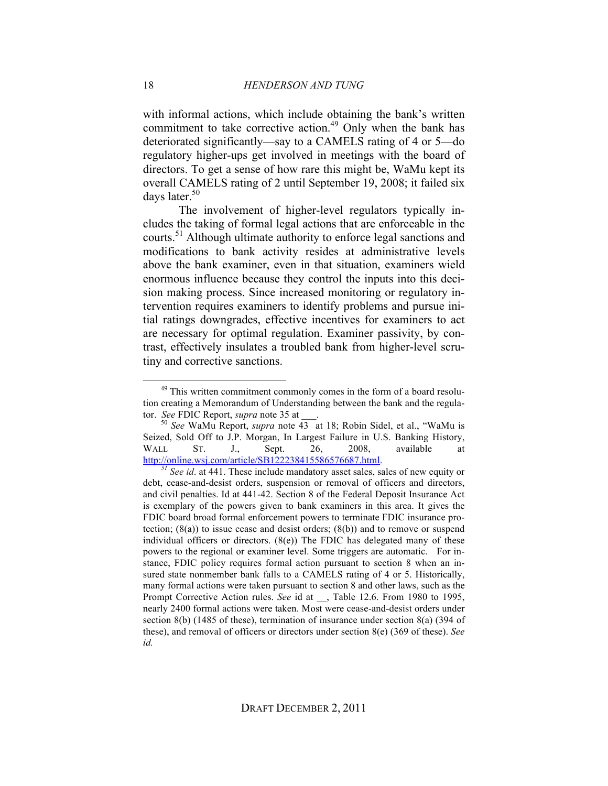with informal actions, which include obtaining the bank's written commitment to take corrective action.<sup>49</sup> Only when the bank has deteriorated significantly—say to a CAMELS rating of 4 or 5—do regulatory higher-ups get involved in meetings with the board of directors. To get a sense of how rare this might be, WaMu kept its overall CAMELS rating of 2 until September 19, 2008; it failed six days later.<sup>50</sup>

The involvement of higher-level regulators typically includes the taking of formal legal actions that are enforceable in the courts.<sup>51</sup> Although ultimate authority to enforce legal sanctions and modifications to bank activity resides at administrative levels above the bank examiner, even in that situation, examiners wield enormous influence because they control the inputs into this decision making process. Since increased monitoring or regulatory intervention requires examiners to identify problems and pursue initial ratings downgrades, effective incentives for examiners to act are necessary for optimal regulation. Examiner passivity, by contrast, effectively insulates a troubled bank from higher-level scrutiny and corrective sanctions.

<sup>&</sup>lt;sup>49</sup> This written commitment commonly comes in the form of a board resolution creating a Memorandum of Understanding between the bank and the regula-<br>tor. See FDIC Report, *supra* note 35 at

<sup>&</sup>lt;sup>50</sup> See WaMu Report, *supra* note  $\overline{43}$  at 18; Robin Sidel, et al., "WaMu is Seized, Sold Off to J.P. Morgan, In Largest Failure in U.S. Banking History, WALL ST. J., Sept. 26, 2008, available at http://online.wsj.com/article/SB122238415586576687.html. *<sup>51</sup> See id*. at 441. These include mandatory asset sales, sales of new equity or

debt, cease-and-desist orders, suspension or removal of officers and directors, and civil penalties. Id at 441-42. Section 8 of the Federal Deposit Insurance Act is exemplary of the powers given to bank examiners in this area. It gives the FDIC board broad formal enforcement powers to terminate FDIC insurance protection;  $(8(a))$  to issue cease and desist orders;  $(8(b))$  and to remove or suspend individual officers or directors.  $(8(e))$  The FDIC has delegated many of these powers to the regional or examiner level. Some triggers are automatic. For instance, FDIC policy requires formal action pursuant to section 8 when an insured state nonmember bank falls to a CAMELS rating of 4 or 5. Historically, many formal actions were taken pursuant to section 8 and other laws, such as the Prompt Corrective Action rules. *See* id at \_\_, Table 12.6. From 1980 to 1995, nearly 2400 formal actions were taken. Most were cease-and-desist orders under section 8(b) (1485 of these), termination of insurance under section 8(a) (394 of these), and removal of officers or directors under section 8(e) (369 of these). *See id.*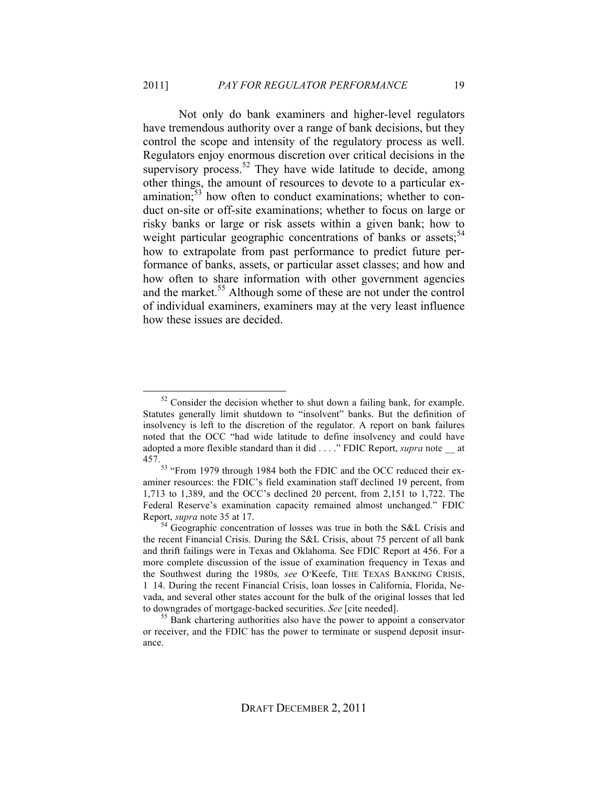Not only do bank examiners and higher-level regulators have tremendous authority over a range of bank decisions, but they control the scope and intensity of the regulatory process as well. Regulators enjoy enormous discretion over critical decisions in the supervisory process.<sup>52</sup> They have wide latitude to decide, among other things, the amount of resources to devote to a particular examination;<sup>53</sup> how often to conduct examinations; whether to conduct on-site or off-site examinations; whether to focus on large or risky banks or large or risk assets within a given bank; how to weight particular geographic concentrations of banks or assets;  $54$ how to extrapolate from past performance to predict future performance of banks, assets, or particular asset classes; and how and how often to share information with other government agencies and the market. <sup>55</sup> Although some of these are not under the control of individual examiners, examiners may at the very least influence how these issues are decided.

 $52$  Consider the decision whether to shut down a failing bank, for example. Statutes generally limit shutdown to "insolvent" banks. But the definition of insolvency is left to the discretion of the regulator. A report on bank failures noted that the OCC "had wide latitude to define insolvency and could have adopted a more flexible standard than it did . . . ." FDIC Report, *supra* note \_\_ at 457.<br><sup>53</sup> "From 1979 through 1984 both the FDIC and the OCC reduced their ex-

aminer resources: the FDIC's field examination staff declined 19 percent, from 1,713 to 1,389, and the OCC's declined 20 percent, from 2,151 to 1,722. The Federal Reserve's examination capacity remained almost unchanged." FDIC Report, *supra* note 35 at 17.<br><sup>54</sup> Geographic concentration of losses was true in both the S&L Crisis and

the recent Financial Crisis. During the S&L Crisis, about 75 percent of all bank and thrift failings were in Texas and Oklahoma. See FDIC Report at 456. For a more complete discussion of the issue of examination frequency in Texas and the Southwest during the 1980s*, see* O'Keefe, THE TEXAS BANKING CRISIS, 1 14. During the recent Financial Crisis, loan losses in California, Florida, Nevada, and several other states account for the bulk of the original losses that led to downgrades of mortgage-backed securities. *See* [cite needed]. 55 Bank chartering authorities also have the power to appoint a conservator

or receiver, and the FDIC has the power to terminate or suspend deposit insurance.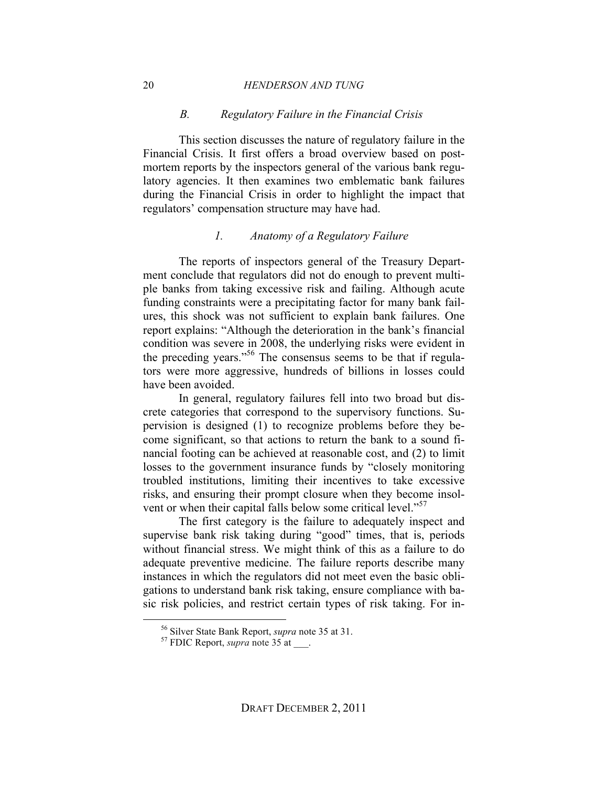#### 20 *HENDERSON AND TUNG*

#### *B. Regulatory Failure in the Financial Crisis*

This section discusses the nature of regulatory failure in the Financial Crisis. It first offers a broad overview based on postmortem reports by the inspectors general of the various bank regulatory agencies. It then examines two emblematic bank failures during the Financial Crisis in order to highlight the impact that regulators' compensation structure may have had.

#### *1. Anatomy of a Regulatory Failure*

The reports of inspectors general of the Treasury Department conclude that regulators did not do enough to prevent multiple banks from taking excessive risk and failing. Although acute funding constraints were a precipitating factor for many bank failures, this shock was not sufficient to explain bank failures. One report explains: "Although the deterioration in the bank's financial condition was severe in 2008, the underlying risks were evident in the preceding years."56 The consensus seems to be that if regulators were more aggressive, hundreds of billions in losses could have been avoided.

In general, regulatory failures fell into two broad but discrete categories that correspond to the supervisory functions. Supervision is designed (1) to recognize problems before they become significant, so that actions to return the bank to a sound financial footing can be achieved at reasonable cost, and (2) to limit losses to the government insurance funds by "closely monitoring troubled institutions, limiting their incentives to take excessive risks, and ensuring their prompt closure when they become insolvent or when their capital falls below some critical level."<sup>57</sup>

The first category is the failure to adequately inspect and supervise bank risk taking during "good" times, that is, periods without financial stress. We might think of this as a failure to do adequate preventive medicine. The failure reports describe many instances in which the regulators did not meet even the basic obligations to understand bank risk taking, ensure compliance with basic risk policies, and restrict certain types of risk taking. For in-

 <sup>56</sup> Silver State Bank Report, *supra* note 35 at 31. 57 FDIC Report, *supra* note 35 at \_\_\_.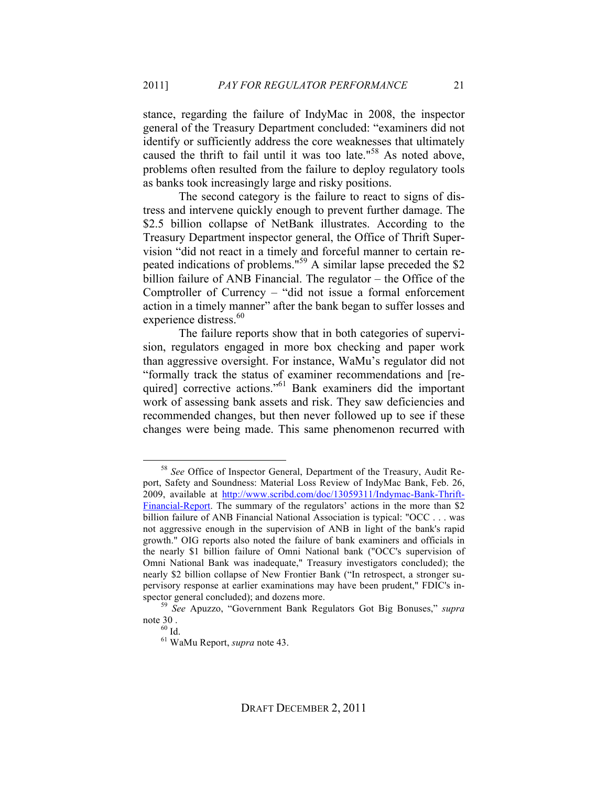stance, regarding the failure of IndyMac in 2008, the inspector general of the Treasury Department concluded: "examiners did not identify or sufficiently address the core weaknesses that ultimately caused the thrift to fail until it was too late."58 As noted above, problems often resulted from the failure to deploy regulatory tools as banks took increasingly large and risky positions.

The second category is the failure to react to signs of distress and intervene quickly enough to prevent further damage. The \$2.5 billion collapse of NetBank illustrates. According to the Treasury Department inspector general, the Office of Thrift Supervision "did not react in a timely and forceful manner to certain repeated indications of problems."59 A similar lapse preceded the \$2 billion failure of ANB Financial. The regulator – the Office of the Comptroller of Currency – "did not issue a formal enforcement action in a timely manner" after the bank began to suffer losses and experience distress.<sup>60</sup>

The failure reports show that in both categories of supervision, regulators engaged in more box checking and paper work than aggressive oversight. For instance, WaMu's regulator did not "formally track the status of examiner recommendations and [required] corrective actions."<sup>61</sup> Bank examiners did the important work of assessing bank assets and risk. They saw deficiencies and recommended changes, but then never followed up to see if these changes were being made. This same phenomenon recurred with

 <sup>58</sup> *See* Office of Inspector General, Department of the Treasury, Audit Report, Safety and Soundness: Material Loss Review of IndyMac Bank, Feb. 26, 2009, available at http://www.scribd.com/doc/13059311/Indymac-Bank-Thrift-Financial-Report. The summary of the regulators' actions in the more than \$2 billion failure of ANB Financial National Association is typical: "OCC . . . was not aggressive enough in the supervision of ANB in light of the bank's rapid growth." OIG reports also noted the failure of bank examiners and officials in the nearly \$1 billion failure of Omni National bank ("OCC's supervision of Omni National Bank was inadequate," Treasury investigators concluded); the nearly \$2 billion collapse of New Frontier Bank ("In retrospect, a stronger supervisory response at earlier examinations may have been prudent," FDIC's inspector general concluded); and dozens more. <sup>59</sup> *See* Apuzzo, "Government Bank Regulators Got Big Bonuses," *supra* 

note  $30 \nvert_{60}$ <br> $\frac{60}{\text{Id}}$ .

<sup>61</sup> WaMu Report, *supra* note 43.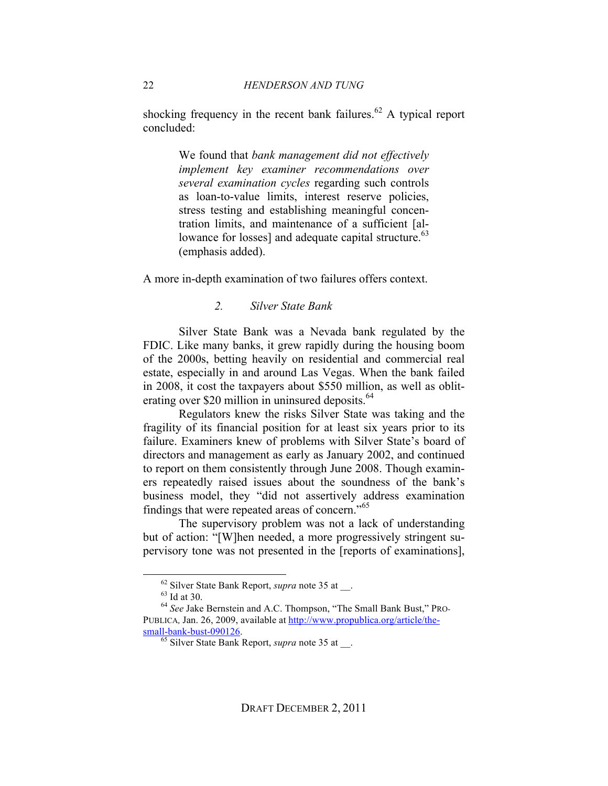shocking frequency in the recent bank failures.<sup>62</sup> A typical report concluded:

> We found that *bank management did not effectively implement key examiner recommendations over several examination cycles* regarding such controls as loan-to-value limits, interest reserve policies, stress testing and establishing meaningful concentration limits, and maintenance of a sufficient [allowance for losses] and adequate capital structure.<sup>63</sup> (emphasis added).

A more in-depth examination of two failures offers context.

#### *2. Silver State Bank*

Silver State Bank was a Nevada bank regulated by the FDIC. Like many banks, it grew rapidly during the housing boom of the 2000s, betting heavily on residential and commercial real estate, especially in and around Las Vegas. When the bank failed in 2008, it cost the taxpayers about \$550 million, as well as obliterating over \$20 million in uninsured deposits.<sup>64</sup>

Regulators knew the risks Silver State was taking and the fragility of its financial position for at least six years prior to its failure. Examiners knew of problems with Silver State's board of directors and management as early as January 2002, and continued to report on them consistently through June 2008. Though examiners repeatedly raised issues about the soundness of the bank's business model, they "did not assertively address examination findings that were repeated areas of concern."<sup>65</sup>

The supervisory problem was not a lack of understanding but of action: "[W]hen needed, a more progressively stringent supervisory tone was not presented in the [reports of examinations],

 <sup>62</sup> Silver State Bank Report, *supra* note 35 at \_\_. 63 Id at 30.

<sup>64</sup> *See* Jake Bernstein and A.C. Thompson, "The Small Bank Bust," PRO-PUBLICA*,* Jan. 26, 2009, available at http://www.propublica.org/article/thesmall-bank-bust-090126. 65 Silver State Bank Report, *supra* note 35 at \_\_.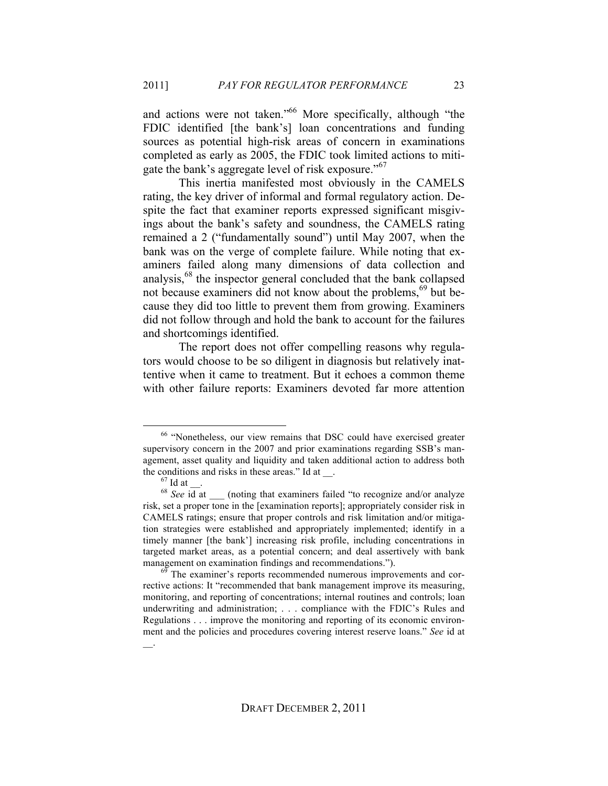and actions were not taken."66 More specifically, although "the FDIC identified [the bank's] loan concentrations and funding sources as potential high-risk areas of concern in examinations completed as early as 2005, the FDIC took limited actions to mitigate the bank's aggregate level of risk exposure."<sup>67</sup>

This inertia manifested most obviously in the CAMELS rating, the key driver of informal and formal regulatory action. Despite the fact that examiner reports expressed significant misgivings about the bank's safety and soundness, the CAMELS rating remained a 2 ("fundamentally sound") until May 2007, when the bank was on the verge of complete failure. While noting that examiners failed along many dimensions of data collection and analysis,68 the inspector general concluded that the bank collapsed not because examiners did not know about the problems,<sup>69</sup> but because they did too little to prevent them from growing. Examiners did not follow through and hold the bank to account for the failures and shortcomings identified.

The report does not offer compelling reasons why regulators would choose to be so diligent in diagnosis but relatively inattentive when it came to treatment. But it echoes a common theme with other failure reports: Examiners devoted far more attention

rective actions: It "recommended that bank management improve its measuring, monitoring, and reporting of concentrations; internal routines and controls; loan underwriting and administration; . . . compliance with the FDIC's Rules and Regulations . . . improve the monitoring and reporting of its economic environment and the policies and procedures covering interest reserve loans." *See* id at \_\_.

<sup>&</sup>lt;sup>66</sup> "Nonetheless, our view remains that DSC could have exercised greater supervisory concern in the 2007 and prior examinations regarding SSB's management, asset quality and liquidity and taken additional action to address both the conditions and risks in these areas." Id at  $\frac{1}{2}$ .

<sup>&</sup>lt;sup>68</sup> See id at \_\_\_\_ (noting that examiners failed "to recognize and/or analyze risk, set a proper tone in the [examination reports]; appropriately consider risk in CAMELS ratings; ensure that proper controls and risk limitation and/or mitigation strategies were established and appropriately implemented; identify in a timely manner [the bank'] increasing risk profile, including concentrations in targeted market areas, as a potential concern; and deal assertively with bank management on examination findings and recommendations.").<br><sup>69</sup> The examiner's reports recommended numerous improvements and cor-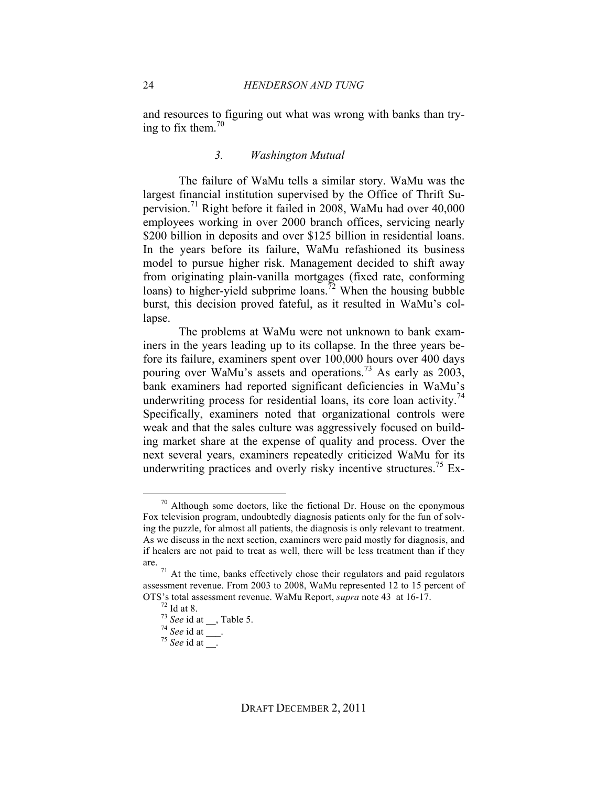and resources to figuring out what was wrong with banks than trying to fix them.<sup>70</sup>

#### *3. Washington Mutual*

The failure of WaMu tells a similar story. WaMu was the largest financial institution supervised by the Office of Thrift Supervision.71 Right before it failed in 2008, WaMu had over 40,000 employees working in over 2000 branch offices, servicing nearly \$200 billion in deposits and over \$125 billion in residential loans. In the years before its failure, WaMu refashioned its business model to pursue higher risk. Management decided to shift away from originating plain-vanilla mortgages (fixed rate, conforming loans) to higher-yield subprime loans.<sup>72</sup> When the housing bubble burst, this decision proved fateful, as it resulted in WaMu's collapse.

The problems at WaMu were not unknown to bank examiners in the years leading up to its collapse. In the three years before its failure, examiners spent over 100,000 hours over 400 days pouring over WaMu's assets and operations.<sup>73</sup> As early as 2003, bank examiners had reported significant deficiencies in WaMu's underwriting process for residential loans, its core loan activity.<sup>74</sup> Specifically, examiners noted that organizational controls were weak and that the sales culture was aggressively focused on building market share at the expense of quality and process. Over the next several years, examiners repeatedly criticized WaMu for its underwriting practices and overly risky incentive structures.<sup>75</sup> Ex-

 $70$  Although some doctors, like the fictional Dr. House on the eponymous Fox television program, undoubtedly diagnosis patients only for the fun of solving the puzzle, for almost all patients, the diagnosis is only relevant to treatment. As we discuss in the next section, examiners were paid mostly for diagnosis, and if healers are not paid to treat as well, there will be less treatment than if they are.  $\frac{71}{1}$  At the time, banks effectively chose their regulators and paid regulators

assessment revenue. From 2003 to 2008, WaMu represented 12 to 15 percent of OTS's total assessment revenue. WaMu Report, *supra* note 43 at 16-17.

 $72 \text{ Id at 8.}$ <br>  $73 \text{ See id at }$ , Table 5.<br>  $74 \text{ See id at }$ 

<sup>74</sup> *See* id at \_\_\_. <sup>75</sup> *See* id at \_\_.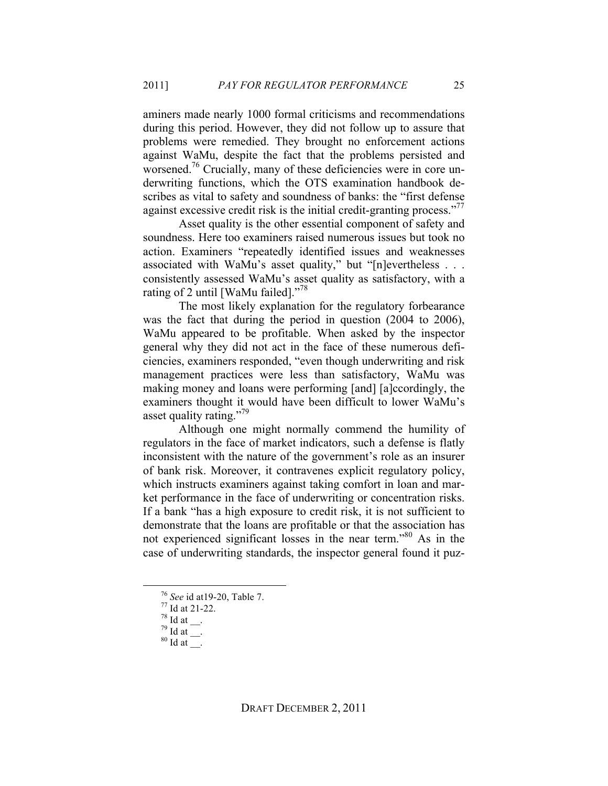aminers made nearly 1000 formal criticisms and recommendations during this period. However, they did not follow up to assure that problems were remedied. They brought no enforcement actions against WaMu, despite the fact that the problems persisted and worsened.<sup>76</sup> Crucially, many of these deficiencies were in core underwriting functions, which the OTS examination handbook describes as vital to safety and soundness of banks: the "first defense against excessive credit risk is the initial credit-granting process."<sup>77</sup>

Asset quality is the other essential component of safety and soundness. Here too examiners raised numerous issues but took no action. Examiners "repeatedly identified issues and weaknesses associated with WaMu's asset quality," but "[n]evertheless . . . consistently assessed WaMu's asset quality as satisfactory, with a rating of 2 until [WaMu failed]."<sup>78</sup>

The most likely explanation for the regulatory forbearance was the fact that during the period in question (2004 to 2006), WaMu appeared to be profitable. When asked by the inspector general why they did not act in the face of these numerous deficiencies, examiners responded, "even though underwriting and risk management practices were less than satisfactory, WaMu was making money and loans were performing [and] [a]ccordingly, the examiners thought it would have been difficult to lower WaMu's asset quality rating."<sup>79</sup>

Although one might normally commend the humility of regulators in the face of market indicators, such a defense is flatly inconsistent with the nature of the government's role as an insurer of bank risk. Moreover, it contravenes explicit regulatory policy, which instructs examiners against taking comfort in loan and market performance in the face of underwriting or concentration risks. If a bank "has a high exposure to credit risk, it is not sufficient to demonstrate that the loans are profitable or that the association has not experienced significant losses in the near term.<sup>80</sup> As in the case of underwriting standards, the inspector general found it puz-

<sup>&</sup>lt;sup>76</sup> *See* id at19-20, Table 7.<br><sup>77</sup> Id at 21-22.<br><sup>78</sup> Id at ...

 $79$  Id at  $\frac{2}{\phantom{0}}$ .

 $80$  Id at \_\_\_.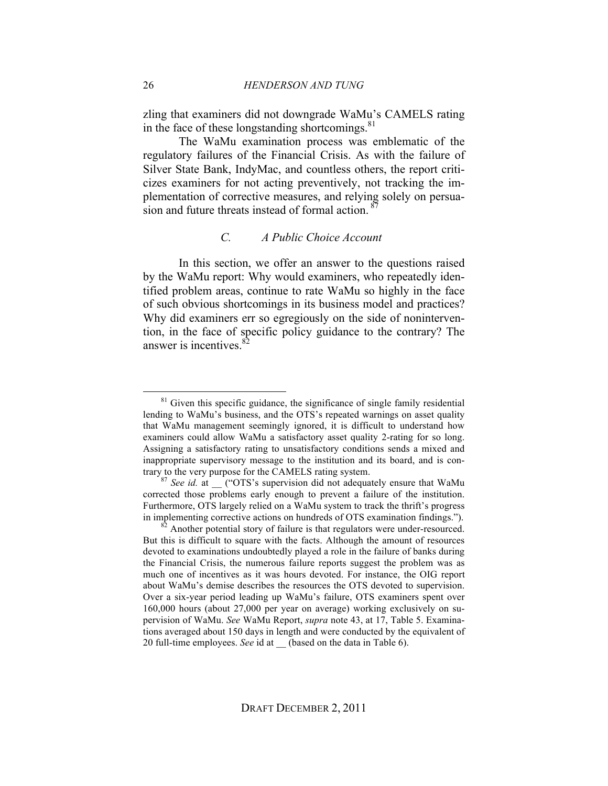zling that examiners did not downgrade WaMu's CAMELS rating in the face of these longstanding shortcomings. $81$ 

The WaMu examination process was emblematic of the regulatory failures of the Financial Crisis. As with the failure of Silver State Bank, IndyMac, and countless others, the report criticizes examiners for not acting preventively, not tracking the implementation of corrective measures, and relying solely on persuasion and future threats instead of formal action.  $\delta$ 

#### *C. A Public Choice Account*

In this section, we offer an answer to the questions raised by the WaMu report: Why would examiners, who repeatedly identified problem areas, continue to rate WaMu so highly in the face of such obvious shortcomings in its business model and practices? Why did examiners err so egregiously on the side of nonintervention, in the face of specific policy guidance to the contrary? The answer is incentives. $8$ 

 $81$  Given this specific guidance, the significance of single family residential lending to WaMu's business, and the OTS's repeated warnings on asset quality that WaMu management seemingly ignored, it is difficult to understand how examiners could allow WaMu a satisfactory asset quality 2-rating for so long. Assigning a satisfactory rating to unsatisfactory conditions sends a mixed and inappropriate supervisory message to the institution and its board, and is con-

trary to the very purpose for the CAMELS rating system. <sup>87</sup> *See id.* at \_\_ ("OTS's supervision did not adequately ensure that WaMu corrected those problems early enough to prevent a failure of the institution. Furthermore, OTS largely relied on a WaMu system to track the thrift's progress in implementing corrective actions on hundreds of OTS examination findings."). <sup>82</sup> Another potential story of failure is that regulators were under-resourced.

But this is difficult to square with the facts. Although the amount of resources devoted to examinations undoubtedly played a role in the failure of banks during the Financial Crisis, the numerous failure reports suggest the problem was as much one of incentives as it was hours devoted. For instance, the OIG report about WaMu's demise describes the resources the OTS devoted to supervision. Over a six-year period leading up WaMu's failure, OTS examiners spent over 160,000 hours (about 27,000 per year on average) working exclusively on supervision of WaMu. *See* WaMu Report, *supra* note 43, at 17, Table 5. Examinations averaged about 150 days in length and were conducted by the equivalent of 20 full-time employees. *See* id at (based on the data in Table 6).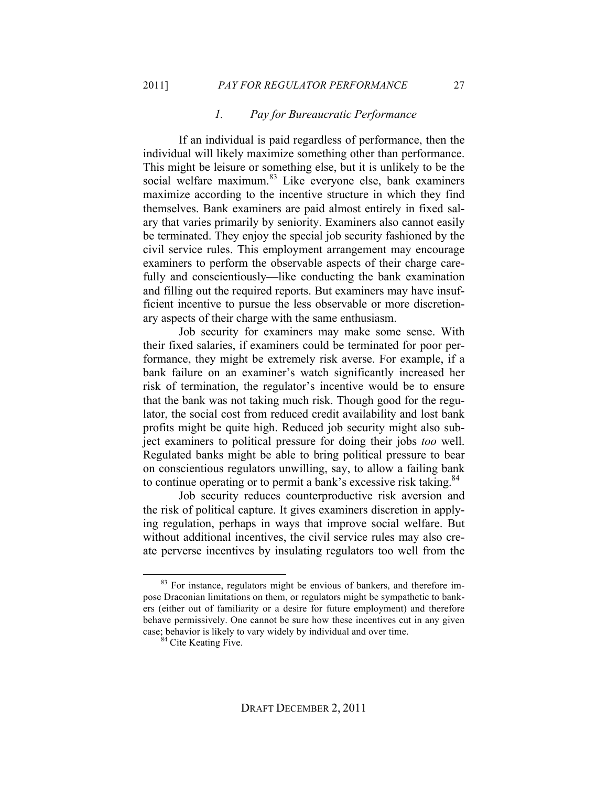#### *1. Pay for Bureaucratic Performance*

If an individual is paid regardless of performance, then the individual will likely maximize something other than performance. This might be leisure or something else, but it is unlikely to be the social welfare maximum.<sup>83</sup> Like everyone else, bank examiners maximize according to the incentive structure in which they find themselves. Bank examiners are paid almost entirely in fixed salary that varies primarily by seniority. Examiners also cannot easily be terminated. They enjoy the special job security fashioned by the civil service rules. This employment arrangement may encourage examiners to perform the observable aspects of their charge carefully and conscientiously—like conducting the bank examination and filling out the required reports. But examiners may have insufficient incentive to pursue the less observable or more discretionary aspects of their charge with the same enthusiasm.

Job security for examiners may make some sense. With their fixed salaries, if examiners could be terminated for poor performance, they might be extremely risk averse. For example, if a bank failure on an examiner's watch significantly increased her risk of termination, the regulator's incentive would be to ensure that the bank was not taking much risk. Though good for the regulator, the social cost from reduced credit availability and lost bank profits might be quite high. Reduced job security might also subject examiners to political pressure for doing their jobs *too* well. Regulated banks might be able to bring political pressure to bear on conscientious regulators unwilling, say, to allow a failing bank to continue operating or to permit a bank's excessive risk taking. $84$ 

Job security reduces counterproductive risk aversion and the risk of political capture. It gives examiners discretion in applying regulation, perhaps in ways that improve social welfare. But without additional incentives, the civil service rules may also create perverse incentives by insulating regulators too well from the

 $83$  For instance, regulators might be envious of bankers, and therefore impose Draconian limitations on them, or regulators might be sympathetic to bankers (either out of familiarity or a desire for future employment) and therefore behave permissively. One cannot be sure how these incentives cut in any given case; behavior is likely to vary widely by individual and over time. 84 Cite Keating Five.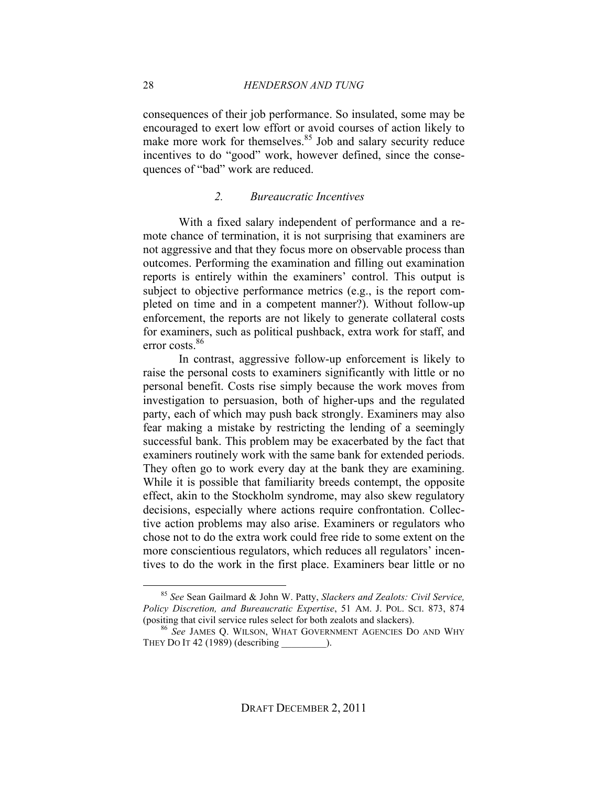consequences of their job performance. So insulated, some may be encouraged to exert low effort or avoid courses of action likely to make more work for themselves.<sup>85</sup> Job and salary security reduce incentives to do "good" work, however defined, since the consequences of "bad" work are reduced.

#### *2. Bureaucratic Incentives*

With a fixed salary independent of performance and a remote chance of termination, it is not surprising that examiners are not aggressive and that they focus more on observable process than outcomes. Performing the examination and filling out examination reports is entirely within the examiners' control. This output is subject to objective performance metrics (e.g., is the report completed on time and in a competent manner?). Without follow-up enforcement, the reports are not likely to generate collateral costs for examiners, such as political pushback, extra work for staff, and error costs.<sup>86</sup>

In contrast, aggressive follow-up enforcement is likely to raise the personal costs to examiners significantly with little or no personal benefit. Costs rise simply because the work moves from investigation to persuasion, both of higher-ups and the regulated party, each of which may push back strongly. Examiners may also fear making a mistake by restricting the lending of a seemingly successful bank. This problem may be exacerbated by the fact that examiners routinely work with the same bank for extended periods. They often go to work every day at the bank they are examining. While it is possible that familiarity breeds contempt, the opposite effect, akin to the Stockholm syndrome, may also skew regulatory decisions, especially where actions require confrontation. Collective action problems may also arise. Examiners or regulators who chose not to do the extra work could free ride to some extent on the more conscientious regulators, which reduces all regulators' incentives to do the work in the first place. Examiners bear little or no

 <sup>85</sup> *See* Sean Gailmard & John W. Patty, *Slackers and Zealots: Civil Service, Policy Discretion, and Bureaucratic Expertise*, 51 AM. J. POL. SCI. 873, 874 (positing that civil service rules select for both zealots and slackers). <sup>86</sup> *See* JAMES Q. WILSON, WHAT GOVERNMENT AGENCIES DO AND WHY

THEY DO IT 42 (1989) (describing ).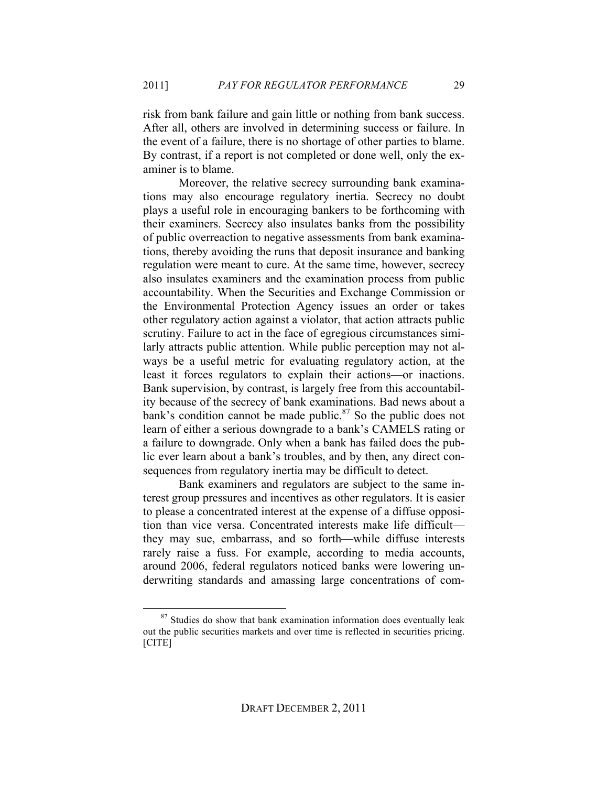risk from bank failure and gain little or nothing from bank success. After all, others are involved in determining success or failure. In the event of a failure, there is no shortage of other parties to blame. By contrast, if a report is not completed or done well, only the examiner is to blame.

Moreover, the relative secrecy surrounding bank examinations may also encourage regulatory inertia. Secrecy no doubt plays a useful role in encouraging bankers to be forthcoming with their examiners. Secrecy also insulates banks from the possibility of public overreaction to negative assessments from bank examinations, thereby avoiding the runs that deposit insurance and banking regulation were meant to cure. At the same time, however, secrecy also insulates examiners and the examination process from public accountability. When the Securities and Exchange Commission or the Environmental Protection Agency issues an order or takes other regulatory action against a violator, that action attracts public scrutiny. Failure to act in the face of egregious circumstances similarly attracts public attention. While public perception may not always be a useful metric for evaluating regulatory action, at the least it forces regulators to explain their actions—or inactions. Bank supervision, by contrast, is largely free from this accountability because of the secrecy of bank examinations. Bad news about a bank's condition cannot be made public.<sup>87</sup> So the public does not learn of either a serious downgrade to a bank's CAMELS rating or a failure to downgrade. Only when a bank has failed does the public ever learn about a bank's troubles, and by then, any direct consequences from regulatory inertia may be difficult to detect.

Bank examiners and regulators are subject to the same interest group pressures and incentives as other regulators. It is easier to please a concentrated interest at the expense of a diffuse opposition than vice versa. Concentrated interests make life difficult they may sue, embarrass, and so forth—while diffuse interests rarely raise a fuss. For example, according to media accounts, around 2006, federal regulators noticed banks were lowering underwriting standards and amassing large concentrations of com-

 $87$  Studies do show that bank examination information does eventually leak out the public securities markets and over time is reflected in securities pricing. [CITE]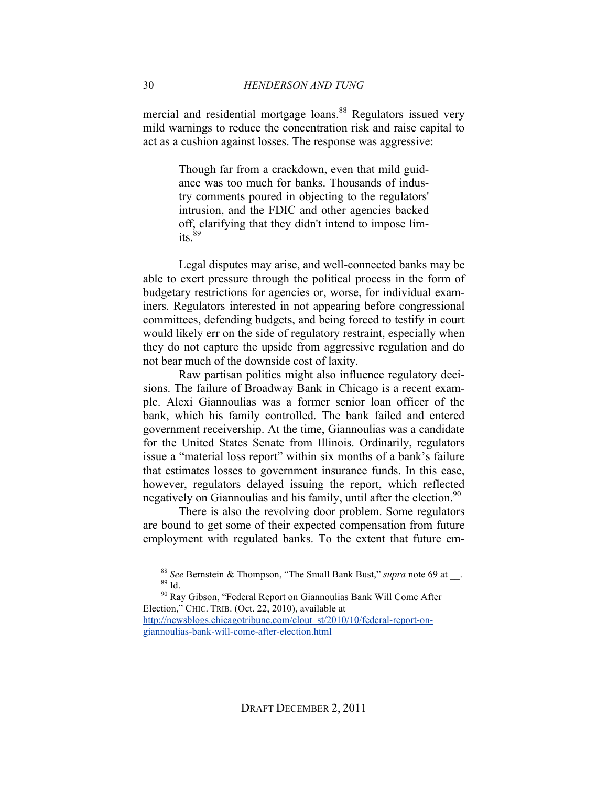mercial and residential mortgage loans.<sup>88</sup> Regulators issued very mild warnings to reduce the concentration risk and raise capital to act as a cushion against losses. The response was aggressive:

> Though far from a crackdown, even that mild guidance was too much for banks. Thousands of industry comments poured in objecting to the regulators' intrusion, and the FDIC and other agencies backed off, clarifying that they didn't intend to impose limits. $89$

Legal disputes may arise, and well-connected banks may be able to exert pressure through the political process in the form of budgetary restrictions for agencies or, worse, for individual examiners. Regulators interested in not appearing before congressional committees, defending budgets, and being forced to testify in court would likely err on the side of regulatory restraint, especially when they do not capture the upside from aggressive regulation and do not bear much of the downside cost of laxity.

Raw partisan politics might also influence regulatory decisions. The failure of Broadway Bank in Chicago is a recent example. Alexi Giannoulias was a former senior loan officer of the bank, which his family controlled. The bank failed and entered government receivership. At the time, Giannoulias was a candidate for the United States Senate from Illinois. Ordinarily, regulators issue a "material loss report" within six months of a bank's failure that estimates losses to government insurance funds. In this case, however, regulators delayed issuing the report, which reflected negatively on Giannoulias and his family, until after the election.<sup>90</sup>

There is also the revolving door problem. Some regulators are bound to get some of their expected compensation from future employment with regulated banks. To the extent that future em-

<sup>&</sup>lt;sup>88</sup> *See* Bernstein & Thompson, "The Small Bank Bust," *supra* note 69 at \_\_\_. <sup>89</sup> Id.

<sup>90</sup> Ray Gibson, "Federal Report on Giannoulias Bank Will Come After Election," CHIC. TRIB. (Oct. 22, 2010), available at http://newsblogs.chicagotribune.com/clout\_st/2010/10/federal-report-ongiannoulias-bank-will-come-after-election.html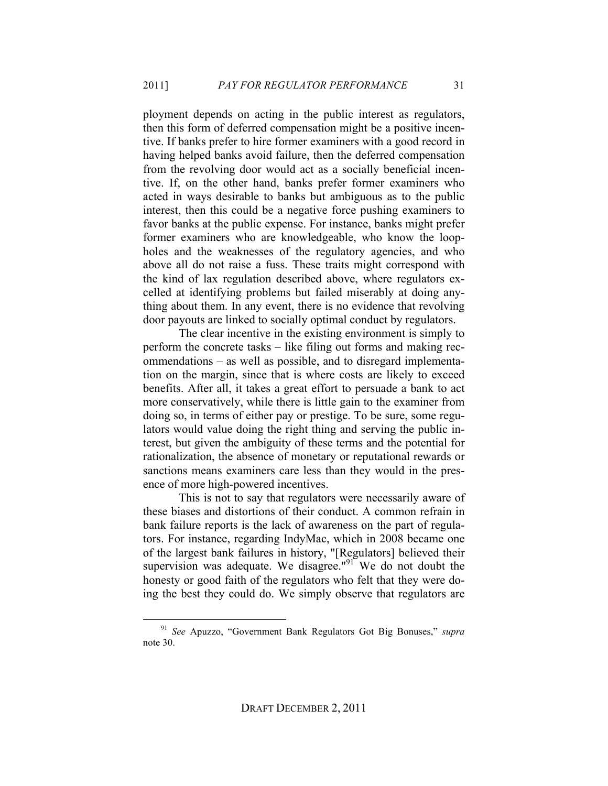ployment depends on acting in the public interest as regulators, then this form of deferred compensation might be a positive incentive. If banks prefer to hire former examiners with a good record in having helped banks avoid failure, then the deferred compensation from the revolving door would act as a socially beneficial incentive. If, on the other hand, banks prefer former examiners who acted in ways desirable to banks but ambiguous as to the public interest, then this could be a negative force pushing examiners to favor banks at the public expense. For instance, banks might prefer former examiners who are knowledgeable, who know the loopholes and the weaknesses of the regulatory agencies, and who above all do not raise a fuss. These traits might correspond with the kind of lax regulation described above, where regulators excelled at identifying problems but failed miserably at doing anything about them. In any event, there is no evidence that revolving door payouts are linked to socially optimal conduct by regulators.

The clear incentive in the existing environment is simply to perform the concrete tasks – like filing out forms and making recommendations – as well as possible, and to disregard implementation on the margin, since that is where costs are likely to exceed benefits. After all, it takes a great effort to persuade a bank to act more conservatively, while there is little gain to the examiner from doing so, in terms of either pay or prestige. To be sure, some regulators would value doing the right thing and serving the public interest, but given the ambiguity of these terms and the potential for rationalization, the absence of monetary or reputational rewards or sanctions means examiners care less than they would in the presence of more high-powered incentives.

This is not to say that regulators were necessarily aware of these biases and distortions of their conduct. A common refrain in bank failure reports is the lack of awareness on the part of regulators. For instance, regarding IndyMac, which in 2008 became one of the largest bank failures in history, "[Regulators] believed their supervision was adequate. We disagree."<sup>91</sup> We do not doubt the honesty or good faith of the regulators who felt that they were doing the best they could do. We simply observe that regulators are

 <sup>91</sup> *See* Apuzzo, "Government Bank Regulators Got Big Bonuses," *supra*  note 30.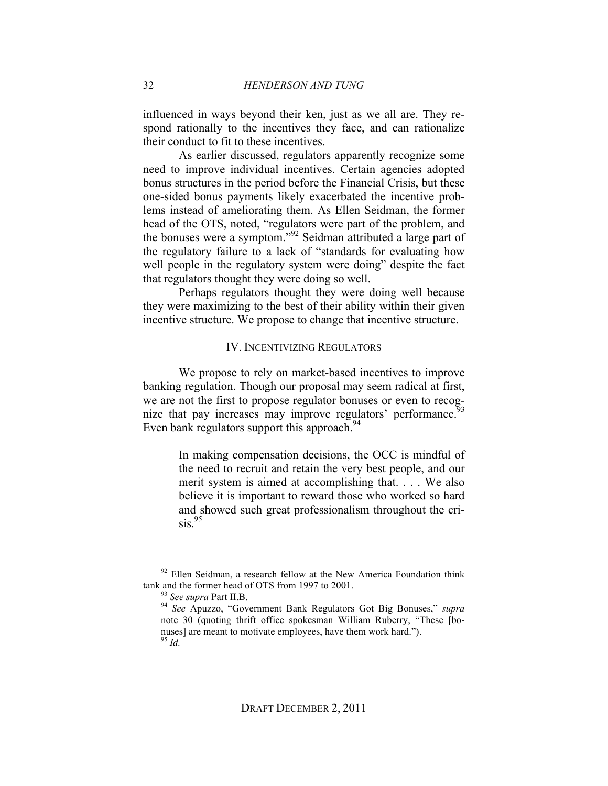influenced in ways beyond their ken, just as we all are. They respond rationally to the incentives they face, and can rationalize their conduct to fit to these incentives.

As earlier discussed, regulators apparently recognize some need to improve individual incentives. Certain agencies adopted bonus structures in the period before the Financial Crisis, but these one-sided bonus payments likely exacerbated the incentive problems instead of ameliorating them. As Ellen Seidman, the former head of the OTS, noted, "regulators were part of the problem, and the bonuses were a symptom."92 Seidman attributed a large part of the regulatory failure to a lack of "standards for evaluating how well people in the regulatory system were doing" despite the fact that regulators thought they were doing so well.

Perhaps regulators thought they were doing well because they were maximizing to the best of their ability within their given incentive structure. We propose to change that incentive structure.

### IV. INCENTIVIZING REGULATORS

We propose to rely on market-based incentives to improve banking regulation. Though our proposal may seem radical at first, we are not the first to propose regulator bonuses or even to recognize that pay increases may improve regulators' performance. Even bank regulators support this approach.<sup>94</sup>

> In making compensation decisions, the OCC is mindful of the need to recruit and retain the very best people, and our merit system is aimed at accomplishing that. . . . We also believe it is important to reward those who worked so hard and showed such great professionalism throughout the cri- $\sin^{95}$

 $92$  Ellen Seidman, a research fellow at the New America Foundation think tank and the former head of OTS from 1997 to 2001. <sup>93</sup> *See supra* Part II.B. <sup>94</sup> *See* Apuzzo, "Government Bank Regulators Got Big Bonuses," *supra* 

note 30 (quoting thrift office spokesman William Ruberry, "These [bonuses] are meant to motivate employees, have them work hard."). 95 *Id.*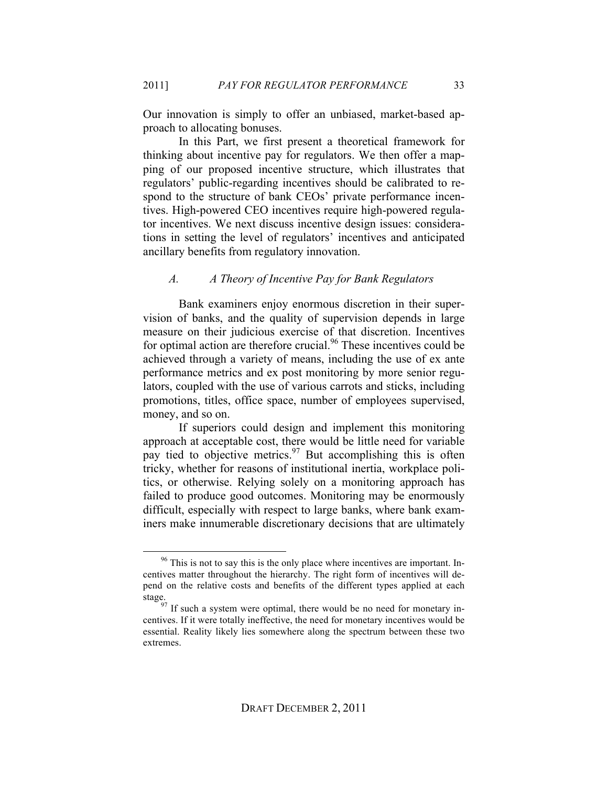Our innovation is simply to offer an unbiased, market-based approach to allocating bonuses.

In this Part, we first present a theoretical framework for thinking about incentive pay for regulators. We then offer a mapping of our proposed incentive structure, which illustrates that regulators' public-regarding incentives should be calibrated to respond to the structure of bank CEOs' private performance incentives. High-powered CEO incentives require high-powered regulator incentives. We next discuss incentive design issues: considerations in setting the level of regulators' incentives and anticipated ancillary benefits from regulatory innovation.

### *A. A Theory of Incentive Pay for Bank Regulators*

Bank examiners enjoy enormous discretion in their supervision of banks, and the quality of supervision depends in large measure on their judicious exercise of that discretion. Incentives for optimal action are therefore crucial.<sup>96</sup> These incentives could be achieved through a variety of means, including the use of ex ante performance metrics and ex post monitoring by more senior regulators, coupled with the use of various carrots and sticks, including promotions, titles, office space, number of employees supervised, money, and so on.

If superiors could design and implement this monitoring approach at acceptable cost, there would be little need for variable pay tied to objective metrics.<sup>97</sup> But accomplishing this is often tricky, whether for reasons of institutional inertia, workplace politics, or otherwise. Relying solely on a monitoring approach has failed to produce good outcomes. Monitoring may be enormously difficult, especially with respect to large banks, where bank examiners make innumerable discretionary decisions that are ultimately

<sup>&</sup>lt;sup>96</sup> This is not to say this is the only place where incentives are important. Incentives matter throughout the hierarchy. The right form of incentives will depend on the relative costs and benefits of the different types applied at each

stage.<br><sup>97</sup> If such a system were optimal, there would be no need for monetary incentives. If it were totally ineffective, the need for monetary incentives would be essential. Reality likely lies somewhere along the spectrum between these two extremes.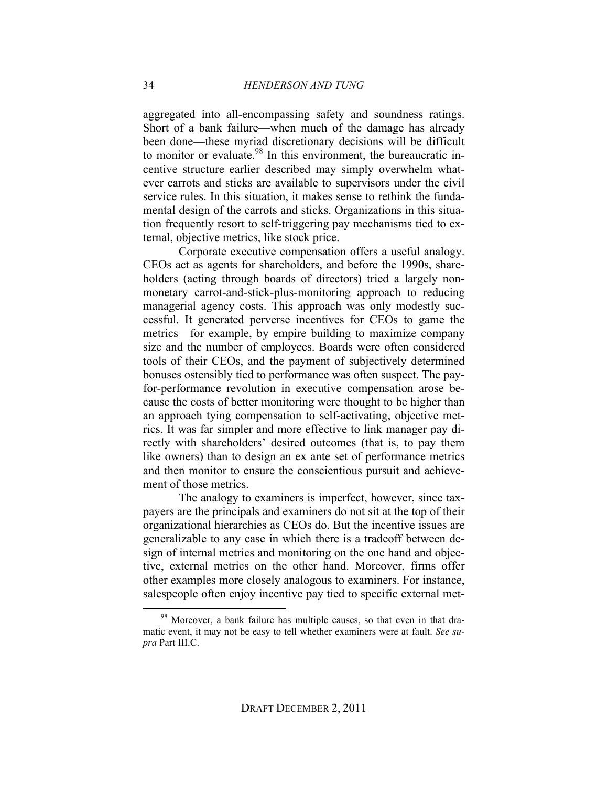aggregated into all-encompassing safety and soundness ratings. Short of a bank failure—when much of the damage has already been done—these myriad discretionary decisions will be difficult to monitor or evaluate.<sup>98</sup> In this environment, the bureaucratic incentive structure earlier described may simply overwhelm whatever carrots and sticks are available to supervisors under the civil service rules. In this situation, it makes sense to rethink the fundamental design of the carrots and sticks. Organizations in this situation frequently resort to self-triggering pay mechanisms tied to external, objective metrics, like stock price.

Corporate executive compensation offers a useful analogy. CEOs act as agents for shareholders, and before the 1990s, shareholders (acting through boards of directors) tried a largely nonmonetary carrot-and-stick-plus-monitoring approach to reducing managerial agency costs. This approach was only modestly successful. It generated perverse incentives for CEOs to game the metrics—for example, by empire building to maximize company size and the number of employees. Boards were often considered tools of their CEOs, and the payment of subjectively determined bonuses ostensibly tied to performance was often suspect. The payfor-performance revolution in executive compensation arose because the costs of better monitoring were thought to be higher than an approach tying compensation to self-activating, objective metrics. It was far simpler and more effective to link manager pay directly with shareholders' desired outcomes (that is, to pay them like owners) than to design an ex ante set of performance metrics and then monitor to ensure the conscientious pursuit and achievement of those metrics.

The analogy to examiners is imperfect, however, since taxpayers are the principals and examiners do not sit at the top of their organizational hierarchies as CEOs do. But the incentive issues are generalizable to any case in which there is a tradeoff between design of internal metrics and monitoring on the one hand and objective, external metrics on the other hand. Moreover, firms offer other examples more closely analogous to examiners. For instance, salespeople often enjoy incentive pay tied to specific external met-

<sup>98</sup> Moreover, a bank failure has multiple causes, so that even in that dramatic event, it may not be easy to tell whether examiners were at fault. *See supra* Part III.C.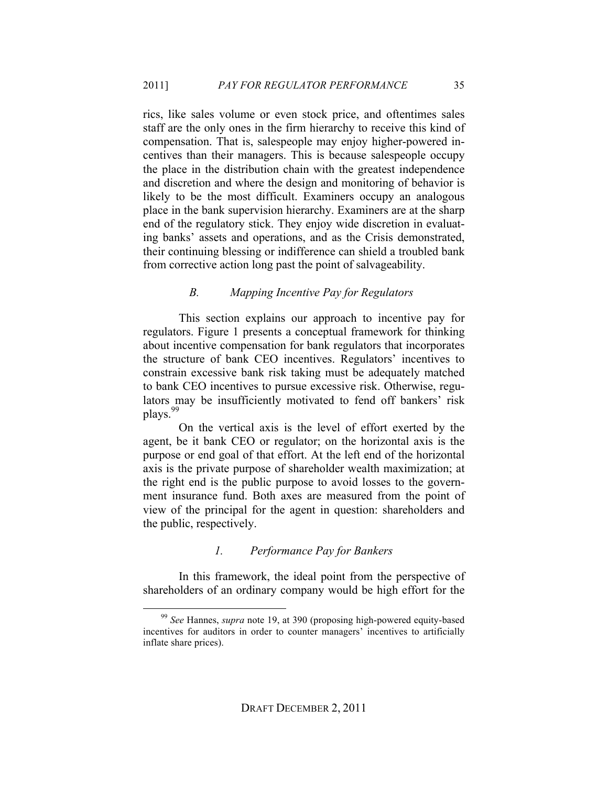rics, like sales volume or even stock price, and oftentimes sales staff are the only ones in the firm hierarchy to receive this kind of compensation. That is, salespeople may enjoy higher-powered incentives than their managers. This is because salespeople occupy the place in the distribution chain with the greatest independence and discretion and where the design and monitoring of behavior is likely to be the most difficult. Examiners occupy an analogous place in the bank supervision hierarchy. Examiners are at the sharp end of the regulatory stick. They enjoy wide discretion in evaluating banks' assets and operations, and as the Crisis demonstrated, their continuing blessing or indifference can shield a troubled bank from corrective action long past the point of salvageability.

## *B. Mapping Incentive Pay for Regulators*

This section explains our approach to incentive pay for regulators. Figure 1 presents a conceptual framework for thinking about incentive compensation for bank regulators that incorporates the structure of bank CEO incentives. Regulators' incentives to constrain excessive bank risk taking must be adequately matched to bank CEO incentives to pursue excessive risk. Otherwise, regulators may be insufficiently motivated to fend off bankers' risk plays.<sup>99</sup>

On the vertical axis is the level of effort exerted by the agent, be it bank CEO or regulator; on the horizontal axis is the purpose or end goal of that effort. At the left end of the horizontal axis is the private purpose of shareholder wealth maximization; at the right end is the public purpose to avoid losses to the government insurance fund. Both axes are measured from the point of view of the principal for the agent in question: shareholders and the public, respectively.

# *1. Performance Pay for Bankers*

In this framework, the ideal point from the perspective of shareholders of an ordinary company would be high effort for the

DRAFT DECEMBER 2, 2011

 <sup>99</sup> *See* Hannes, *supra* note 19, at 390 (proposing high-powered equity-based incentives for auditors in order to counter managers' incentives to artificially inflate share prices).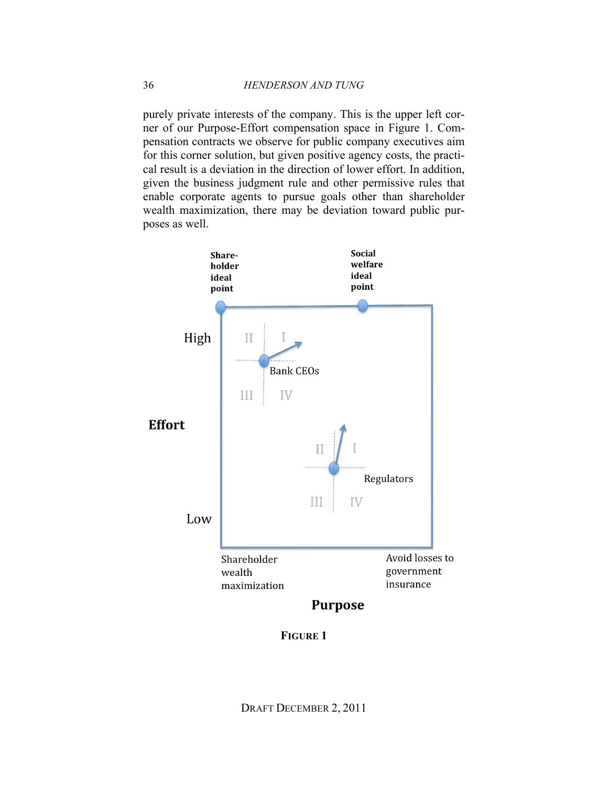purely private interests of the company. This is the upper left corner of our Purpose-Effort compensation space in Figure 1. Compensation contracts we observe for public company executives aim for this corner solution, but given positive agency costs, the practical result is a deviation in the direction of lower effort. In addition, given the business judgment rule and other permissive rules that enable corporate agents to pursue goals other than shareholder wealth maximization, there may be deviation toward public purposes as well.



**FIGURE 1**

DRAFT DECEMBER 2, 2011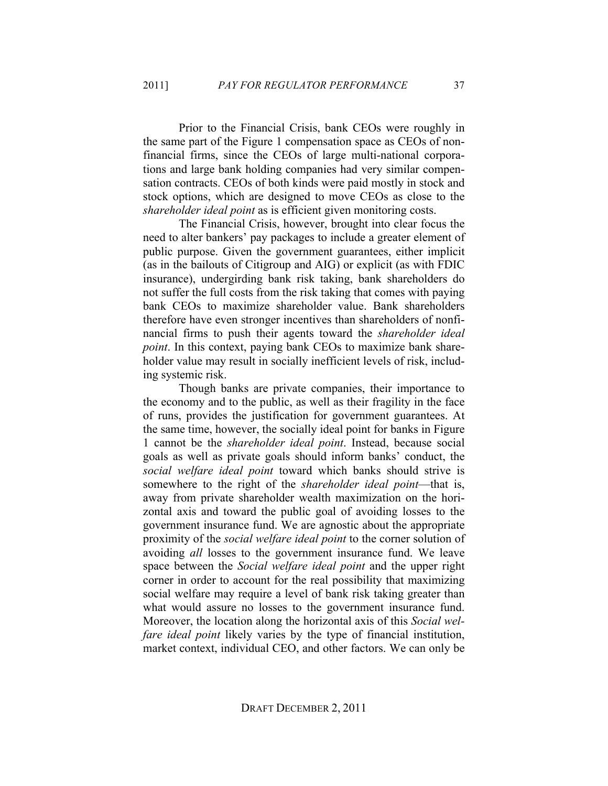Prior to the Financial Crisis, bank CEOs were roughly in the same part of the Figure 1 compensation space as CEOs of nonfinancial firms, since the CEOs of large multi-national corporations and large bank holding companies had very similar compensation contracts. CEOs of both kinds were paid mostly in stock and stock options, which are designed to move CEOs as close to the *shareholder ideal point* as is efficient given monitoring costs.

The Financial Crisis, however, brought into clear focus the need to alter bankers' pay packages to include a greater element of public purpose. Given the government guarantees, either implicit (as in the bailouts of Citigroup and AIG) or explicit (as with FDIC insurance), undergirding bank risk taking, bank shareholders do not suffer the full costs from the risk taking that comes with paying bank CEOs to maximize shareholder value. Bank shareholders therefore have even stronger incentives than shareholders of nonfinancial firms to push their agents toward the *shareholder ideal point*. In this context, paying bank CEOs to maximize bank shareholder value may result in socially inefficient levels of risk, including systemic risk.

Though banks are private companies, their importance to the economy and to the public, as well as their fragility in the face of runs, provides the justification for government guarantees. At the same time, however, the socially ideal point for banks in Figure 1 cannot be the *shareholder ideal point*. Instead, because social goals as well as private goals should inform banks' conduct, the *social welfare ideal point* toward which banks should strive is somewhere to the right of the *shareholder ideal point*—that is, away from private shareholder wealth maximization on the horizontal axis and toward the public goal of avoiding losses to the government insurance fund. We are agnostic about the appropriate proximity of the *social welfare ideal point* to the corner solution of avoiding *all* losses to the government insurance fund. We leave space between the *Social welfare ideal point* and the upper right corner in order to account for the real possibility that maximizing social welfare may require a level of bank risk taking greater than what would assure no losses to the government insurance fund. Moreover, the location along the horizontal axis of this *Social welfare ideal point* likely varies by the type of financial institution, market context, individual CEO, and other factors. We can only be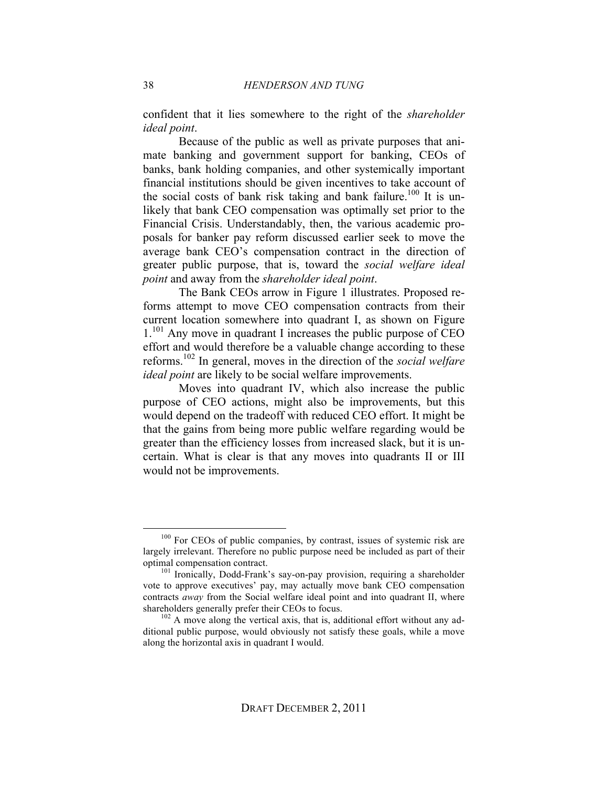confident that it lies somewhere to the right of the *shareholder ideal point*.

Because of the public as well as private purposes that animate banking and government support for banking, CEOs of banks, bank holding companies, and other systemically important financial institutions should be given incentives to take account of the social costs of bank risk taking and bank failure.<sup>100</sup> It is unlikely that bank CEO compensation was optimally set prior to the Financial Crisis. Understandably, then, the various academic proposals for banker pay reform discussed earlier seek to move the average bank CEO's compensation contract in the direction of greater public purpose, that is, toward the *social welfare ideal point* and away from the *shareholder ideal point*.

The Bank CEOs arrow in Figure 1 illustrates. Proposed reforms attempt to move CEO compensation contracts from their current location somewhere into quadrant I, as shown on Figure  $1<sup>101</sup>$  Any move in quadrant I increases the public purpose of CEO effort and would therefore be a valuable change according to these reforms.102 In general, moves in the direction of the *social welfare ideal point* are likely to be social welfare improvements.

Moves into quadrant IV, which also increase the public purpose of CEO actions, might also be improvements, but this would depend on the tradeoff with reduced CEO effort. It might be that the gains from being more public welfare regarding would be greater than the efficiency losses from increased slack, but it is uncertain. What is clear is that any moves into quadrants II or III would not be improvements.

 $100$  For CEOs of public companies, by contrast, issues of systemic risk are largely irrelevant. Therefore no public purpose need be included as part of their optimal compensation contract.<br><sup>101</sup> Ironically, Dodd-Frank's say-on-pay provision, requiring a shareholder

vote to approve executives' pay, may actually move bank CEO compensation contracts *away* from the Social welfare ideal point and into quadrant II, where shareholders generally prefer their CEOs to focus.<br><sup>102</sup> A move along the vertical axis, that is, additional effort without any ad-

ditional public purpose, would obviously not satisfy these goals, while a move along the horizontal axis in quadrant I would.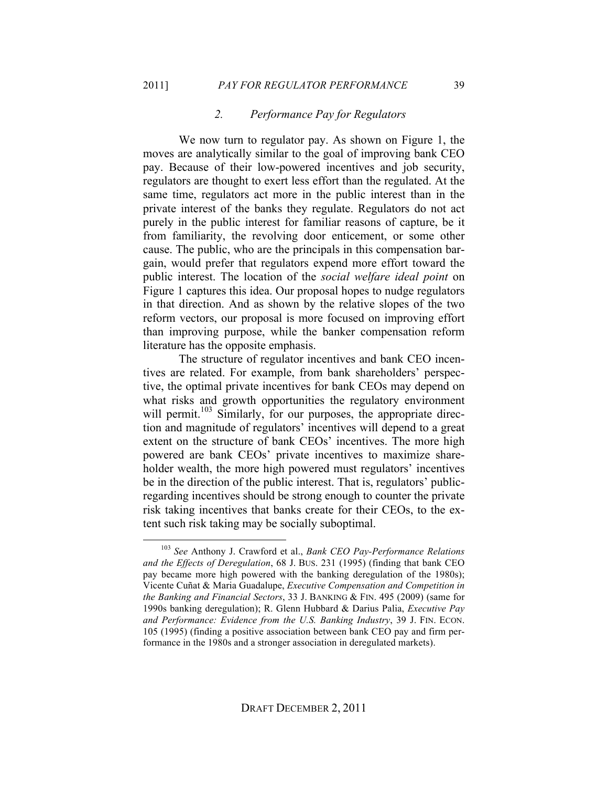## *2. Performance Pay for Regulators*

We now turn to regulator pay. As shown on Figure 1, the moves are analytically similar to the goal of improving bank CEO pay. Because of their low-powered incentives and job security, regulators are thought to exert less effort than the regulated. At the same time, regulators act more in the public interest than in the private interest of the banks they regulate. Regulators do not act purely in the public interest for familiar reasons of capture, be it from familiarity, the revolving door enticement, or some other cause. The public, who are the principals in this compensation bargain, would prefer that regulators expend more effort toward the public interest. The location of the *social welfare ideal point* on Figure 1 captures this idea. Our proposal hopes to nudge regulators in that direction. And as shown by the relative slopes of the two reform vectors, our proposal is more focused on improving effort than improving purpose, while the banker compensation reform literature has the opposite emphasis.

The structure of regulator incentives and bank CEO incentives are related. For example, from bank shareholders' perspective, the optimal private incentives for bank CEOs may depend on what risks and growth opportunities the regulatory environment will permit.<sup>103</sup> Similarly, for our purposes, the appropriate direction and magnitude of regulators' incentives will depend to a great extent on the structure of bank CEOs' incentives. The more high powered are bank CEOs' private incentives to maximize shareholder wealth, the more high powered must regulators' incentives be in the direction of the public interest. That is, regulators' publicregarding incentives should be strong enough to counter the private risk taking incentives that banks create for their CEOs, to the extent such risk taking may be socially suboptimal.

 <sup>103</sup> *See* Anthony J. Crawford et al., *Bank CEO Pay-Performance Relations and the Effects of Deregulation*, 68 J. BUS. 231 (1995) (finding that bank CEO pay became more high powered with the banking deregulation of the 1980s); Vicente Cuñat & Maria Guadalupe, *Executive Compensation and Competition in the Banking and Financial Sectors*, 33 J. BANKING & FIN. 495 (2009) (same for 1990s banking deregulation); R. Glenn Hubbard & Darius Palia, *Executive Pay and Performance: Evidence from the U.S. Banking Industry*, 39 J. FIN. ECON. 105 (1995) (finding a positive association between bank CEO pay and firm performance in the 1980s and a stronger association in deregulated markets).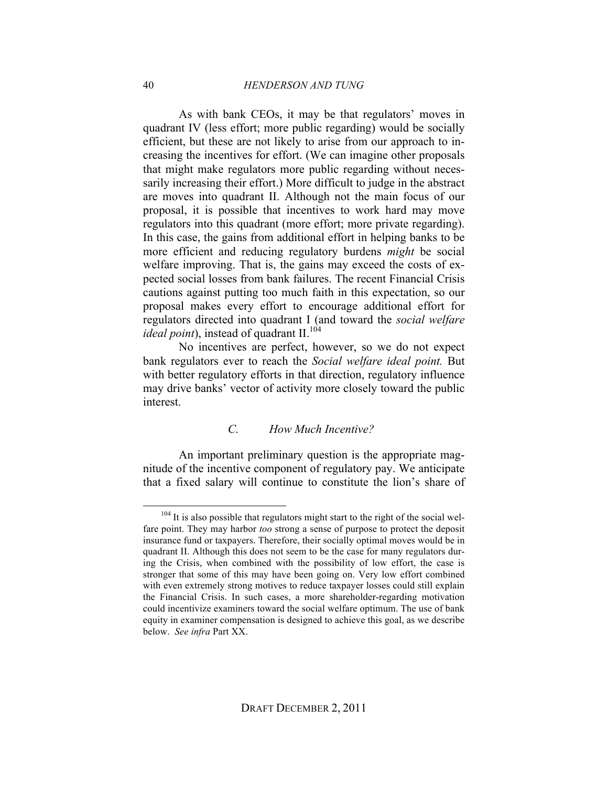As with bank CEOs, it may be that regulators' moves in quadrant IV (less effort; more public regarding) would be socially efficient, but these are not likely to arise from our approach to increasing the incentives for effort. (We can imagine other proposals that might make regulators more public regarding without necessarily increasing their effort.) More difficult to judge in the abstract are moves into quadrant II. Although not the main focus of our proposal, it is possible that incentives to work hard may move regulators into this quadrant (more effort; more private regarding). In this case, the gains from additional effort in helping banks to be more efficient and reducing regulatory burdens *might* be social welfare improving. That is, the gains may exceed the costs of expected social losses from bank failures. The recent Financial Crisis cautions against putting too much faith in this expectation, so our proposal makes every effort to encourage additional effort for regulators directed into quadrant I (and toward the *social welfare ideal point*), instead of quadrant II.<sup>104</sup>

No incentives are perfect, however, so we do not expect bank regulators ever to reach the *Social welfare ideal point.* But with better regulatory efforts in that direction, regulatory influence may drive banks' vector of activity more closely toward the public interest.

# *C. How Much Incentive?*

An important preliminary question is the appropriate magnitude of the incentive component of regulatory pay. We anticipate that a fixed salary will continue to constitute the lion's share of

 $104$  It is also possible that regulators might start to the right of the social welfare point. They may harbor *too* strong a sense of purpose to protect the deposit insurance fund or taxpayers. Therefore, their socially optimal moves would be in quadrant II. Although this does not seem to be the case for many regulators during the Crisis, when combined with the possibility of low effort, the case is stronger that some of this may have been going on. Very low effort combined with even extremely strong motives to reduce taxpayer losses could still explain the Financial Crisis. In such cases, a more shareholder-regarding motivation could incentivize examiners toward the social welfare optimum. The use of bank equity in examiner compensation is designed to achieve this goal, as we describe below. *See infra* Part XX.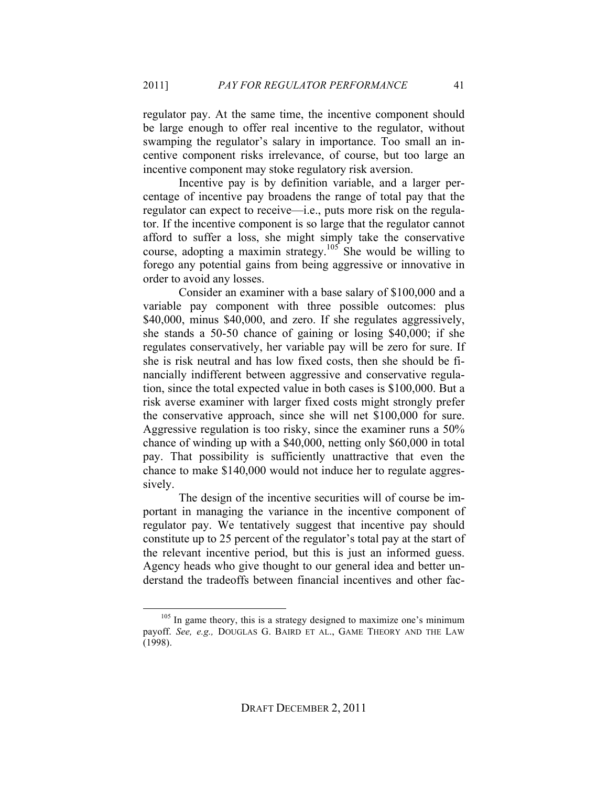regulator pay. At the same time, the incentive component should be large enough to offer real incentive to the regulator, without swamping the regulator's salary in importance. Too small an incentive component risks irrelevance, of course, but too large an incentive component may stoke regulatory risk aversion.

Incentive pay is by definition variable, and a larger percentage of incentive pay broadens the range of total pay that the regulator can expect to receive—i.e., puts more risk on the regulator. If the incentive component is so large that the regulator cannot afford to suffer a loss, she might simply take the conservative course, adopting a maximin strategy.<sup>105</sup> She would be willing to forego any potential gains from being aggressive or innovative in order to avoid any losses.

Consider an examiner with a base salary of \$100,000 and a variable pay component with three possible outcomes: plus \$40,000, minus \$40,000, and zero. If she regulates aggressively, she stands a 50-50 chance of gaining or losing \$40,000; if she regulates conservatively, her variable pay will be zero for sure. If she is risk neutral and has low fixed costs, then she should be financially indifferent between aggressive and conservative regulation, since the total expected value in both cases is \$100,000. But a risk averse examiner with larger fixed costs might strongly prefer the conservative approach, since she will net \$100,000 for sure. Aggressive regulation is too risky, since the examiner runs a 50% chance of winding up with a \$40,000, netting only \$60,000 in total pay. That possibility is sufficiently unattractive that even the chance to make \$140,000 would not induce her to regulate aggressively.

The design of the incentive securities will of course be important in managing the variance in the incentive component of regulator pay. We tentatively suggest that incentive pay should constitute up to 25 percent of the regulator's total pay at the start of the relevant incentive period, but this is just an informed guess. Agency heads who give thought to our general idea and better understand the tradeoffs between financial incentives and other fac-

<sup>&</sup>lt;sup>105</sup> In game theory, this is a strategy designed to maximize one's minimum payoff. *See, e.g.,* DOUGLAS G. BAIRD ET AL., GAME THEORY AND THE LAW (1998).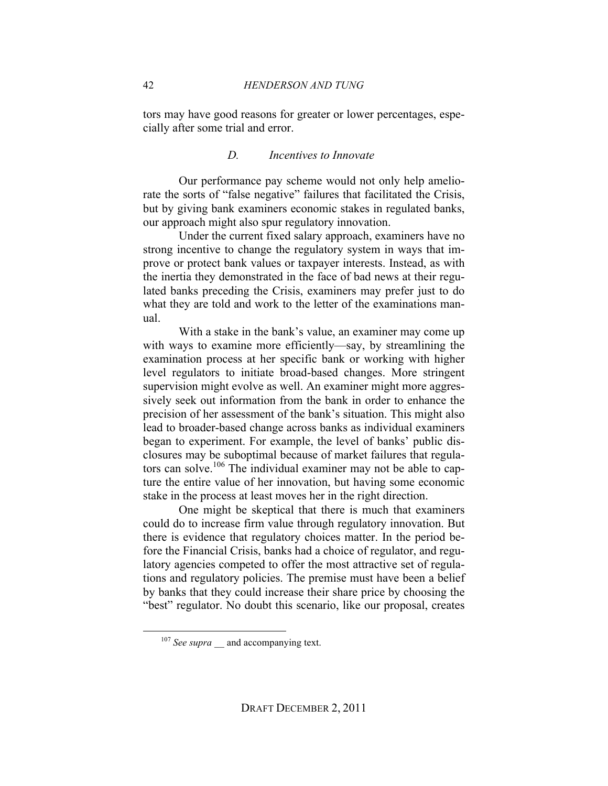tors may have good reasons for greater or lower percentages, especially after some trial and error.

### *D. Incentives to Innovate*

Our performance pay scheme would not only help ameliorate the sorts of "false negative" failures that facilitated the Crisis, but by giving bank examiners economic stakes in regulated banks, our approach might also spur regulatory innovation.

Under the current fixed salary approach, examiners have no strong incentive to change the regulatory system in ways that improve or protect bank values or taxpayer interests. Instead, as with the inertia they demonstrated in the face of bad news at their regulated banks preceding the Crisis, examiners may prefer just to do what they are told and work to the letter of the examinations manual.

With a stake in the bank's value, an examiner may come up with ways to examine more efficiently—say, by streamlining the examination process at her specific bank or working with higher level regulators to initiate broad-based changes. More stringent supervision might evolve as well. An examiner might more aggressively seek out information from the bank in order to enhance the precision of her assessment of the bank's situation. This might also lead to broader-based change across banks as individual examiners began to experiment. For example, the level of banks' public disclosures may be suboptimal because of market failures that regulators can solve.<sup>106</sup> The individual examiner may not be able to capture the entire value of her innovation, but having some economic stake in the process at least moves her in the right direction.

One might be skeptical that there is much that examiners could do to increase firm value through regulatory innovation. But there is evidence that regulatory choices matter. In the period before the Financial Crisis, banks had a choice of regulator, and regulatory agencies competed to offer the most attractive set of regulations and regulatory policies. The premise must have been a belief by banks that they could increase their share price by choosing the "best" regulator. No doubt this scenario, like our proposal, creates

<sup>&</sup>lt;sup>107</sup> See supra and accompanying text.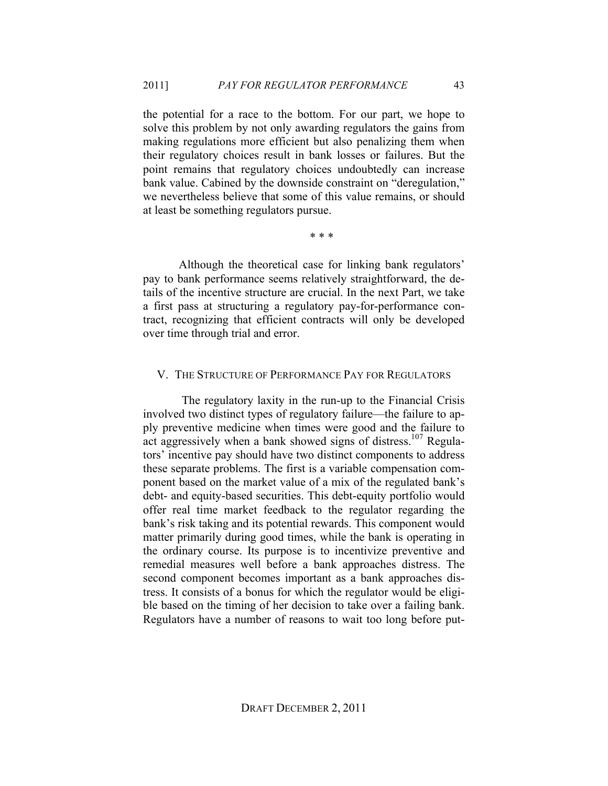the potential for a race to the bottom. For our part, we hope to solve this problem by not only awarding regulators the gains from making regulations more efficient but also penalizing them when their regulatory choices result in bank losses or failures. But the point remains that regulatory choices undoubtedly can increase bank value. Cabined by the downside constraint on "deregulation," we nevertheless believe that some of this value remains, or should at least be something regulators pursue.

\* \* \*

Although the theoretical case for linking bank regulators' pay to bank performance seems relatively straightforward, the details of the incentive structure are crucial. In the next Part, we take a first pass at structuring a regulatory pay-for-performance contract, recognizing that efficient contracts will only be developed over time through trial and error.

### V. THE STRUCTURE OF PERFORMANCE PAY FOR REGULATORS

The regulatory laxity in the run-up to the Financial Crisis involved two distinct types of regulatory failure—the failure to apply preventive medicine when times were good and the failure to act aggressively when a bank showed signs of distress.<sup>107</sup> Regulators' incentive pay should have two distinct components to address these separate problems. The first is a variable compensation component based on the market value of a mix of the regulated bank's debt- and equity-based securities. This debt-equity portfolio would offer real time market feedback to the regulator regarding the bank's risk taking and its potential rewards. This component would matter primarily during good times, while the bank is operating in the ordinary course. Its purpose is to incentivize preventive and remedial measures well before a bank approaches distress. The second component becomes important as a bank approaches distress. It consists of a bonus for which the regulator would be eligible based on the timing of her decision to take over a failing bank. Regulators have a number of reasons to wait too long before put-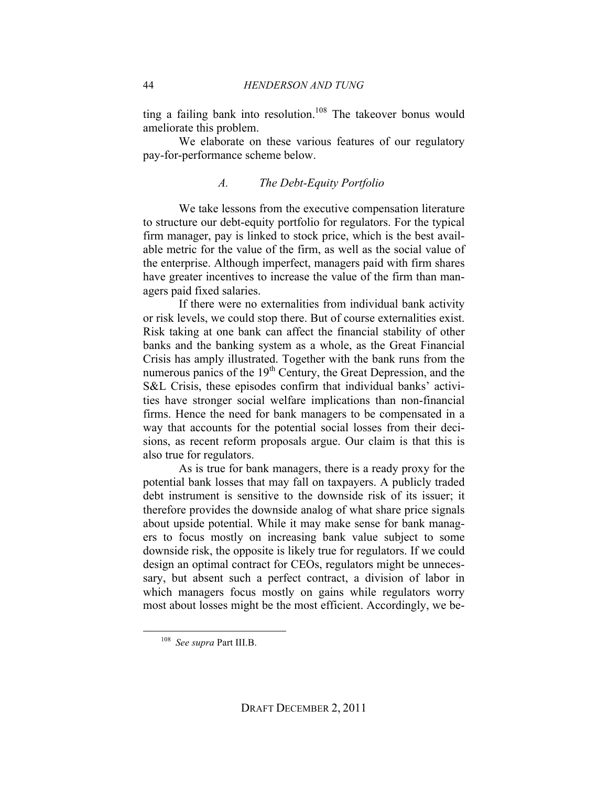ting a failing bank into resolution.<sup>108</sup> The takeover bonus would ameliorate this problem.

We elaborate on these various features of our regulatory pay-for-performance scheme below.

# *A. The Debt-Equity Portfolio*

We take lessons from the executive compensation literature to structure our debt-equity portfolio for regulators. For the typical firm manager, pay is linked to stock price, which is the best available metric for the value of the firm, as well as the social value of the enterprise. Although imperfect, managers paid with firm shares have greater incentives to increase the value of the firm than managers paid fixed salaries.

If there were no externalities from individual bank activity or risk levels, we could stop there. But of course externalities exist. Risk taking at one bank can affect the financial stability of other banks and the banking system as a whole, as the Great Financial Crisis has amply illustrated. Together with the bank runs from the numerous panics of the 19<sup>th</sup> Century, the Great Depression, and the S&L Crisis, these episodes confirm that individual banks' activities have stronger social welfare implications than non-financial firms. Hence the need for bank managers to be compensated in a way that accounts for the potential social losses from their decisions, as recent reform proposals argue. Our claim is that this is also true for regulators.

As is true for bank managers, there is a ready proxy for the potential bank losses that may fall on taxpayers. A publicly traded debt instrument is sensitive to the downside risk of its issuer; it therefore provides the downside analog of what share price signals about upside potential. While it may make sense for bank managers to focus mostly on increasing bank value subject to some downside risk, the opposite is likely true for regulators. If we could design an optimal contract for CEOs, regulators might be unnecessary, but absent such a perfect contract, a division of labor in which managers focus mostly on gains while regulators worry most about losses might be the most efficient. Accordingly, we be-

 <sup>108</sup> *See supra* Part III.B.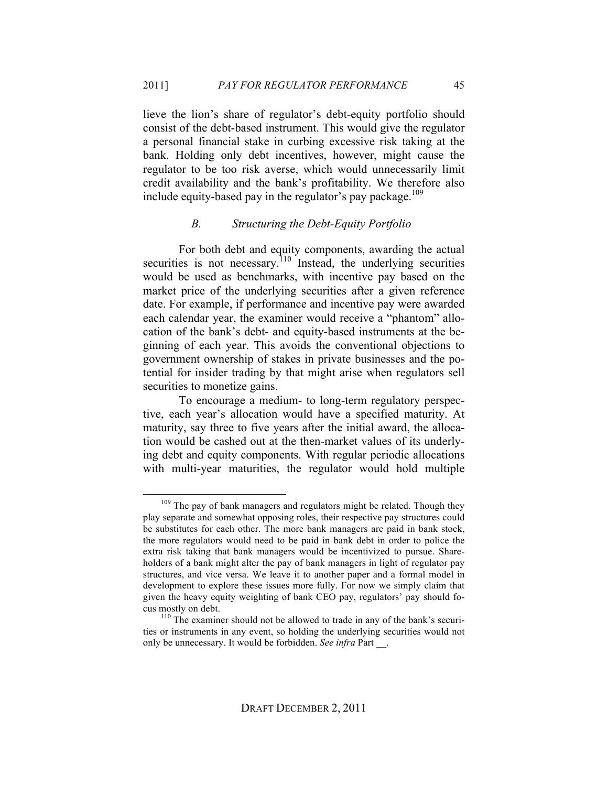lieve the lion's share of regulator's debt-equity portfolio should consist of the debt-based instrument. This would give the regulator a personal financial stake in curbing excessive risk taking at the bank. Holding only debt incentives, however, might cause the regulator to be too risk averse, which would unnecessarily limit credit availability and the bank's profitability. We therefore also include equity-based pay in the regulator's pay package.<sup>109</sup>

## *B. Structuring the Debt-Equity Portfolio*

For both debt and equity components, awarding the actual securities is not necessary.<sup>110</sup> Instead, the underlying securities would be used as benchmarks, with incentive pay based on the market price of the underlying securities after a given reference date. For example, if performance and incentive pay were awarded each calendar year, the examiner would receive a "phantom" allocation of the bank's debt- and equity-based instruments at the beginning of each year. This avoids the conventional objections to government ownership of stakes in private businesses and the potential for insider trading by that might arise when regulators sell securities to monetize gains.

To encourage a medium- to long-term regulatory perspective, each year's allocation would have a specified maturity. At maturity, say three to five years after the initial award, the allocation would be cashed out at the then-market values of its underlying debt and equity components. With regular periodic allocations with multi-year maturities, the regulator would hold multiple

 $109$  The pay of bank managers and regulators might be related. Though they play separate and somewhat opposing roles, their respective pay structures could be substitutes for each other. The more bank managers are paid in bank stock, the more regulators would need to be paid in bank debt in order to police the extra risk taking that bank managers would be incentivized to pursue. Shareholders of a bank might alter the pay of bank managers in light of regulator pay structures, and vice versa. We leave it to another paper and a formal model in development to explore these issues more fully. For now we simply claim that given the heavy equity weighting of bank CEO pay, regulators' pay should focus mostly on debt.<br><sup>110</sup> The examiner should not be allowed to trade in any of the bank's securi-

ties or instruments in any event, so holding the underlying securities would not only be unnecessary. It would be forbidden. *See infra* Part .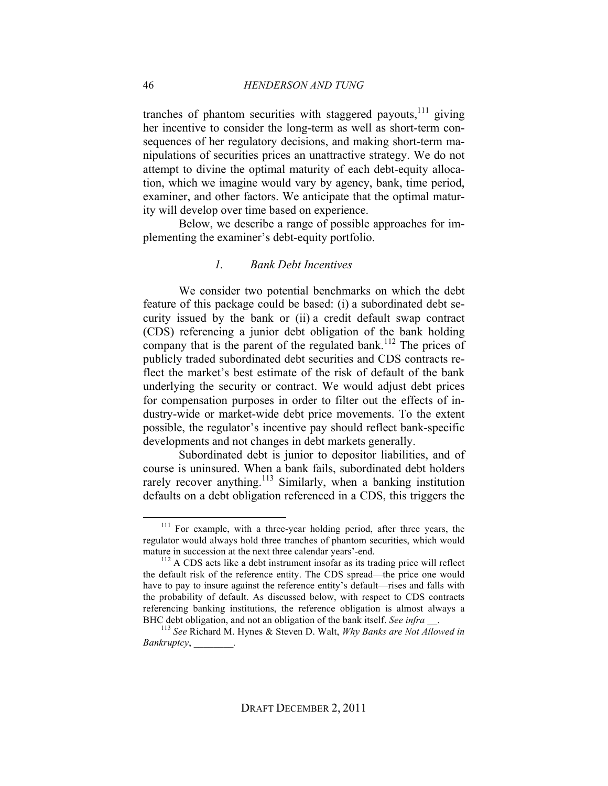tranches of phantom securities with staggered payouts,  $111$  giving her incentive to consider the long-term as well as short-term consequences of her regulatory decisions, and making short-term manipulations of securities prices an unattractive strategy. We do not attempt to divine the optimal maturity of each debt-equity allocation, which we imagine would vary by agency, bank, time period, examiner, and other factors. We anticipate that the optimal maturity will develop over time based on experience.

Below, we describe a range of possible approaches for implementing the examiner's debt-equity portfolio.

#### *1. Bank Debt Incentives*

We consider two potential benchmarks on which the debt feature of this package could be based: (i) a subordinated debt security issued by the bank or (ii) a credit default swap contract (CDS) referencing a junior debt obligation of the bank holding company that is the parent of the regulated bank.<sup>112</sup> The prices of publicly traded subordinated debt securities and CDS contracts reflect the market's best estimate of the risk of default of the bank underlying the security or contract. We would adjust debt prices for compensation purposes in order to filter out the effects of industry-wide or market-wide debt price movements. To the extent possible, the regulator's incentive pay should reflect bank-specific developments and not changes in debt markets generally.

Subordinated debt is junior to depositor liabilities, and of course is uninsured. When a bank fails, subordinated debt holders rarely recover anything.<sup>113</sup> Similarly, when a banking institution defaults on a debt obligation referenced in a CDS, this triggers the

 $111$  For example, with a three-year holding period, after three years, the regulator would always hold three tranches of phantom securities, which would

 $112$  A CDS acts like a debt instrument insofar as its trading price will reflect the default risk of the reference entity. The CDS spread—the price one would have to pay to insure against the reference entity's default—rises and falls with the probability of default. As discussed below, with respect to CDS contracts referencing banking institutions, the reference obligation is almost always a BHC debt obligation, and not an obligation of the bank itself. *See infra* \_\_\_. <sup>113</sup> *See* Richard M. Hynes & Steven D. Walt, *Why Banks are Not Allowed in* 

*Bankruptcy*, *\_\_\_\_\_\_\_\_.*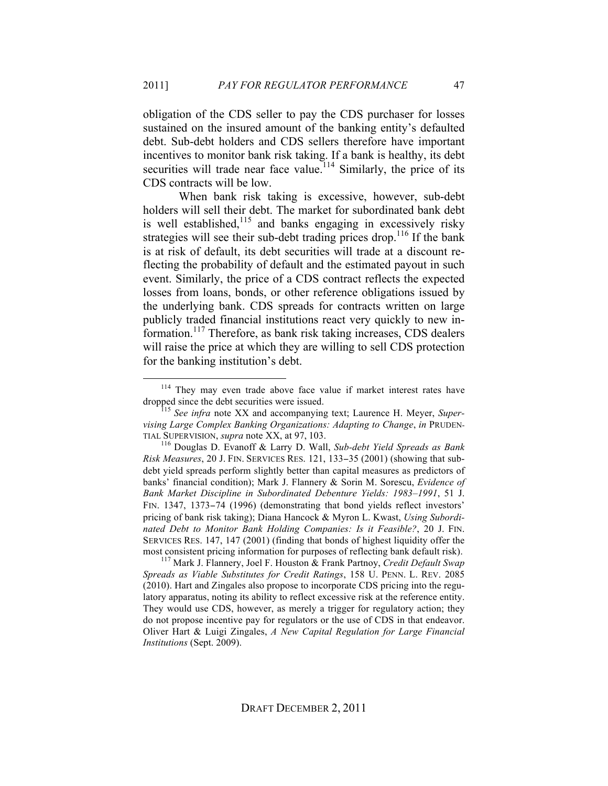obligation of the CDS seller to pay the CDS purchaser for losses sustained on the insured amount of the banking entity's defaulted debt. Sub-debt holders and CDS sellers therefore have important incentives to monitor bank risk taking. If a bank is healthy, its debt securities will trade near face value.<sup>114</sup> Similarly, the price of its CDS contracts will be low.

When bank risk taking is excessive, however, sub-debt holders will sell their debt. The market for subordinated bank debt is well established, $115$  and banks engaging in excessively risky strategies will see their sub-debt trading prices drop.<sup>116</sup> If the bank is at risk of default, its debt securities will trade at a discount reflecting the probability of default and the estimated payout in such event. Similarly, the price of a CDS contract reflects the expected losses from loans, bonds, or other reference obligations issued by the underlying bank. CDS spreads for contracts written on large publicly traded financial institutions react very quickly to new information.<sup>117</sup> Therefore, as bank risk taking increases, CDS dealers will raise the price at which they are willing to sell CDS protection for the banking institution's debt.

 $114$  They may even trade above face value if market interest rates have dropped since the debt securities were issued.

<sup>&</sup>lt;sup>[15</sup> *See infra* note XX and accompanying text; Laurence H. Meyer, *Supervising Large Complex Banking Organizations: Adapting to Change*, *in* PRUDEN-TIAL SUPERVISION, *supra* note XX, at 97, 103. 116 Douglas D. Evanoff & Larry D. Wall, *Sub-debt Yield Spreads as Bank* 

*Risk Measures*, 20 J. FIN. SERVICES RES. 121, 133−35 (2001) (showing that subdebt yield spreads perform slightly better than capital measures as predictors of banks' financial condition); Mark J. Flannery & Sorin M. Sorescu, *Evidence of Bank Market Discipline in Subordinated Debenture Yields: 1983–1991*, 51 J. FIN. 1347, 1373−74 (1996) (demonstrating that bond yields reflect investors' pricing of bank risk taking); Diana Hancock & Myron L. Kwast, *Using Subordinated Debt to Monitor Bank Holding Companies: Is it Feasible?*, 20 J. FIN. SERVICES RES. 147, 147 (2001) (finding that bonds of highest liquidity offer the most consistent pricing information for purposes of reflecting bank default risk). 117 Mark J. Flannery, Joel F. Houston & Frank Partnoy, *Credit Default Swap* 

*Spreads as Viable Substitutes for Credit Ratings*, 158 U. PENN. L. REV. 2085 (2010). Hart and Zingales also propose to incorporate CDS pricing into the regulatory apparatus, noting its ability to reflect excessive risk at the reference entity. They would use CDS, however, as merely a trigger for regulatory action; they do not propose incentive pay for regulators or the use of CDS in that endeavor. Oliver Hart & Luigi Zingales, *A New Capital Regulation for Large Financial Institutions* (Sept. 2009).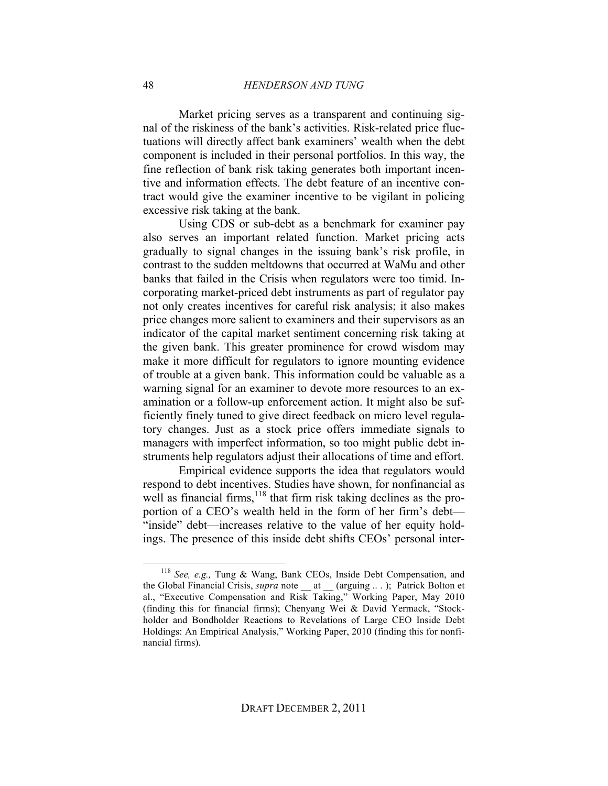Market pricing serves as a transparent and continuing signal of the riskiness of the bank's activities. Risk-related price fluctuations will directly affect bank examiners' wealth when the debt component is included in their personal portfolios. In this way, the fine reflection of bank risk taking generates both important incentive and information effects. The debt feature of an incentive contract would give the examiner incentive to be vigilant in policing excessive risk taking at the bank.

Using CDS or sub-debt as a benchmark for examiner pay also serves an important related function. Market pricing acts gradually to signal changes in the issuing bank's risk profile, in contrast to the sudden meltdowns that occurred at WaMu and other banks that failed in the Crisis when regulators were too timid. Incorporating market-priced debt instruments as part of regulator pay not only creates incentives for careful risk analysis; it also makes price changes more salient to examiners and their supervisors as an indicator of the capital market sentiment concerning risk taking at the given bank. This greater prominence for crowd wisdom may make it more difficult for regulators to ignore mounting evidence of trouble at a given bank. This information could be valuable as a warning signal for an examiner to devote more resources to an examination or a follow-up enforcement action. It might also be sufficiently finely tuned to give direct feedback on micro level regulatory changes. Just as a stock price offers immediate signals to managers with imperfect information, so too might public debt instruments help regulators adjust their allocations of time and effort.

Empirical evidence supports the idea that regulators would respond to debt incentives. Studies have shown, for nonfinancial as well as financial firms,<sup>118</sup> that firm risk taking declines as the proportion of a CEO's wealth held in the form of her firm's debt— "inside" debt—increases relative to the value of her equity holdings. The presence of this inside debt shifts CEOs' personal inter-

 <sup>118</sup> *See, e.g.,* Tung & Wang, Bank CEOs, Inside Debt Compensation, and the Global Financial Crisis, *supra* note at (arguing ...); Patrick Bolton et al., "Executive Compensation and Risk Taking," Working Paper, May 2010 (finding this for financial firms); Chenyang Wei & David Yermack, "Stockholder and Bondholder Reactions to Revelations of Large CEO Inside Debt Holdings: An Empirical Analysis," Working Paper, 2010 (finding this for nonfinancial firms).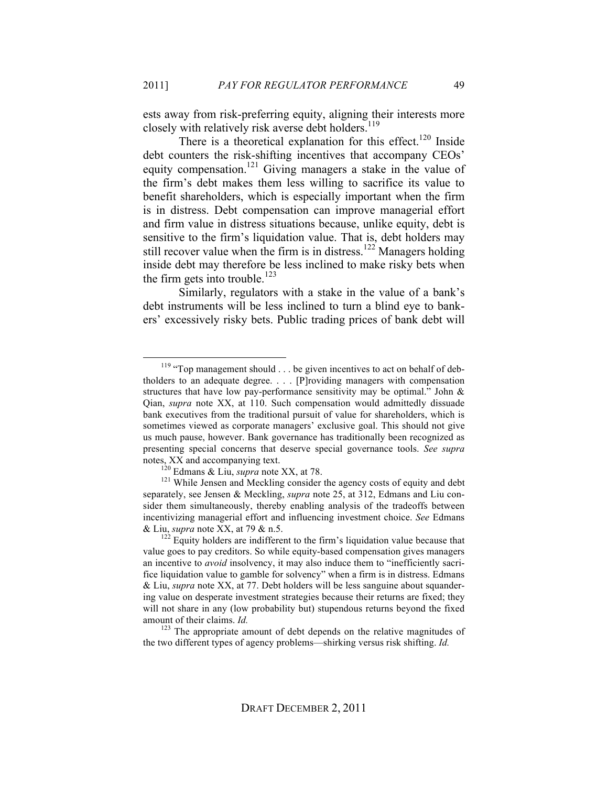ests away from risk-preferring equity, aligning their interests more closely with relatively risk averse debt holders.<sup>119</sup>

There is a theoretical explanation for this effect.<sup>120</sup> Inside debt counters the risk-shifting incentives that accompany CEOs' equity compensation.<sup>121</sup> Giving managers a stake in the value of the firm's debt makes them less willing to sacrifice its value to benefit shareholders, which is especially important when the firm is in distress. Debt compensation can improve managerial effort and firm value in distress situations because, unlike equity, debt is sensitive to the firm's liquidation value. That is, debt holders may still recover value when the firm is in distress.<sup>122</sup> Managers holding inside debt may therefore be less inclined to make risky bets when the firm gets into trouble. $123$ 

Similarly, regulators with a stake in the value of a bank's debt instruments will be less inclined to turn a blind eye to bankers' excessively risky bets. Public trading prices of bank debt will

<sup>&</sup>lt;sup>119</sup> "Top management should . . . be given incentives to act on behalf of debtholders to an adequate degree. . . . [P]roviding managers with compensation structures that have low pay-performance sensitivity may be optimal." John & Qian, *supra* note XX, at 110. Such compensation would admittedly dissuade bank executives from the traditional pursuit of value for shareholders, which is sometimes viewed as corporate managers' exclusive goal. This should not give us much pause, however. Bank governance has traditionally been recognized as presenting special concerns that deserve special governance tools. *See supra*  notes, XX and accompanying text.<br><sup>120</sup> Edmans & Liu, *supra* note XX, at 78.

<sup>&</sup>lt;sup>121</sup> While Jensen and Meckling consider the agency costs of equity and debt separately, see Jensen & Meckling, *supra* note 25, at 312, Edmans and Liu consider them simultaneously, thereby enabling analysis of the tradeoffs between incentivizing managerial effort and influencing investment choice. *See* Edmans

<sup>&</sup>amp; Liu, *supra* note XX, at 79 & n.5.<br><sup>122</sup> Equity holders are indifferent to the firm's liquidation value because that value goes to pay creditors. So while equity-based compensation gives managers an incentive to *avoid* insolvency, it may also induce them to "inefficiently sacrifice liquidation value to gamble for solvency" when a firm is in distress. Edmans & Liu, *supra* note XX, at 77. Debt holders will be less sanguine about squandering value on desperate investment strategies because their returns are fixed; they will not share in any (low probability but) stupendous returns beyond the fixed amount of their claims. *Id.* 123 The appropriate amount of debt depends on the relative magnitudes of

the two different types of agency problems—shirking versus risk shifting. *Id.*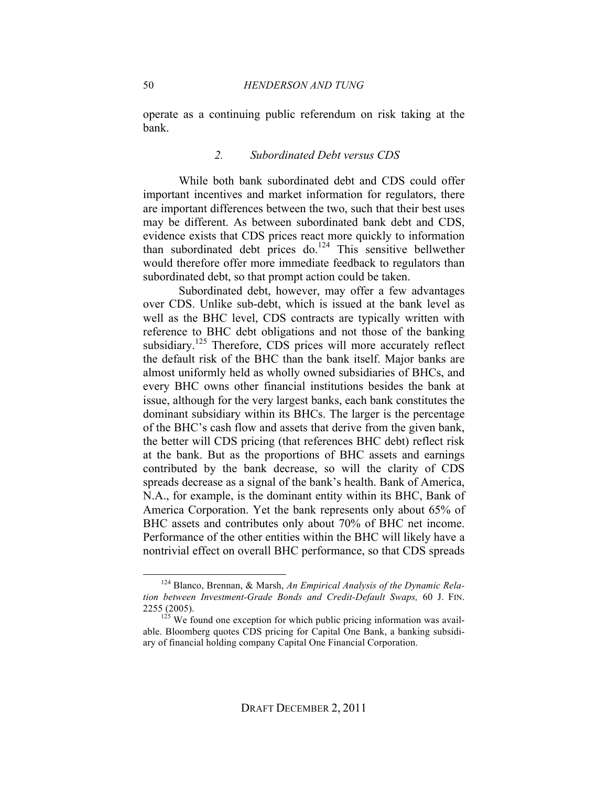operate as a continuing public referendum on risk taking at the bank.

## *2. Subordinated Debt versus CDS*

While both bank subordinated debt and CDS could offer important incentives and market information for regulators, there are important differences between the two, such that their best uses may be different. As between subordinated bank debt and CDS, evidence exists that CDS prices react more quickly to information than subordinated debt prices do.<sup>124</sup> This sensitive bellwether would therefore offer more immediate feedback to regulators than subordinated debt, so that prompt action could be taken.

Subordinated debt, however, may offer a few advantages over CDS. Unlike sub-debt, which is issued at the bank level as well as the BHC level, CDS contracts are typically written with reference to BHC debt obligations and not those of the banking subsidiary.<sup>125</sup> Therefore, CDS prices will more accurately reflect the default risk of the BHC than the bank itself. Major banks are almost uniformly held as wholly owned subsidiaries of BHCs, and every BHC owns other financial institutions besides the bank at issue, although for the very largest banks, each bank constitutes the dominant subsidiary within its BHCs. The larger is the percentage of the BHC's cash flow and assets that derive from the given bank, the better will CDS pricing (that references BHC debt) reflect risk at the bank. But as the proportions of BHC assets and earnings contributed by the bank decrease, so will the clarity of CDS spreads decrease as a signal of the bank's health. Bank of America, N.A., for example, is the dominant entity within its BHC, Bank of America Corporation. Yet the bank represents only about 65% of BHC assets and contributes only about 70% of BHC net income. Performance of the other entities within the BHC will likely have a nontrivial effect on overall BHC performance, so that CDS spreads

 <sup>124</sup> Blanco, Brennan, & Marsh, *An Empirical Analysis of the Dynamic Relation between Investment-Grade Bonds and Credit-Default Swaps,* 60 J. FIN. 2255 (2005).

 $125$  We found one exception for which public pricing information was available. Bloomberg quotes CDS pricing for Capital One Bank, a banking subsidiary of financial holding company Capital One Financial Corporation.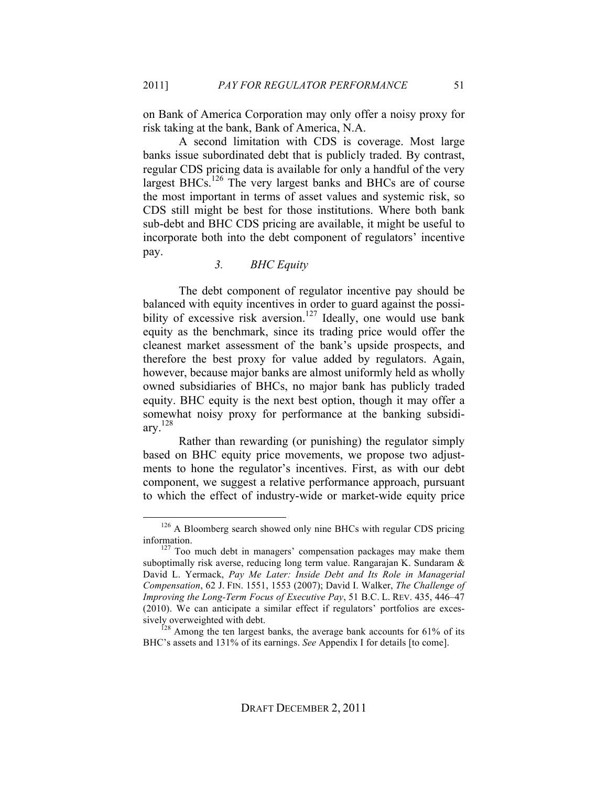on Bank of America Corporation may only offer a noisy proxy for risk taking at the bank, Bank of America, N.A.

A second limitation with CDS is coverage. Most large banks issue subordinated debt that is publicly traded. By contrast, regular CDS pricing data is available for only a handful of the very largest BHCs.<sup>126</sup> The very largest banks and BHCs are of course the most important in terms of asset values and systemic risk, so CDS still might be best for those institutions. Where both bank sub-debt and BHC CDS pricing are available, it might be useful to incorporate both into the debt component of regulators' incentive pay.

## *3. BHC Equity*

The debt component of regulator incentive pay should be balanced with equity incentives in order to guard against the possibility of excessive risk aversion.<sup>127</sup> Ideally, one would use bank equity as the benchmark, since its trading price would offer the cleanest market assessment of the bank's upside prospects, and therefore the best proxy for value added by regulators. Again, however, because major banks are almost uniformly held as wholly owned subsidiaries of BHCs, no major bank has publicly traded equity. BHC equity is the next best option, though it may offer a somewhat noisy proxy for performance at the banking subsidiary.128

Rather than rewarding (or punishing) the regulator simply based on BHC equity price movements, we propose two adjustments to hone the regulator's incentives. First, as with our debt component, we suggest a relative performance approach, pursuant to which the effect of industry-wide or market-wide equity price

<sup>&</sup>lt;sup>126</sup> A Bloomberg search showed only nine BHCs with regular CDS pricing

information. 127 Too much debt in managers' compensation packages may make them suboptimally risk averse, reducing long term value. Rangarajan K. Sundaram & David L. Yermack, *Pay Me Later: Inside Debt and Its Role in Managerial Compensation*, 62 J. FIN. 1551, 1553 (2007); David I. Walker, *The Challenge of Improving the Long-Term Focus of Executive Pay*, 51 B.C. L. REV. 435, 446–47 (2010). We can anticipate a similar effect if regulators' portfolios are excessively overweighted with debt.<br><sup>128</sup> Among the ten largest banks, the average bank accounts for 61% of its

BHC's assets and 131% of its earnings. *See* Appendix I for details [to come].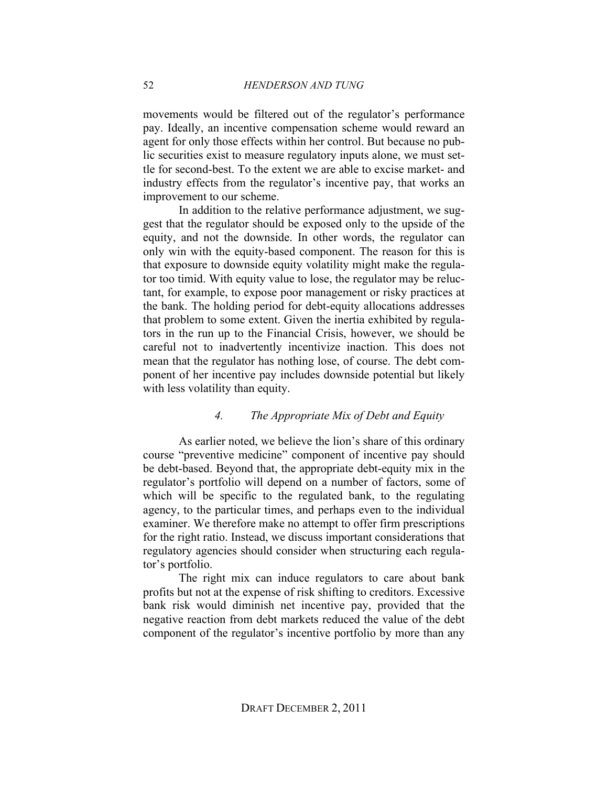movements would be filtered out of the regulator's performance pay. Ideally, an incentive compensation scheme would reward an agent for only those effects within her control. But because no public securities exist to measure regulatory inputs alone, we must settle for second-best. To the extent we are able to excise market- and industry effects from the regulator's incentive pay, that works an improvement to our scheme.

In addition to the relative performance adjustment, we suggest that the regulator should be exposed only to the upside of the equity, and not the downside. In other words, the regulator can only win with the equity-based component. The reason for this is that exposure to downside equity volatility might make the regulator too timid. With equity value to lose, the regulator may be reluctant, for example, to expose poor management or risky practices at the bank. The holding period for debt-equity allocations addresses that problem to some extent. Given the inertia exhibited by regulators in the run up to the Financial Crisis, however, we should be careful not to inadvertently incentivize inaction. This does not mean that the regulator has nothing lose, of course. The debt component of her incentive pay includes downside potential but likely with less volatility than equity.

# *4. The Appropriate Mix of Debt and Equity*

As earlier noted, we believe the lion's share of this ordinary course "preventive medicine" component of incentive pay should be debt-based. Beyond that, the appropriate debt-equity mix in the regulator's portfolio will depend on a number of factors, some of which will be specific to the regulated bank, to the regulating agency, to the particular times, and perhaps even to the individual examiner. We therefore make no attempt to offer firm prescriptions for the right ratio. Instead, we discuss important considerations that regulatory agencies should consider when structuring each regulator's portfolio.

The right mix can induce regulators to care about bank profits but not at the expense of risk shifting to creditors. Excessive bank risk would diminish net incentive pay, provided that the negative reaction from debt markets reduced the value of the debt component of the regulator's incentive portfolio by more than any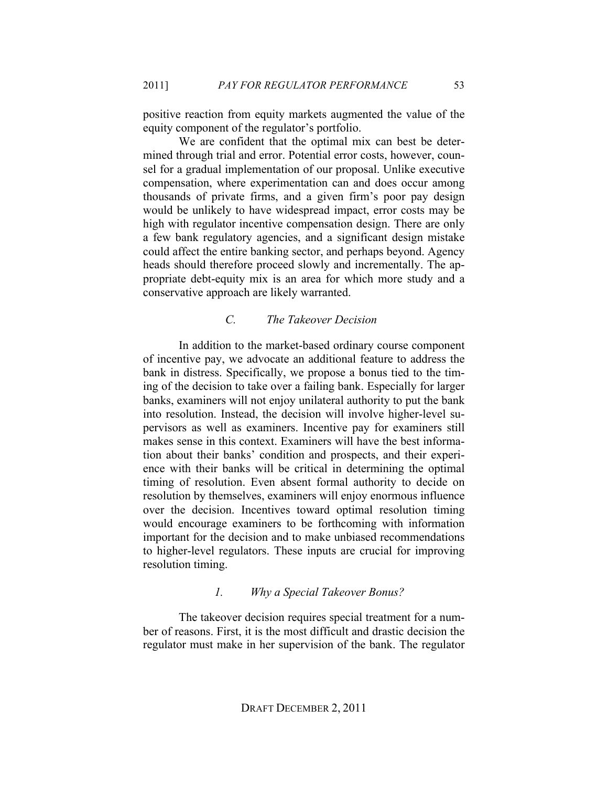positive reaction from equity markets augmented the value of the equity component of the regulator's portfolio.

We are confident that the optimal mix can best be determined through trial and error. Potential error costs, however, counsel for a gradual implementation of our proposal. Unlike executive compensation, where experimentation can and does occur among thousands of private firms, and a given firm's poor pay design would be unlikely to have widespread impact, error costs may be high with regulator incentive compensation design. There are only a few bank regulatory agencies, and a significant design mistake could affect the entire banking sector, and perhaps beyond. Agency heads should therefore proceed slowly and incrementally. The appropriate debt-equity mix is an area for which more study and a conservative approach are likely warranted.

## *C. The Takeover Decision*

In addition to the market-based ordinary course component of incentive pay, we advocate an additional feature to address the bank in distress. Specifically, we propose a bonus tied to the timing of the decision to take over a failing bank. Especially for larger banks, examiners will not enjoy unilateral authority to put the bank into resolution. Instead, the decision will involve higher-level supervisors as well as examiners. Incentive pay for examiners still makes sense in this context. Examiners will have the best information about their banks' condition and prospects, and their experience with their banks will be critical in determining the optimal timing of resolution. Even absent formal authority to decide on resolution by themselves, examiners will enjoy enormous influence over the decision. Incentives toward optimal resolution timing would encourage examiners to be forthcoming with information important for the decision and to make unbiased recommendations to higher-level regulators. These inputs are crucial for improving resolution timing.

### *1. Why a Special Takeover Bonus?*

The takeover decision requires special treatment for a number of reasons. First, it is the most difficult and drastic decision the regulator must make in her supervision of the bank. The regulator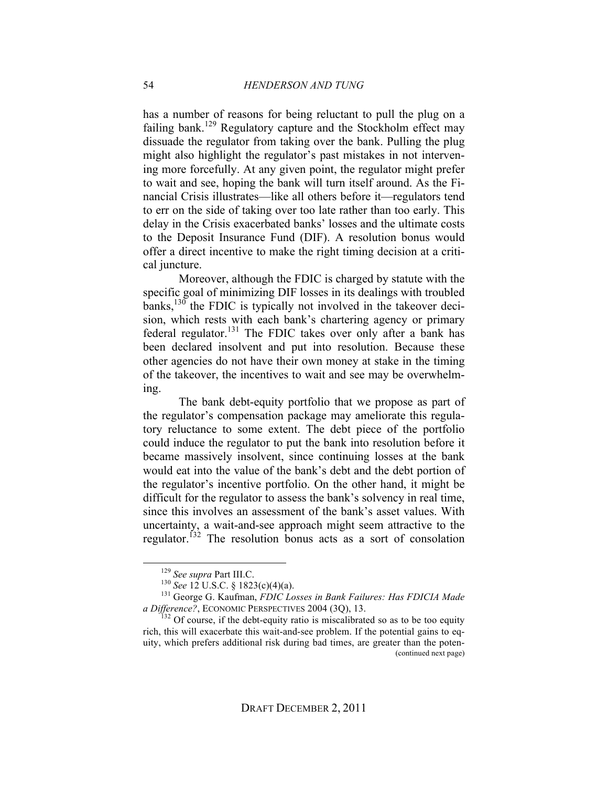has a number of reasons for being reluctant to pull the plug on a failing bank.<sup>129</sup> Regulatory capture and the Stockholm effect may dissuade the regulator from taking over the bank. Pulling the plug might also highlight the regulator's past mistakes in not intervening more forcefully. At any given point, the regulator might prefer to wait and see, hoping the bank will turn itself around. As the Financial Crisis illustrates—like all others before it—regulators tend to err on the side of taking over too late rather than too early. This delay in the Crisis exacerbated banks' losses and the ultimate costs to the Deposit Insurance Fund (DIF). A resolution bonus would offer a direct incentive to make the right timing decision at a critical juncture.

Moreover, although the FDIC is charged by statute with the specific goal of minimizing DIF losses in its dealings with troubled banks, $130$  the FDIC is typically not involved in the takeover decision, which rests with each bank's chartering agency or primary federal regulator.<sup>131</sup> The FDIC takes over only after a bank has been declared insolvent and put into resolution. Because these other agencies do not have their own money at stake in the timing of the takeover, the incentives to wait and see may be overwhelming.

The bank debt-equity portfolio that we propose as part of the regulator's compensation package may ameliorate this regulatory reluctance to some extent. The debt piece of the portfolio could induce the regulator to put the bank into resolution before it became massively insolvent, since continuing losses at the bank would eat into the value of the bank's debt and the debt portion of the regulator's incentive portfolio. On the other hand, it might be difficult for the regulator to assess the bank's solvency in real time, since this involves an assessment of the bank's asset values. With uncertainty, a wait-and-see approach might seem attractive to the regulator.132 The resolution bonus acts as a sort of consolation

<sup>&</sup>lt;sup>129</sup> *See supra* Part III.C.<br><sup>130</sup> *See* 12 U.S.C. § 1823(c)(4)(a).<br><sup>131</sup> George G. Kaufman, *FDIC Losses in Bank Failures: Has FDICIA Made a Difference*?, ECONOMIC PERSPECTIVES 2004 (3Q), 13.

<sup>&</sup>lt;sup>32</sup> Of course, if the debt-equity ratio is miscalibrated so as to be too equity rich, this will exacerbate this wait-and-see problem. If the potential gains to equity, which prefers additional risk during bad times, are greater than the poten- (continued next page)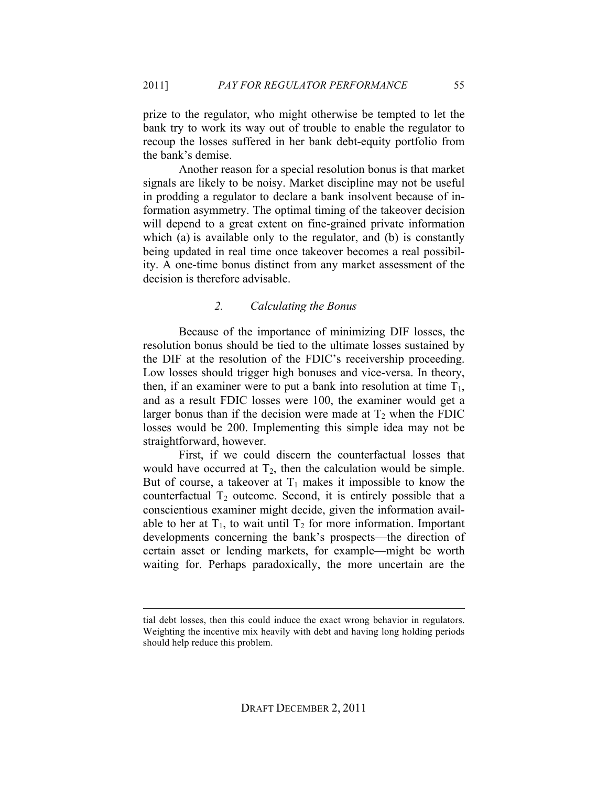prize to the regulator, who might otherwise be tempted to let the bank try to work its way out of trouble to enable the regulator to recoup the losses suffered in her bank debt-equity portfolio from the bank's demise.

Another reason for a special resolution bonus is that market signals are likely to be noisy. Market discipline may not be useful in prodding a regulator to declare a bank insolvent because of information asymmetry. The optimal timing of the takeover decision will depend to a great extent on fine-grained private information which (a) is available only to the regulator, and (b) is constantly being updated in real time once takeover becomes a real possibility. A one-time bonus distinct from any market assessment of the decision is therefore advisable.

# *2. Calculating the Bonus*

Because of the importance of minimizing DIF losses, the resolution bonus should be tied to the ultimate losses sustained by the DIF at the resolution of the FDIC's receivership proceeding. Low losses should trigger high bonuses and vice-versa. In theory, then, if an examiner were to put a bank into resolution at time  $T_1$ , and as a result FDIC losses were 100, the examiner would get a larger bonus than if the decision were made at  $T_2$  when the FDIC losses would be 200. Implementing this simple idea may not be straightforward, however.

First, if we could discern the counterfactual losses that would have occurred at  $T_2$ , then the calculation would be simple. But of course, a takeover at  $T_1$  makes it impossible to know the counterfactual  $T_2$  outcome. Second, it is entirely possible that a conscientious examiner might decide, given the information available to her at  $T_1$ , to wait until  $T_2$  for more information. Important developments concerning the bank's prospects—the direction of certain asset or lending markets, for example—might be worth waiting for. Perhaps paradoxically, the more uncertain are the

tial debt losses, then this could induce the exact wrong behavior in regulators. Weighting the incentive mix heavily with debt and having long holding periods should help reduce this problem.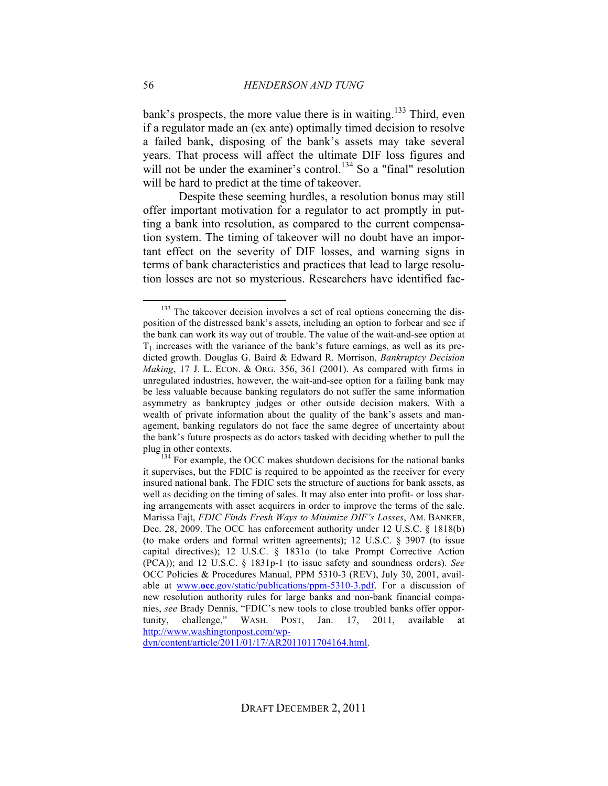bank's prospects, the more value there is in waiting.<sup>133</sup> Third, even if a regulator made an (ex ante) optimally timed decision to resolve a failed bank, disposing of the bank's assets may take several years. That process will affect the ultimate DIF loss figures and will not be under the examiner's control.<sup>134</sup> So a "final" resolution will be hard to predict at the time of takeover.

Despite these seeming hurdles, a resolution bonus may still offer important motivation for a regulator to act promptly in putting a bank into resolution, as compared to the current compensation system. The timing of takeover will no doubt have an important effect on the severity of DIF losses, and warning signs in terms of bank characteristics and practices that lead to large resolution losses are not so mysterious. Researchers have identified fac-

dyn/content/article/2011/01/17/AR2011011704164.html.

<sup>&</sup>lt;sup>133</sup> The takeover decision involves a set of real options concerning the disposition of the distressed bank's assets, including an option to forbear and see if the bank can work its way out of trouble. The value of the wait-and-see option at  $T_1$  increases with the variance of the bank's future earnings, as well as its predicted growth. Douglas G. Baird & Edward R. Morrison, *Bankruptcy Decision Making*, 17 J. L. ECON. & ORG. 356, 361 (2001). As compared with firms in unregulated industries, however, the wait-and-see option for a failing bank may be less valuable because banking regulators do not suffer the same information asymmetry as bankruptcy judges or other outside decision makers. With a wealth of private information about the quality of the bank's assets and management, banking regulators do not face the same degree of uncertainty about the bank's future prospects as do actors tasked with deciding whether to pull the

 $134$  For example, the OCC makes shutdown decisions for the national banks it supervises, but the FDIC is required to be appointed as the receiver for every insured national bank. The FDIC sets the structure of auctions for bank assets, as well as deciding on the timing of sales. It may also enter into profit- or loss sharing arrangements with asset acquirers in order to improve the terms of the sale. Marissa Fajt, *FDIC Finds Fresh Ways to Minimize DIF's Losses*, AM. BANKER, Dec. 28, 2009. The OCC has enforcement authority under 12 U.S.C. § 1818(b) (to make orders and formal written agreements); 12 U.S.C. § 3907 (to issue capital directives); 12 U.S.C. § 1831o (to take Prompt Corrective Action (PCA)); and 12 U.S.C. § 1831p-1 (to issue safety and soundness orders). *See* OCC Policies & Procedures Manual, PPM 5310-3 (REV), July 30, 2001, available at www.**occ**.gov/static/publications/ppm-5310-3.pdf. For a discussion of new resolution authority rules for large banks and non-bank financial companies, *see* Brady Dennis, "FDIC's new tools to close troubled banks offer opportunity, challenge," WASH. POST, Jan. 17, 2011, available at http://www.washingtonpost.com/wp-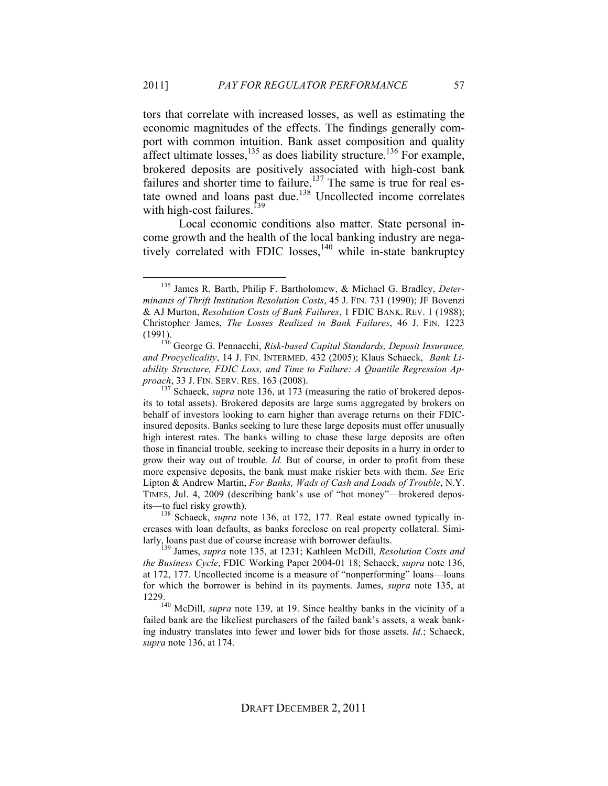tors that correlate with increased losses, as well as estimating the economic magnitudes of the effects. The findings generally comport with common intuition. Bank asset composition and quality affect ultimate losses,  $^{135}$  as does liability structure.<sup>136</sup> For example, brokered deposits are positively associated with high-cost bank failures and shorter time to failure.<sup>137</sup> The same is true for real estate owned and loans past due.<sup>138</sup> Uncollected income correlates with high-cost failures.<sup>139</sup>

Local economic conditions also matter. State personal income growth and the health of the local banking industry are negatively correlated with FDIC losses,<sup>140</sup> while in-state bankruptcy

creases with loan defaults, as banks foreclose on real property collateral. Similarly, loans past due of course increase with borrower defaults. 139 James, *supra* note 135, at 1231; Kathleen McDill, *Resolution Costs and* 

 <sup>135</sup> James R. Barth, Philip F. Bartholomew, & Michael G. Bradley, *Determinants of Thrift Institution Resolution Costs*, 45 J. FIN. 731 (1990); JF Bovenzi & AJ Murton, *Resolution Costs of Bank Failures*, 1 FDIC BANK. REV. 1 (1988); Christopher James, *The Losses Realized in Bank Failures*, 46 J. FIN. 1223 (1991). <sup>136</sup> George G. Pennacchi, *Risk-based Capital Standards, Deposit Insurance,* 

*and Procyclicality*, 14 J. FIN. INTERMED. 432 (2005); Klaus Schaeck, *Bank Liability Structure, FDIC Loss, and Time to Failure: A Quantile Regression Approach*, 33 J. FIN. SERV. RES. 163 (2008). <sup>137</sup> Schaeck, *supra* note 136, at 173 (measuring the ratio of brokered depos-

its to total assets). Brokered deposits are large sums aggregated by brokers on behalf of investors looking to earn higher than average returns on their FDICinsured deposits. Banks seeking to lure these large deposits must offer unusually high interest rates. The banks willing to chase these large deposits are often those in financial trouble, seeking to increase their deposits in a hurry in order to grow their way out of trouble. *Id.* But of course, in order to profit from these more expensive deposits, the bank must make riskier bets with them. *See* Eric Lipton & Andrew Martin, *For Banks, Wads of Cash and Loads of Trouble*, N.Y. TIMES, Jul. 4, 2009 (describing bank's use of "hot money"—brokered deposits—to fuel risky growth). <sup>138</sup> Schaeck, *supra* note 136, at 172, 177. Real estate owned typically in-

*the Business Cycle*, FDIC Working Paper 2004-01 18; Schaeck, *supra* note 136, at 172, 177. Uncollected income is a measure of "nonperforming" loans—loans for which the borrower is behind in its payments. James, *supra* note 135, at

<sup>1229.140</sup> McDill, *supra* note 139, at 19. Since healthy banks in the vicinity of a failed bank are the likeliest purchasers of the failed bank's assets, a weak banking industry translates into fewer and lower bids for those assets. *Id.*; Schaeck, *supra* note 136, at 174.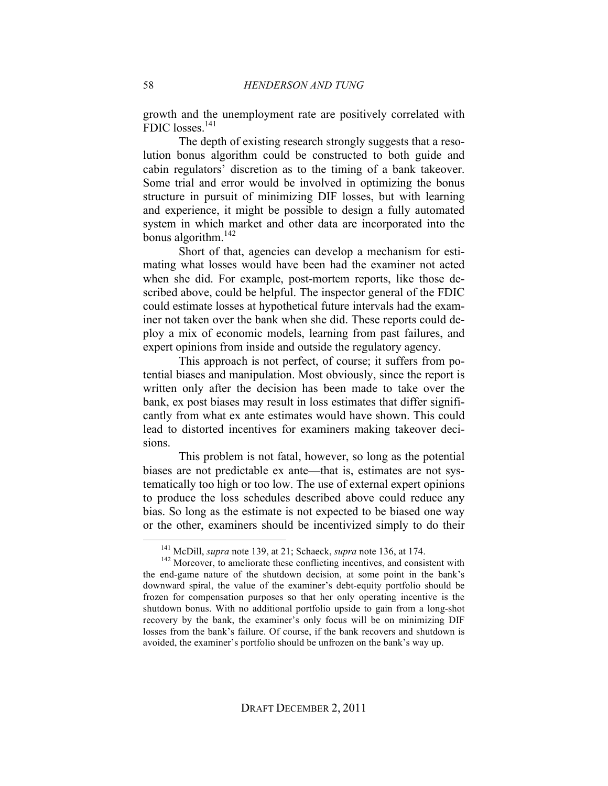growth and the unemployment rate are positively correlated with FDIC losses.<sup>141</sup>

The depth of existing research strongly suggests that a resolution bonus algorithm could be constructed to both guide and cabin regulators' discretion as to the timing of a bank takeover. Some trial and error would be involved in optimizing the bonus structure in pursuit of minimizing DIF losses, but with learning and experience, it might be possible to design a fully automated system in which market and other data are incorporated into the bonus algorithm.<sup>142</sup>

Short of that, agencies can develop a mechanism for estimating what losses would have been had the examiner not acted when she did. For example, post-mortem reports, like those described above, could be helpful. The inspector general of the FDIC could estimate losses at hypothetical future intervals had the examiner not taken over the bank when she did. These reports could deploy a mix of economic models, learning from past failures, and expert opinions from inside and outside the regulatory agency.

This approach is not perfect, of course; it suffers from potential biases and manipulation. Most obviously, since the report is written only after the decision has been made to take over the bank, ex post biases may result in loss estimates that differ significantly from what ex ante estimates would have shown. This could lead to distorted incentives for examiners making takeover decisions.

This problem is not fatal, however, so long as the potential biases are not predictable ex ante—that is, estimates are not systematically too high or too low. The use of external expert opinions to produce the loss schedules described above could reduce any bias. So long as the estimate is not expected to be biased one way or the other, examiners should be incentivized simply to do their

<sup>&</sup>lt;sup>141</sup> McDill, *supra* note 139, at 21; Schaeck, *supra* note 136, at 174.<br><sup>142</sup> Moreover, to ameliorate these conflicting incentives, and consistent with the end-game nature of the shutdown decision, at some point in the bank's downward spiral, the value of the examiner's debt-equity portfolio should be frozen for compensation purposes so that her only operating incentive is the shutdown bonus. With no additional portfolio upside to gain from a long-shot recovery by the bank, the examiner's only focus will be on minimizing DIF losses from the bank's failure. Of course, if the bank recovers and shutdown is avoided, the examiner's portfolio should be unfrozen on the bank's way up.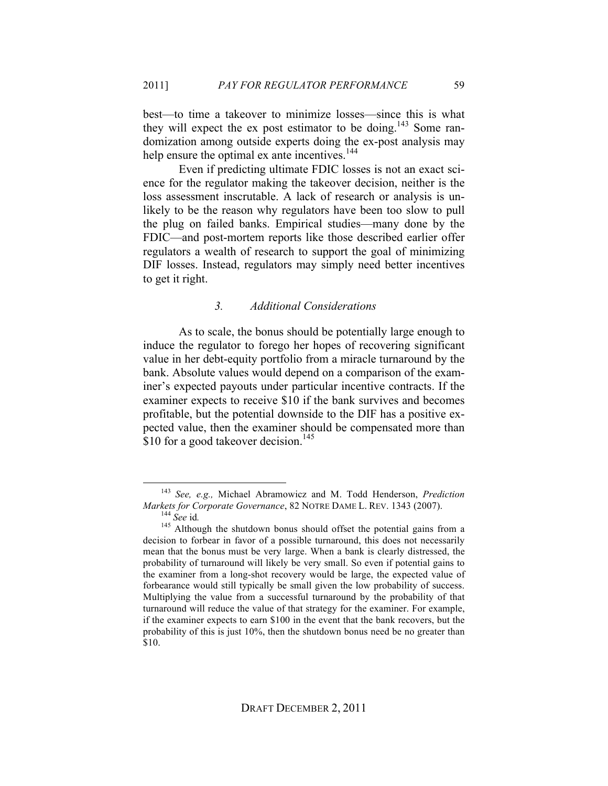best—to time a takeover to minimize losses—since this is what they will expect the ex post estimator to be doing.<sup>143</sup> Some randomization among outside experts doing the ex-post analysis may help ensure the optimal ex ante incentives.<sup>144</sup>

Even if predicting ultimate FDIC losses is not an exact science for the regulator making the takeover decision, neither is the loss assessment inscrutable. A lack of research or analysis is unlikely to be the reason why regulators have been too slow to pull the plug on failed banks. Empirical studies—many done by the FDIC—and post-mortem reports like those described earlier offer regulators a wealth of research to support the goal of minimizing DIF losses. Instead, regulators may simply need better incentives to get it right.

# *3. Additional Considerations*

As to scale, the bonus should be potentially large enough to induce the regulator to forego her hopes of recovering significant value in her debt-equity portfolio from a miracle turnaround by the bank. Absolute values would depend on a comparison of the examiner's expected payouts under particular incentive contracts. If the examiner expects to receive \$10 if the bank survives and becomes profitable, but the potential downside to the DIF has a positive expected value, then the examiner should be compensated more than \$10 for a good takeover decision.<sup>145</sup>

 <sup>143</sup> *See, e.g.,* Michael Abramowicz and M. Todd Henderson, *Prediction Markets for Corporate Governance*, 82 NOTRE DAME L. REV. 1343 (2007).<br><sup>144</sup> *See* id. <sup>145</sup> Although the shutdown bonus should offset the potential gains from a

decision to forbear in favor of a possible turnaround, this does not necessarily mean that the bonus must be very large. When a bank is clearly distressed, the probability of turnaround will likely be very small. So even if potential gains to the examiner from a long-shot recovery would be large, the expected value of forbearance would still typically be small given the low probability of success. Multiplying the value from a successful turnaround by the probability of that turnaround will reduce the value of that strategy for the examiner. For example, if the examiner expects to earn \$100 in the event that the bank recovers, but the probability of this is just 10%, then the shutdown bonus need be no greater than \$10.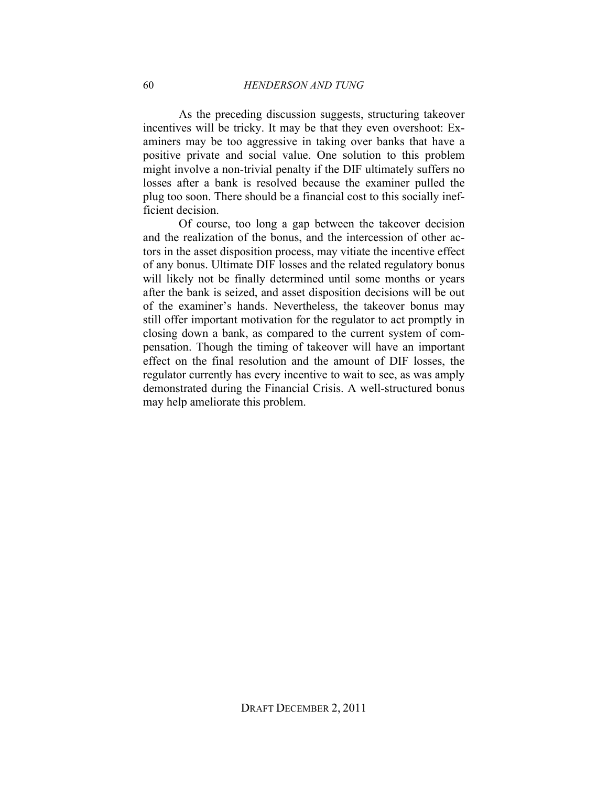As the preceding discussion suggests, structuring takeover incentives will be tricky. It may be that they even overshoot: Examiners may be too aggressive in taking over banks that have a positive private and social value. One solution to this problem might involve a non-trivial penalty if the DIF ultimately suffers no losses after a bank is resolved because the examiner pulled the plug too soon. There should be a financial cost to this socially inefficient decision.

Of course, too long a gap between the takeover decision and the realization of the bonus, and the intercession of other actors in the asset disposition process, may vitiate the incentive effect of any bonus. Ultimate DIF losses and the related regulatory bonus will likely not be finally determined until some months or years after the bank is seized, and asset disposition decisions will be out of the examiner's hands. Nevertheless, the takeover bonus may still offer important motivation for the regulator to act promptly in closing down a bank, as compared to the current system of compensation. Though the timing of takeover will have an important effect on the final resolution and the amount of DIF losses, the regulator currently has every incentive to wait to see, as was amply demonstrated during the Financial Crisis. A well-structured bonus may help ameliorate this problem.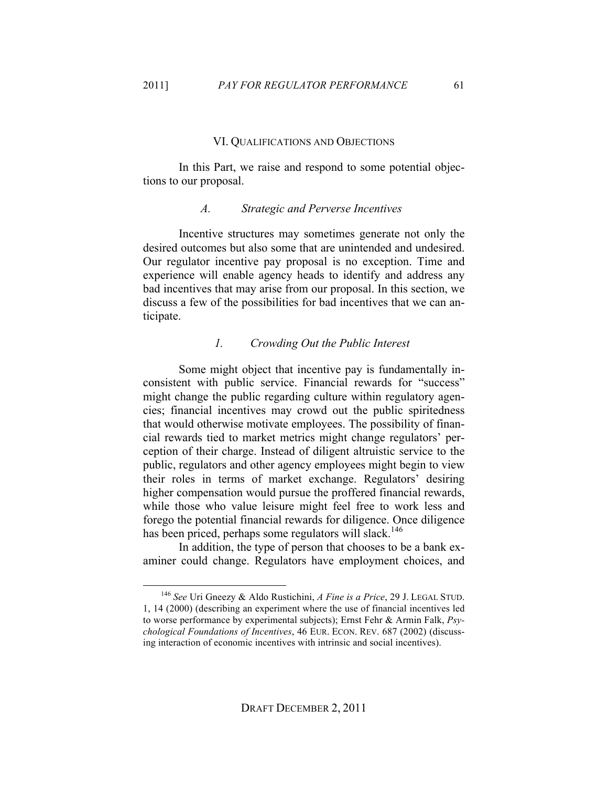#### VI. QUALIFICATIONS AND OBJECTIONS

In this Part, we raise and respond to some potential objections to our proposal.

#### *A. Strategic and Perverse Incentives*

Incentive structures may sometimes generate not only the desired outcomes but also some that are unintended and undesired. Our regulator incentive pay proposal is no exception. Time and experience will enable agency heads to identify and address any bad incentives that may arise from our proposal. In this section, we discuss a few of the possibilities for bad incentives that we can anticipate.

#### *1. Crowding Out the Public Interest*

Some might object that incentive pay is fundamentally inconsistent with public service. Financial rewards for "success" might change the public regarding culture within regulatory agencies; financial incentives may crowd out the public spiritedness that would otherwise motivate employees. The possibility of financial rewards tied to market metrics might change regulators' perception of their charge. Instead of diligent altruistic service to the public, regulators and other agency employees might begin to view their roles in terms of market exchange. Regulators' desiring higher compensation would pursue the proffered financial rewards, while those who value leisure might feel free to work less and forego the potential financial rewards for diligence. Once diligence has been priced, perhaps some regulators will slack.<sup>146</sup>

In addition, the type of person that chooses to be a bank examiner could change. Regulators have employment choices, and

 <sup>146</sup> *See* Uri Gneezy & Aldo Rustichini, *A Fine is a Price*, 29 J. LEGAL STUD. 1, 14 (2000) (describing an experiment where the use of financial incentives led to worse performance by experimental subjects); Ernst Fehr & Armin Falk, *Psychological Foundations of Incentives*, 46 EUR. ECON. REV. 687 (2002) (discussing interaction of economic incentives with intrinsic and social incentives).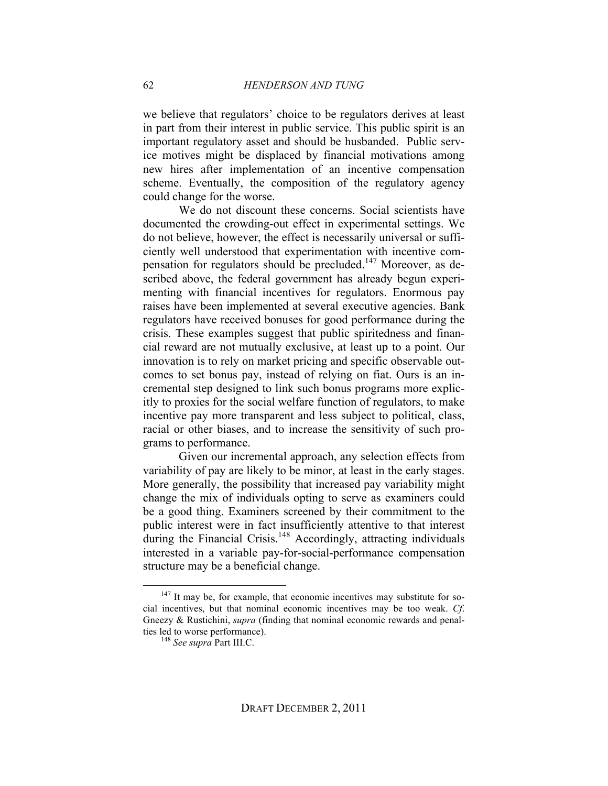we believe that regulators' choice to be regulators derives at least in part from their interest in public service. This public spirit is an important regulatory asset and should be husbanded. Public service motives might be displaced by financial motivations among new hires after implementation of an incentive compensation scheme. Eventually, the composition of the regulatory agency could change for the worse.

We do not discount these concerns. Social scientists have documented the crowding-out effect in experimental settings. We do not believe, however, the effect is necessarily universal or sufficiently well understood that experimentation with incentive compensation for regulators should be precluded.147 Moreover, as described above, the federal government has already begun experimenting with financial incentives for regulators. Enormous pay raises have been implemented at several executive agencies. Bank regulators have received bonuses for good performance during the crisis. These examples suggest that public spiritedness and financial reward are not mutually exclusive, at least up to a point. Our innovation is to rely on market pricing and specific observable outcomes to set bonus pay, instead of relying on fiat. Ours is an incremental step designed to link such bonus programs more explicitly to proxies for the social welfare function of regulators, to make incentive pay more transparent and less subject to political, class, racial or other biases, and to increase the sensitivity of such programs to performance.

Given our incremental approach, any selection effects from variability of pay are likely to be minor, at least in the early stages. More generally, the possibility that increased pay variability might change the mix of individuals opting to serve as examiners could be a good thing. Examiners screened by their commitment to the public interest were in fact insufficiently attentive to that interest during the Financial Crisis.<sup>148</sup> Accordingly, attracting individuals interested in a variable pay-for-social-performance compensation structure may be a beneficial change.

<sup>&</sup>lt;sup>147</sup> It may be, for example, that economic incentives may substitute for social incentives, but that nominal economic incentives may be too weak. *Cf*. Gneezy & Rustichini, *supra* (finding that nominal economic rewards and penalties led to worse performance). 148 *See supra* Part III.C.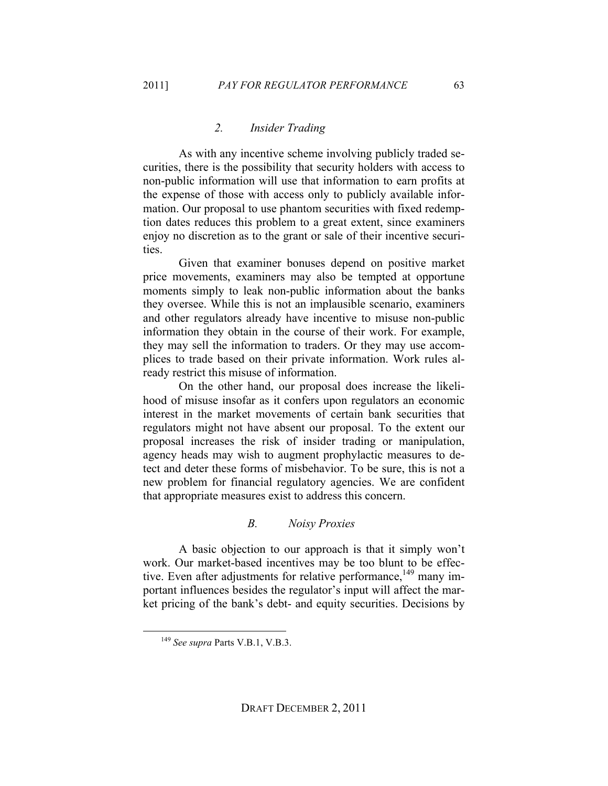### *2. Insider Trading*

As with any incentive scheme involving publicly traded securities, there is the possibility that security holders with access to non-public information will use that information to earn profits at the expense of those with access only to publicly available information. Our proposal to use phantom securities with fixed redemption dates reduces this problem to a great extent, since examiners enjoy no discretion as to the grant or sale of their incentive securities.

Given that examiner bonuses depend on positive market price movements, examiners may also be tempted at opportune moments simply to leak non-public information about the banks they oversee. While this is not an implausible scenario, examiners and other regulators already have incentive to misuse non-public information they obtain in the course of their work. For example, they may sell the information to traders. Or they may use accomplices to trade based on their private information. Work rules already restrict this misuse of information.

On the other hand, our proposal does increase the likelihood of misuse insofar as it confers upon regulators an economic interest in the market movements of certain bank securities that regulators might not have absent our proposal. To the extent our proposal increases the risk of insider trading or manipulation, agency heads may wish to augment prophylactic measures to detect and deter these forms of misbehavior. To be sure, this is not a new problem for financial regulatory agencies. We are confident that appropriate measures exist to address this concern.

## *B. Noisy Proxies*

A basic objection to our approach is that it simply won't work. Our market-based incentives may be too blunt to be effective. Even after adjustments for relative performance,<sup>149</sup> many important influences besides the regulator's input will affect the market pricing of the bank's debt- and equity securities. Decisions by

 <sup>149</sup> *See supra* Parts V.B.1, V.B.3.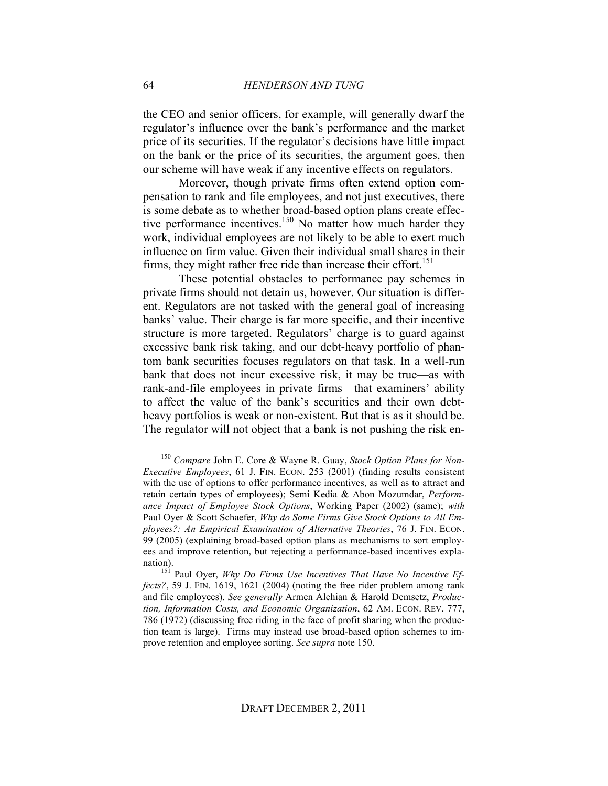the CEO and senior officers, for example, will generally dwarf the regulator's influence over the bank's performance and the market price of its securities. If the regulator's decisions have little impact on the bank or the price of its securities, the argument goes, then our scheme will have weak if any incentive effects on regulators.

Moreover, though private firms often extend option compensation to rank and file employees, and not just executives, there is some debate as to whether broad-based option plans create effective performance incentives.<sup>150</sup> No matter how much harder they work, individual employees are not likely to be able to exert much influence on firm value. Given their individual small shares in their firms, they might rather free ride than increase their effort.<sup>151</sup>

These potential obstacles to performance pay schemes in private firms should not detain us, however. Our situation is different. Regulators are not tasked with the general goal of increasing banks' value. Their charge is far more specific, and their incentive structure is more targeted. Regulators' charge is to guard against excessive bank risk taking, and our debt-heavy portfolio of phantom bank securities focuses regulators on that task. In a well-run bank that does not incur excessive risk, it may be true—as with rank-and-file employees in private firms—that examiners' ability to affect the value of the bank's securities and their own debtheavy portfolios is weak or non-existent. But that is as it should be. The regulator will not object that a bank is not pushing the risk en-

 <sup>150</sup> *Compare* John E. Core & Wayne R. Guay, *Stock Option Plans for Non-Executive Employees*, 61 J. FIN. ECON. 253 (2001) (finding results consistent with the use of options to offer performance incentives, as well as to attract and retain certain types of employees); Semi Kedia & Abon Mozumdar, *Performance Impact of Employee Stock Options*, Working Paper (2002) (same); *with*  Paul Oyer & Scott Schaefer, *Why do Some Firms Give Stock Options to All Employees?: An Empirical Examination of Alternative Theories*, 76 J. FIN. ECON. 99 (2005) (explaining broad-based option plans as mechanisms to sort employees and improve retention, but rejecting a performance-based incentives expla-

nation). <sup>151</sup> Paul Oyer, *Why Do Firms Use Incentives That Have No Incentive Effects?*, 59 J. FIN. 1619, 1621 (2004) (noting the free rider problem among rank and file employees). *See generally* Armen Alchian & Harold Demsetz, *Production, Information Costs, and Economic Organization*, 62 AM. ECON. REV. 777, 786 (1972) (discussing free riding in the face of profit sharing when the production team is large). Firms may instead use broad-based option schemes to improve retention and employee sorting. *See supra* note 150.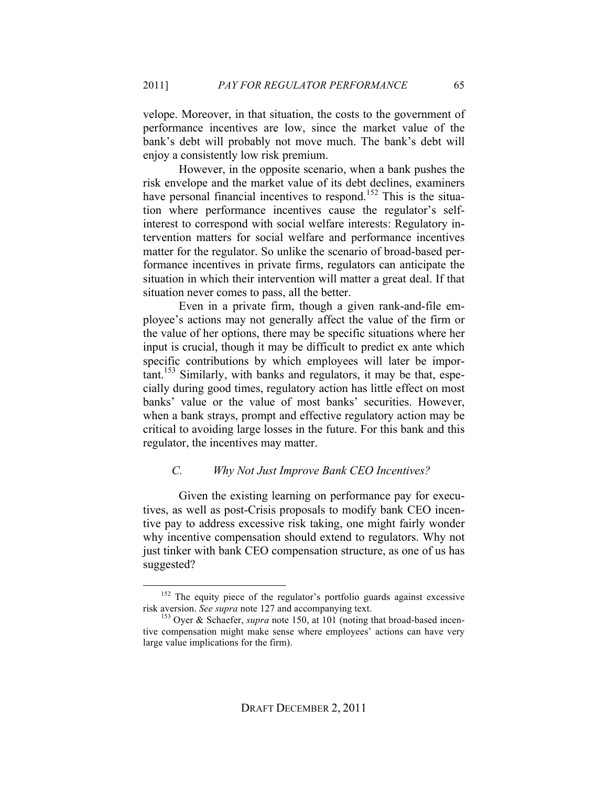velope. Moreover, in that situation, the costs to the government of performance incentives are low, since the market value of the bank's debt will probably not move much. The bank's debt will enjoy a consistently low risk premium.

However, in the opposite scenario, when a bank pushes the risk envelope and the market value of its debt declines, examiners have personal financial incentives to respond.<sup>152</sup> This is the situation where performance incentives cause the regulator's selfinterest to correspond with social welfare interests: Regulatory intervention matters for social welfare and performance incentives matter for the regulator. So unlike the scenario of broad-based performance incentives in private firms, regulators can anticipate the situation in which their intervention will matter a great deal. If that situation never comes to pass, all the better.

Even in a private firm, though a given rank-and-file employee's actions may not generally affect the value of the firm or the value of her options, there may be specific situations where her input is crucial, though it may be difficult to predict ex ante which specific contributions by which employees will later be important.153 Similarly, with banks and regulators, it may be that, especially during good times, regulatory action has little effect on most banks' value or the value of most banks' securities. However, when a bank strays, prompt and effective regulatory action may be critical to avoiding large losses in the future. For this bank and this regulator, the incentives may matter.

## *C. Why Not Just Improve Bank CEO Incentives?*

Given the existing learning on performance pay for executives, as well as post-Crisis proposals to modify bank CEO incentive pay to address excessive risk taking, one might fairly wonder why incentive compensation should extend to regulators. Why not just tinker with bank CEO compensation structure, as one of us has suggested?

<sup>&</sup>lt;sup>152</sup> The equity piece of the regulator's portfolio guards against excessive risk aversion. *See supra* note 127 and accompanying text. 153 Oyer & Schaefer, *supra* note 150, at 101 (noting that broad-based incen-

tive compensation might make sense where employees' actions can have very large value implications for the firm).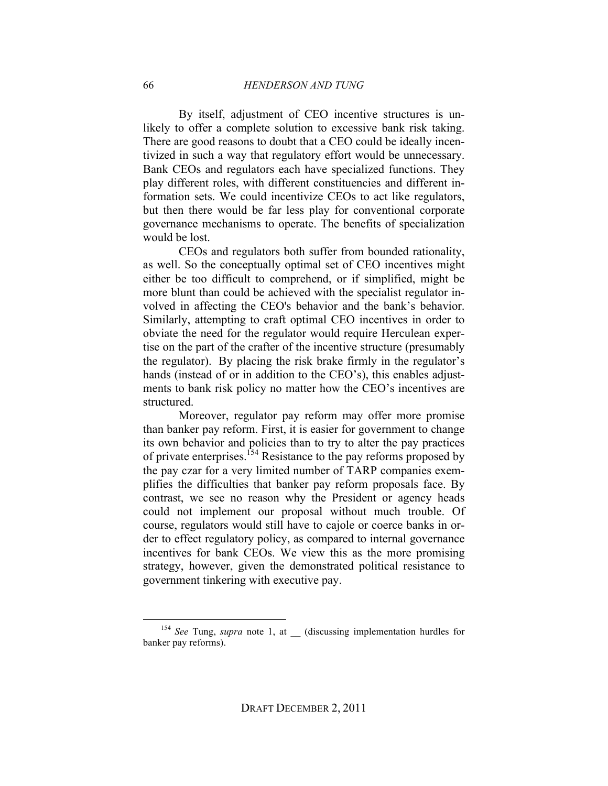By itself, adjustment of CEO incentive structures is unlikely to offer a complete solution to excessive bank risk taking. There are good reasons to doubt that a CEO could be ideally incentivized in such a way that regulatory effort would be unnecessary. Bank CEOs and regulators each have specialized functions. They play different roles, with different constituencies and different information sets. We could incentivize CEOs to act like regulators, but then there would be far less play for conventional corporate governance mechanisms to operate. The benefits of specialization would be lost.

CEOs and regulators both suffer from bounded rationality, as well. So the conceptually optimal set of CEO incentives might either be too difficult to comprehend, or if simplified, might be more blunt than could be achieved with the specialist regulator involved in affecting the CEO's behavior and the bank's behavior. Similarly, attempting to craft optimal CEO incentives in order to obviate the need for the regulator would require Herculean expertise on the part of the crafter of the incentive structure (presumably the regulator). By placing the risk brake firmly in the regulator's hands (instead of or in addition to the CEO's), this enables adjustments to bank risk policy no matter how the CEO's incentives are structured.

Moreover, regulator pay reform may offer more promise than banker pay reform. First, it is easier for government to change its own behavior and policies than to try to alter the pay practices of private enterprises.<sup>154</sup> Resistance to the pay reforms proposed by the pay czar for a very limited number of TARP companies exemplifies the difficulties that banker pay reform proposals face. By contrast, we see no reason why the President or agency heads could not implement our proposal without much trouble. Of course, regulators would still have to cajole or coerce banks in order to effect regulatory policy, as compared to internal governance incentives for bank CEOs. We view this as the more promising strategy, however, given the demonstrated political resistance to government tinkering with executive pay.

<sup>&</sup>lt;sup>154</sup> See Tung, *supra* note 1, at \_\_ (discussing implementation hurdles for banker pay reforms).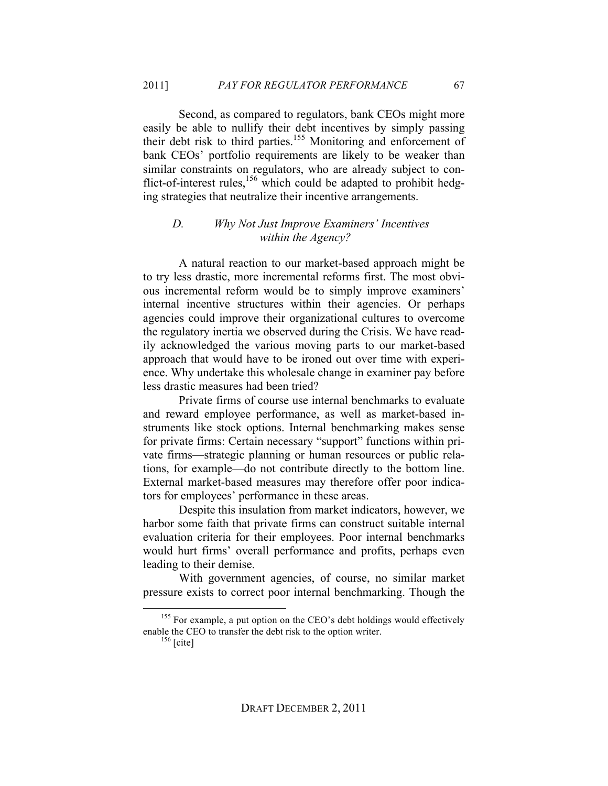Second, as compared to regulators, bank CEOs might more easily be able to nullify their debt incentives by simply passing their debt risk to third parties.<sup>155</sup> Monitoring and enforcement of bank CEOs' portfolio requirements are likely to be weaker than similar constraints on regulators, who are already subject to conflict-of-interest rules,<sup>156</sup> which could be adapted to prohibit hedging strategies that neutralize their incentive arrangements.

## *D. Why Not Just Improve Examiners' Incentives within the Agency?*

A natural reaction to our market-based approach might be to try less drastic, more incremental reforms first. The most obvious incremental reform would be to simply improve examiners' internal incentive structures within their agencies. Or perhaps agencies could improve their organizational cultures to overcome the regulatory inertia we observed during the Crisis. We have readily acknowledged the various moving parts to our market-based approach that would have to be ironed out over time with experience. Why undertake this wholesale change in examiner pay before less drastic measures had been tried?

Private firms of course use internal benchmarks to evaluate and reward employee performance, as well as market-based instruments like stock options. Internal benchmarking makes sense for private firms: Certain necessary "support" functions within private firms—strategic planning or human resources or public relations, for example—do not contribute directly to the bottom line. External market-based measures may therefore offer poor indicators for employees' performance in these areas.

Despite this insulation from market indicators, however, we harbor some faith that private firms can construct suitable internal evaluation criteria for their employees. Poor internal benchmarks would hurt firms' overall performance and profits, perhaps even leading to their demise.

With government agencies, of course, no similar market pressure exists to correct poor internal benchmarking. Though the

<sup>&</sup>lt;sup>155</sup> For example, a put option on the CEO's debt holdings would effectively enable the CEO to transfer the debt risk to the option writer.<br><sup>156</sup> [cite]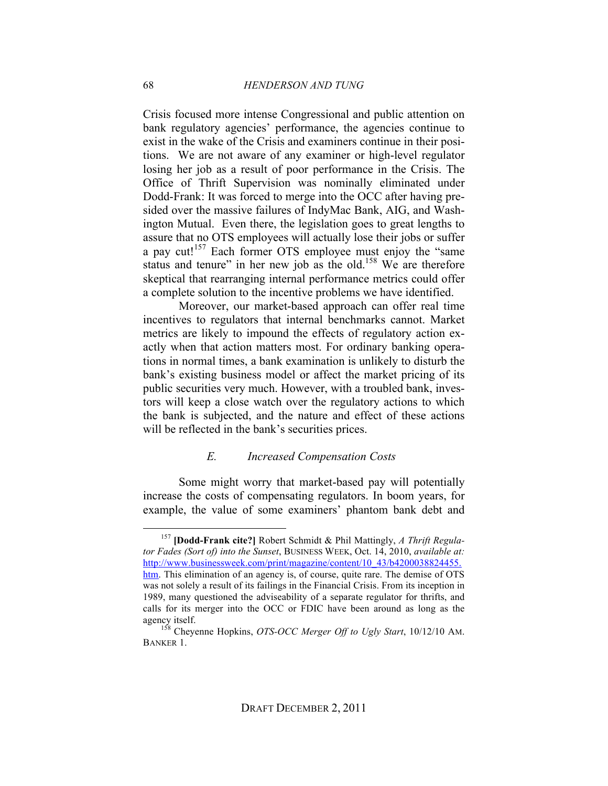Crisis focused more intense Congressional and public attention on bank regulatory agencies' performance, the agencies continue to exist in the wake of the Crisis and examiners continue in their positions. We are not aware of any examiner or high-level regulator losing her job as a result of poor performance in the Crisis. The Office of Thrift Supervision was nominally eliminated under Dodd-Frank: It was forced to merge into the OCC after having presided over the massive failures of IndyMac Bank, AIG, and Washington Mutual. Even there, the legislation goes to great lengths to assure that no OTS employees will actually lose their jobs or suffer a pay cut!<sup>157</sup> Each former OTS employee must enjoy the "same" status and tenure" in her new job as the old.<sup>158</sup> We are therefore skeptical that rearranging internal performance metrics could offer a complete solution to the incentive problems we have identified.

Moreover, our market-based approach can offer real time incentives to regulators that internal benchmarks cannot. Market metrics are likely to impound the effects of regulatory action exactly when that action matters most. For ordinary banking operations in normal times, a bank examination is unlikely to disturb the bank's existing business model or affect the market pricing of its public securities very much. However, with a troubled bank, investors will keep a close watch over the regulatory actions to which the bank is subjected, and the nature and effect of these actions will be reflected in the bank's securities prices.

## *E. Increased Compensation Costs*

Some might worry that market-based pay will potentially increase the costs of compensating regulators. In boom years, for example, the value of some examiners' phantom bank debt and

 <sup>157</sup> **[Dodd-Frank cite?]** Robert Schmidt & Phil Mattingly, *A Thrift Regulator Fades (Sort of) into the Sunset*, BUSINESS WEEK, Oct. 14, 2010, *available at:* http://www.businessweek.com/print/magazine/content/10\_43/b4200038824455. htm. This elimination of an agency is, of course, quite rare. The demise of OTS was not solely a result of its failings in the Financial Crisis. From its inception in 1989, many questioned the adviseability of a separate regulator for thrifts, and calls for its merger into the OCC or FDIC have been around as long as the agency itself. 158 Cheyenne Hopkins, *OTS-OCC Merger Off to Ugly Start*, 10/12/10 AM.

BANKER 1.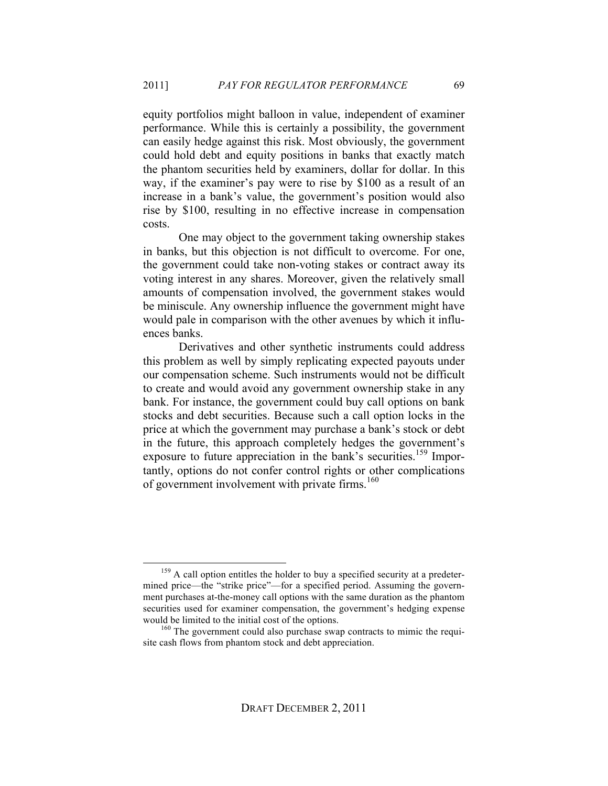equity portfolios might balloon in value, independent of examiner performance. While this is certainly a possibility, the government can easily hedge against this risk. Most obviously, the government could hold debt and equity positions in banks that exactly match the phantom securities held by examiners, dollar for dollar. In this way, if the examiner's pay were to rise by \$100 as a result of an increase in a bank's value, the government's position would also rise by \$100, resulting in no effective increase in compensation costs.

One may object to the government taking ownership stakes in banks, but this objection is not difficult to overcome. For one, the government could take non-voting stakes or contract away its voting interest in any shares. Moreover, given the relatively small amounts of compensation involved, the government stakes would be miniscule. Any ownership influence the government might have would pale in comparison with the other avenues by which it influences banks.

Derivatives and other synthetic instruments could address this problem as well by simply replicating expected payouts under our compensation scheme. Such instruments would not be difficult to create and would avoid any government ownership stake in any bank. For instance, the government could buy call options on bank stocks and debt securities. Because such a call option locks in the price at which the government may purchase a bank's stock or debt in the future, this approach completely hedges the government's exposure to future appreciation in the bank's securities.<sup>159</sup> Importantly, options do not confer control rights or other complications of government involvement with private firms.<sup>160</sup>

<sup>&</sup>lt;sup>159</sup> A call option entitles the holder to buy a specified security at a predetermined price—the "strike price"—for a specified period. Assuming the government purchases at-the-money call options with the same duration as the phantom securities used for examiner compensation, the government's hedging expense would be limited to the initial cost of the options.<br><sup>160</sup> The government could also purchase swap contracts to mimic the requi-

site cash flows from phantom stock and debt appreciation.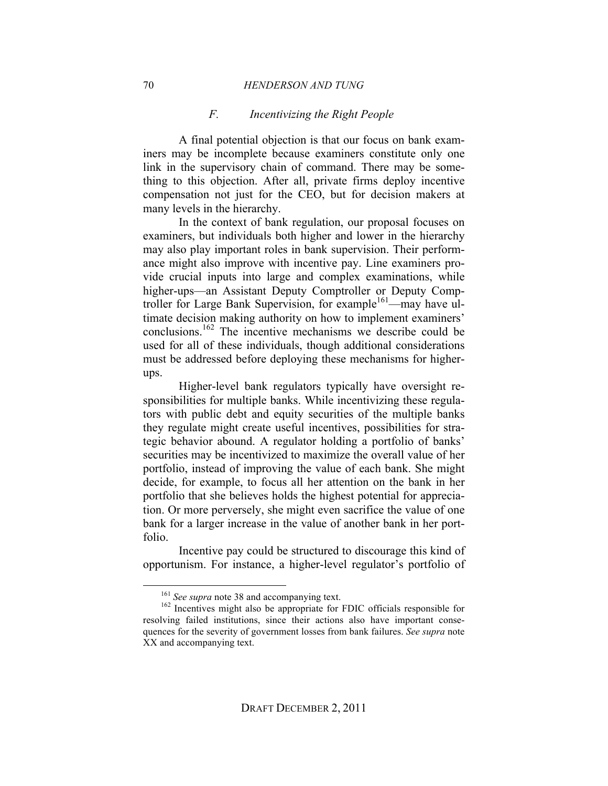## 70 *HENDERSON AND TUNG*

## *F. Incentivizing the Right People*

A final potential objection is that our focus on bank examiners may be incomplete because examiners constitute only one link in the supervisory chain of command. There may be something to this objection. After all, private firms deploy incentive compensation not just for the CEO, but for decision makers at many levels in the hierarchy.

In the context of bank regulation, our proposal focuses on examiners, but individuals both higher and lower in the hierarchy may also play important roles in bank supervision. Their performance might also improve with incentive pay. Line examiners provide crucial inputs into large and complex examinations, while higher-ups—an Assistant Deputy Comptroller or Deputy Comptroller for Large Bank Supervision, for example<sup>161</sup>—may have ultimate decision making authority on how to implement examiners' conclusions.162 The incentive mechanisms we describe could be used for all of these individuals, though additional considerations must be addressed before deploying these mechanisms for higherups.

Higher-level bank regulators typically have oversight responsibilities for multiple banks. While incentivizing these regulators with public debt and equity securities of the multiple banks they regulate might create useful incentives, possibilities for strategic behavior abound. A regulator holding a portfolio of banks' securities may be incentivized to maximize the overall value of her portfolio, instead of improving the value of each bank. She might decide, for example, to focus all her attention on the bank in her portfolio that she believes holds the highest potential for appreciation. Or more perversely, she might even sacrifice the value of one bank for a larger increase in the value of another bank in her portfolio.

Incentive pay could be structured to discourage this kind of opportunism. For instance, a higher-level regulator's portfolio of

<sup>&</sup>lt;sup>161</sup> *See supra* note 38 and accompanying text.<br><sup>162</sup> Incentives might also be appropriate for FDIC officials responsible for resolving failed institutions, since their actions also have important consequences for the severity of government losses from bank failures. *See supra* note XX and accompanying text.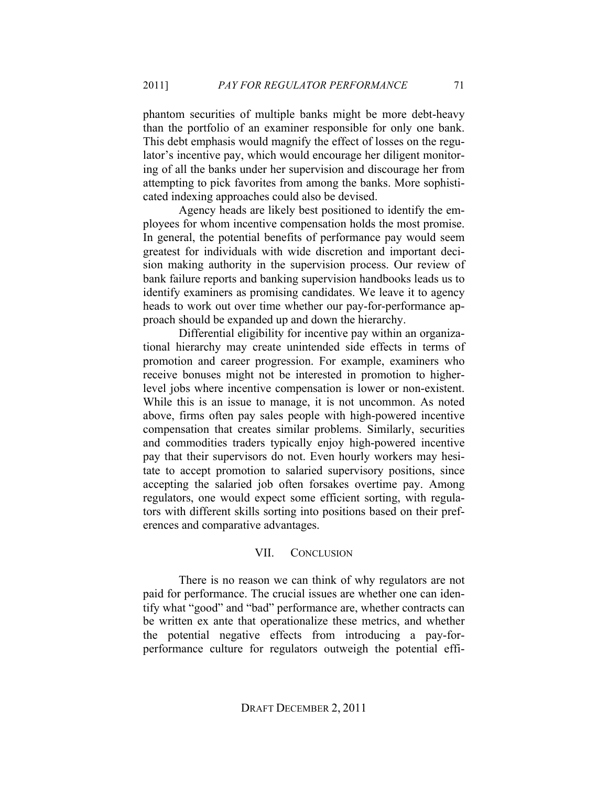phantom securities of multiple banks might be more debt-heavy than the portfolio of an examiner responsible for only one bank. This debt emphasis would magnify the effect of losses on the regulator's incentive pay, which would encourage her diligent monitoring of all the banks under her supervision and discourage her from attempting to pick favorites from among the banks. More sophisticated indexing approaches could also be devised.

Agency heads are likely best positioned to identify the employees for whom incentive compensation holds the most promise. In general, the potential benefits of performance pay would seem greatest for individuals with wide discretion and important decision making authority in the supervision process. Our review of bank failure reports and banking supervision handbooks leads us to identify examiners as promising candidates. We leave it to agency heads to work out over time whether our pay-for-performance approach should be expanded up and down the hierarchy.

Differential eligibility for incentive pay within an organizational hierarchy may create unintended side effects in terms of promotion and career progression. For example, examiners who receive bonuses might not be interested in promotion to higherlevel jobs where incentive compensation is lower or non-existent. While this is an issue to manage, it is not uncommon. As noted above, firms often pay sales people with high-powered incentive compensation that creates similar problems. Similarly, securities and commodities traders typically enjoy high-powered incentive pay that their supervisors do not. Even hourly workers may hesitate to accept promotion to salaried supervisory positions, since accepting the salaried job often forsakes overtime pay. Among regulators, one would expect some efficient sorting, with regulators with different skills sorting into positions based on their preferences and comparative advantages.

## VII. CONCLUSION

There is no reason we can think of why regulators are not paid for performance. The crucial issues are whether one can identify what "good" and "bad" performance are, whether contracts can be written ex ante that operationalize these metrics, and whether the potential negative effects from introducing a pay-forperformance culture for regulators outweigh the potential effi-

DRAFT DECEMBER 2, 2011